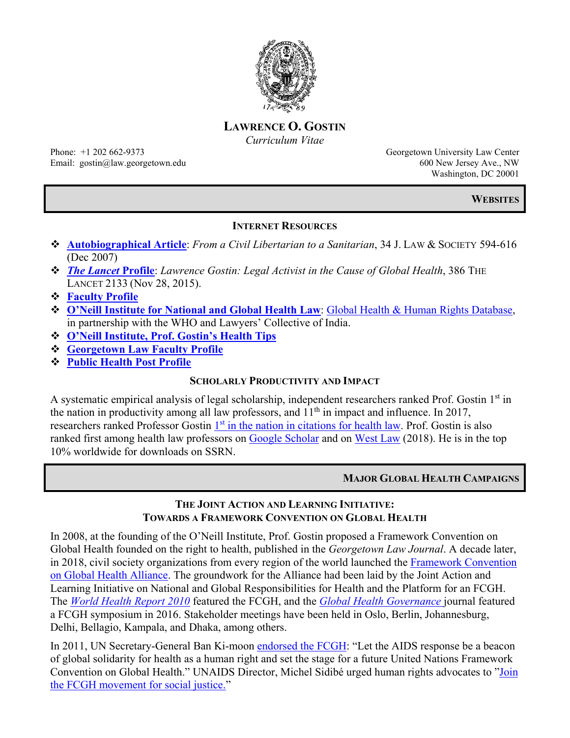

**LAWRENCE O. GOSTIN** *Curriculum Vitae*

Phone: +1 202 662-9373 Georgetown University Law Center Email: gostin@law.georgetown.edu 600 New Jersey Ave., NW

Washington, DC 20001

**WEBSITES**

# **INTERNET RESOURCES**

- **[Autobiographical Article](http://bit.ly/1AOalEC)**: *From a Civil Libertarian to a Sanitarian*, 34 J. LAW & SOCIETY 594-616 (Dec 2007)
- *[The Lancet](http://thelancet.com/pdfs/journals/lancet/PIIS0140-6736(15)00992-7.pdf)* **Profile**: *Lawrence Gostin: Legal Activist in the Cause of Global Health*, 386 THE LANCET 2133 (Nov 28, 2015).
- **[Faculty Profile](http://www.law.georgetown.edu/faculty/facinfo/tab_faculty.cfm?Status=FullTime&ID=258)**
- **O'Neill Institute [for National and Global Health Law](http://www.oneillinstitute.org/)**: [Global Health & Human Rights Database,](http://www.law.georgetown.edu/oneillinstitute/research/ghhr.cfm) in partnership with the WHO and Lawyers' Collective of India.
- **[O'Neill Institute, Prof. Gostin's Health Tips](http://www.law.georgetown.edu/oneillinstitute/quarterly_newsletter/gostinhealthtips.cfm)**
- **[Georgetown Law Faculty Profile](https://www.law.georgetown.edu/faculty/lawrence-gostin/)**
- **[Public Health Post Profile](https://www.publichealthpost.org/profiles/lawrence-gostin/)**

# **SCHOLARLY PRODUCTIVITY AND IMPACT**

A systematic empirical analysis of legal scholarship, independent researchers ranked Prof. Gostin 1st in the nation in productivity among all law professors, and  $11<sup>th</sup>$  in impact and influence. In 2017, researchers ranked Professor Gostin 1<sup>st</sup> [in the nation in citations for health law.](http://blogs.harvard.edu/billofhealth/2017/04/20/most-cited-health-law-scholars/#more-21191) Prof. Gostin is also ranked first among health law professors on [Google Scholar](http://blogs.harvard.edu/billofhealth/2017/05/01/health-law-rankings-another-perspective/) and on [West Law](https://blogs.harvard.edu/billofhealth/2018/09/17/most-cited-health-law-scholars-in-westlaw-2013-2017/) (2018). He is in the top 10% worldwide for downloads on SSRN.

# **MAJOR GLOBAL HEALTH CAMPAIGNS**

# **THE JOINT ACTION AND LEARNING INITIATIVE: TOWARDS A FRAMEWORK CONVENTION ON GLOBAL HEALTH**

In 2008, at the founding of the O'Neill Institute, Prof. Gostin proposed a Framework Convention on Global Health founded on the right to health, published in the *Georgetown Law Journal*. A decade later, in 2018, civil society organizations from every region of the world launched the [Framework Convention](https://www.fcghalliance.org/)  [on Global Health Alliance.](https://www.fcghalliance.org/) The groundwork for the Alliance had been laid by the Joint Action and Learning Initiative on National and Global Responsibilities for Health and the Platform for an FCGH. The *[World Health Report 2010](http://www.who.int/bulletin/volumes/91/10/12-114447.pdf)* featured the FCGH, and the *[Global Health Governance](http://blogs.shu.edu/ghg/files/2016/01/2015-Spring-Fall-Combined-Issue.pdf)* journal featured a FCGH symposium in 2016. Stakeholder meetings have been held in Oslo, Berlin, Johannesburg, Delhi, Bellagio, Kampala, and Dhaka, among others.

In 2011, UN Secretary-General Ban Ki-moon [endorsed the FCGH:](http://www.un.org/ga/search/view_doc.asp?symbol=A%2F70%2F811&Lang=E) "Let the AIDS response be a beacon of global solidarity for health as a human right and set the stage for a future United Nations Framework Convention on Global Health." UNAIDS Director, Michel Sidibé urged human rights advocates to ["Join](https://twitter.com/MichelSidibe/status/698842842068869121)  the FCGH [movement for social justice."](https://twitter.com/MichelSidibe/status/698842842068869121)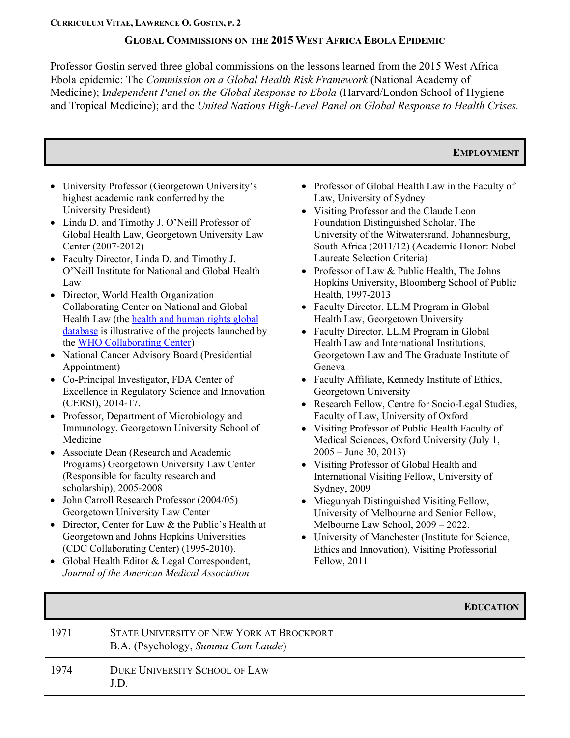#### **GLOBAL COMMISSIONS ON THE 2015 WEST AFRICA EBOLA EPIDEMIC**

Professor Gostin served three global commissions on the lessons learned from the 2015 West Africa Ebola epidemic: The *Commission on a Global Health Risk Framework* (National Academy of Medicine); I*ndependent Panel on the Global Response to Ebola* (Harvard/London School of Hygiene and Tropical Medicine); and the *United Nations High-Level Panel on Global Response to Health Crises.*

## **EMPLOYMENT**

- University Professor (Georgetown University's highest academic rank conferred by the University President)
- Linda D. and Timothy J. O'Neill Professor of Global Health Law, Georgetown University Law Center (2007-2012)
- Faculty Director, Linda D. and Timothy J. O'Neill Institute for National and Global Health Law
- Director, World Health Organization Collaborating Center on National and Global Health Law (the [health and human rights global](http://www.globalhealthrights.org/)  [database](http://www.globalhealthrights.org/) is illustrative of the projects launched by the [WHO Collaborating Center\)](http://www.youtube.com/watch?v=y00XJiqLUN)
- National Cancer Advisory Board (Presidential Appointment)
- Co-Principal Investigator, FDA Center of Excellence in Regulatory Science and Innovation (CERSI), 2014-17.
- Professor, Department of Microbiology and Immunology, Georgetown University School of Medicine
- Associate Dean (Research and Academic Programs) Georgetown University Law Center (Responsible for faculty research and scholarship), 2005-2008
- John Carroll Research Professor (2004/05) Georgetown University Law Center
- Director, Center for Law & the Public's Health at Georgetown and Johns Hopkins Universities (CDC Collaborating Center) (1995-2010).
- Global Health Editor & Legal Correspondent, *Journal of the American Medical Association*
- Professor of Global Health Law in the Faculty of Law, University of Sydney
- Visiting Professor and the Claude Leon Foundation Distinguished Scholar, The University of the Witwatersrand, Johannesburg, South Africa (2011/12) (Academic Honor: Nobel Laureate Selection Criteria)
- Professor of Law & Public Health, The Johns Hopkins University, Bloomberg School of Public Health, 1997-2013
- Faculty Director, LL.M Program in Global Health Law, Georgetown University
- Faculty Director, LL.M Program in Global Health Law and International Institutions, Georgetown Law and The Graduate Institute of Geneva
- Faculty Affiliate, Kennedy Institute of Ethics, Georgetown University
- Research Fellow, Centre for Socio-Legal Studies, Faculty of Law, University of Oxford
- Visiting Professor of Public Health Faculty of Medical Sciences, Oxford University (July 1,  $2005 -$  June 30, 2013)
- Visiting Professor of Global Health and International Visiting Fellow, University of Sydney, 2009
- Miegunyah Distinguished Visiting Fellow, University of Melbourne and Senior Fellow, Melbourne Law School, 2009 – 2022.
- University of Manchester (Institute for Science, Ethics and Innovation), Visiting Professorial Fellow, 2011

#### **EDUCATION**

| 1971 | STATE UNIVERSITY OF NEW YORK AT BROCKPORT<br>B.A. (Psychology, Summa Cum Laude) |
|------|---------------------------------------------------------------------------------|
| 1974 | <b>DUKE UNIVERSITY SCHOOL OF LAW</b><br>J.D.                                    |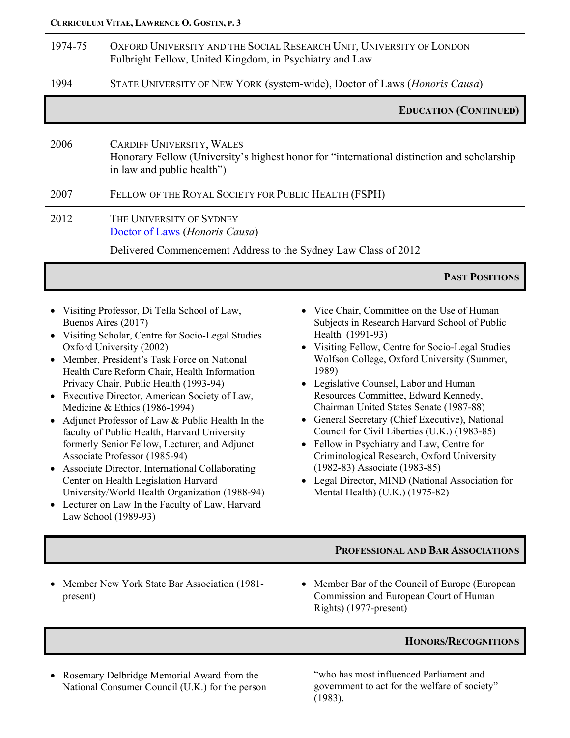| 1974-75 | OXFORD UNIVERSITY AND THE SOCIAL RESEARCH UNIT, UNIVERSITY OF LONDON<br>Fulbright Fellow, United Kingdom, in Psychiatry and Law                              |
|---------|--------------------------------------------------------------------------------------------------------------------------------------------------------------|
| 1994    | STATE UNIVERSITY OF NEW YORK (system-wide), Doctor of Laws ( <i>Honoris Causa</i> )                                                                          |
|         | <b>EDUCATION (CONTINUED)</b>                                                                                                                                 |
| 2006    | <b>CARDIFF UNIVERSITY, WALES</b><br>Honorary Fellow (University's highest honor for "international distinction and scholarship<br>in law and public health") |
| 2007    | FELLOW OF THE ROYAL SOCIETY FOR PUBLIC HEALTH (FSPH)                                                                                                         |
| 2012    | THE UNIVERSITY OF SYDNEY<br>Doctor of Laws (Honoris Causa)<br>Delivered Commencement Address to the Sydney Law Class of 2012                                 |
|         | <b>PAST POSITIONS</b>                                                                                                                                        |

- Visiting Professor, Di Tella School of Law, Buenos Aires (2017)
- Visiting Scholar, Centre for Socio-Legal Studies Oxford University (2002)
- Member, President's Task Force on National Health Care Reform Chair, Health Information Privacy Chair, Public Health (1993-94)
- Executive Director, American Society of Law, Medicine & Ethics (1986-1994)
- Adjunct Professor of Law & Public Health In the faculty of Public Health, Harvard University formerly Senior Fellow, Lecturer, and Adjunct Associate Professor (1985-94)
- Associate Director, International Collaborating Center on Health Legislation Harvard University/World Health Organization (1988-94)
- Lecturer on Law In the Faculty of Law, Harvard Law School (1989-93)
- Vice Chair, Committee on the Use of Human Subjects in Research Harvard School of Public Health (1991-93)
- Visiting Fellow, Centre for Socio-Legal Studies Wolfson College, Oxford University (Summer, 1989)
- Legislative Counsel, Labor and Human Resources Committee, Edward Kennedy, Chairman United States Senate (1987-88)
- General Secretary (Chief Executive), National Council for Civil Liberties (U.K.) (1983-85)
- Fellow in Psychiatry and Law, Centre for Criminological Research, Oxford University (1982-83) Associate (1983-85)
- Legal Director, MIND (National Association for Mental Health) (U.K.) (1975-82)

## **PROFESSIONAL AND BAR ASSOCIATIONS**

- Member New York State Bar Association (1981 present)
- Member Bar of the Council of Europe (European Commission and European Court of Human Rights) (1977-present)

# **HONORS/RECOGNITIONS**

• Rosemary Delbridge Memorial Award from the National Consumer Council (U.K.) for the person "who has most influenced Parliament and government to act for the welfare of society" (1983).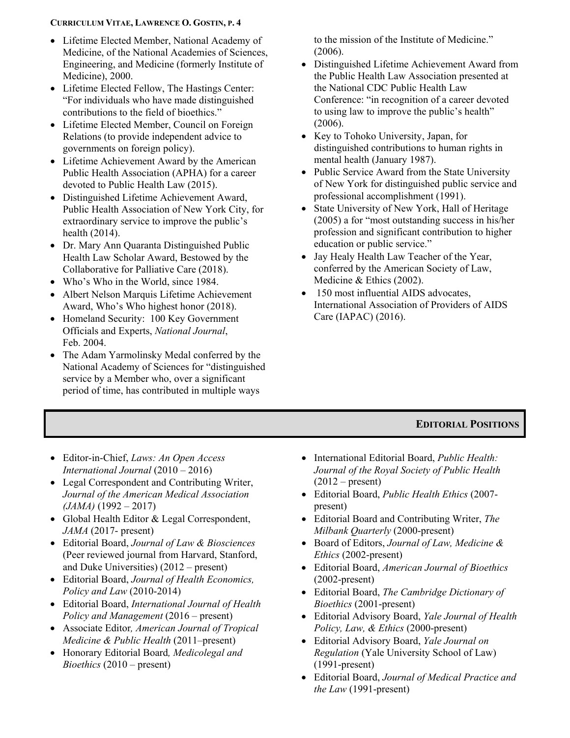- Lifetime Elected Member, National Academy of Medicine, of the National Academies of Sciences, Engineering, and Medicine (formerly Institute of Medicine), 2000.
- Lifetime Elected Fellow, The Hastings Center: "For individuals who have made distinguished contributions to the field of bioethics."
- Lifetime Elected Member, Council on Foreign Relations (to provide independent advice to governments on foreign policy).
- Lifetime Achievement Award by the American Public Health Association (APHA) for a career devoted to Public Health Law (2015).
- Distinguished Lifetime Achievement Award, Public Health Association of New York City, for extraordinary service to improve the public's health (2014).
- Dr. Mary Ann Quaranta Distinguished Public Health Law Scholar Award, Bestowed by the Collaborative for Palliative Care (2018).
- Who's Who in the World, since 1984.
- Albert Nelson Marquis Lifetime Achievement Award, Who's Who highest honor (2018).
- Homeland Security: 100 Key Government Officials and Experts, *National Journal*, Feb. 2004.
- The Adam Yarmolinsky Medal conferred by the National Academy of Sciences for "distinguished service by a Member who, over a significant period of time, has contributed in multiple ways

to the mission of the Institute of Medicine." (2006).

- Distinguished Lifetime Achievement Award from the Public Health Law Association presented at the National CDC Public Health Law Conference: "in recognition of a career devoted to using law to improve the public's health" (2006).
- Key to Tohoko University, Japan, for distinguished contributions to human rights in mental health (January 1987).
- Public Service Award from the State University of New York for distinguished public service and professional accomplishment (1991).
- State University of New York, Hall of Heritage (2005) a for "most outstanding success in his/her profession and significant contribution to higher education or public service."
- Jay Healy Health Law Teacher of the Year, conferred by the American Society of Law, Medicine & Ethics (2002).
- 150 most influential AIDS advocates, International Association of Providers of AIDS Care (IAPAC) (2016).

# **EDITORIAL POSITIONS**

- Editor-in-Chief, *Laws: An Open Access International Journal* (2010 – 2016)
- Legal Correspondent and Contributing Writer, *Journal of the American Medical Association (JAMA)* (1992 – 2017)
- Global Health Editor & Legal Correspondent, *JAMA* (2017- present)
- Editorial Board, *Journal of Law & Biosciences* (Peer reviewed journal from Harvard, Stanford, and Duke Universities) (2012 – present)
- Editorial Board, *Journal of Health Economics, Policy and Law* (2010-2014)
- Editorial Board, *International Journal of Health Policy and Management* (2016 – present)
- Associate Editor*, American Journal of Tropical Medicine & Public Health* (2011–present)
- Honorary Editorial Board*, Medicolegal and Bioethics* (2010 – present)
- International Editorial Board, *Public Health: Journal of the Royal Society of Public Health*  $(2012 - present)$
- Editorial Board, *Public Health Ethics* (2007 present)
- Editorial Board and Contributing Writer, *The Milbank Quarterly* (2000-present)
- Board of Editors, *Journal of Law, Medicine & Ethics* (2002-present)
- Editorial Board, *American Journal of Bioethics* (2002-present)
- Editorial Board, *The Cambridge Dictionary of Bioethics* (2001-present)
- Editorial Advisory Board, *Yale Journal of Health Policy, Law, & Ethics* (2000-present)
- Editorial Advisory Board, *Yale Journal on Regulation* (Yale University School of Law) (1991-present)
- Editorial Board, *Journal of Medical Practice and the Law* (1991-present)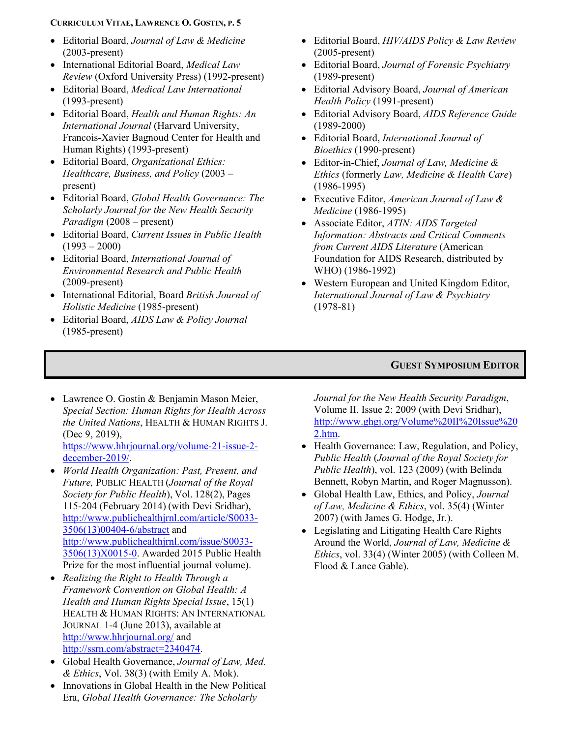- Editorial Board, *Journal of Law & Medicine* (2003-present)
- International Editorial Board, *Medical Law Review* (Oxford University Press) (1992-present)
- Editorial Board, *Medical Law International* (1993-present)
- Editorial Board, *Health and Human Rights: An International Journal* (Harvard University, Francois-Xavier Bagnoud Center for Health and Human Rights) (1993-present)
- Editorial Board, *Organizational Ethics: Healthcare, Business, and Policy* (2003 – present)
- Editorial Board, *Global Health Governance: The Scholarly Journal for the New Health Security Paradigm* (2008 – present)
- Editorial Board, *Current Issues in Public Health*  $(1993 - 2000)$
- Editorial Board, *International Journal of Environmental Research and Public Health* (2009-present)
- International Editorial, Board *British Journal of Holistic Medicine* (1985-present)
- Editorial Board, *AIDS Law & Policy Journal* (1985-present)
- Editorial Board, *HIV/AIDS Policy & Law Review* (2005-present)
- Editorial Board, *Journal of Forensic Psychiatry*  (1989-present)
- Editorial Advisory Board, *Journal of American Health Policy* (1991-present)
- Editorial Advisory Board, *AIDS Reference Guide* (1989-2000)
- Editorial Board, *International Journal of Bioethics* (1990-present)
- Editor-in-Chief, *Journal of Law, Medicine & Ethics* (formerly *Law, Medicine & Health Care*) (1986-1995)
- Executive Editor, *American Journal of Law & Medicine* (1986-1995)
- Associate Editor, *ATIN: AIDS Targeted Information: Abstracts and Critical Comments from Current AIDS Literature* (American Foundation for AIDS Research, distributed by WHO) (1986-1992)
- Western European and United Kingdom Editor, *International Journal of Law & Psychiatry* (1978-81)

#### **GUEST SYMPOSIUM EDITOR**

- Lawrence O. Gostin & Benjamin Mason Meier, *Special Section: Human Rights for Health Across the United Nations*, HEALTH & HUMAN RIGHTS J. (Dec 9, 2019), [https://www.hhrjournal.org/volume-21-issue-2](https://www.hhrjournal.org/volume-21-issue-2-december-2019/) [december-2019/.](https://www.hhrjournal.org/volume-21-issue-2-december-2019/)
- *World Health Organization: Past, Present, and Future,* PUBLIC HEALTH (*Journal of the Royal Society for Public Health*), Vol. 128(2), Pages 115-204 (February 2014) (with Devi Sridhar), [http://www.publichealthjrnl.com/article/S0033-](http://www.publichealthjrnl.com/article/S0033-3506(13)00404-6/abstract) [3506\(13\)00404-6/abstract](http://www.publichealthjrnl.com/article/S0033-3506(13)00404-6/abstract) and [http://www.publichealthjrnl.com/issue/S0033-](http://www.publichealthjrnl.com/issue/S0033-3506(13)X0015-0) [3506\(13\)X0015-0.](http://www.publichealthjrnl.com/issue/S0033-3506(13)X0015-0) Awarded 2015 Public Health Prize for the most influential journal volume).
- *Realizing the Right to Health Through a Framework Convention on Global Health: A Health and Human Rights Special Issue*, 15(1) HEALTH & HUMAN RIGHTS: AN INTERNATIONAL JOURNAL 1-4 (June 2013), available at <http://www.hhrjournal.org/> and [http://ssrn.com/abstract=2340474.](http://ssrn.com/abstract=2340474)
- Global Health Governance, *Journal of Law, Med. & Ethics*, Vol. 38(3) (with Emily A. Mok).
- Innovations in Global Health in the New Political Era, *Global Health Governance: The Scholarly*

*Journal for the New Health Security Paradigm*, Volume II, Issue 2: 2009 (with Devi Sridhar), [http://www.ghgj.org/Volume%20II%20Issue%20](http://www.ghgj.org/Volume%20II%20Issue%202.htm) [2.htm.](http://www.ghgj.org/Volume%20II%20Issue%202.htm)

- Health Governance: Law, Regulation, and Policy, *Public Health* (*Journal of the Royal Society for Public Health*), vol. 123 (2009) (with Belinda Bennett, Robyn Martin, and Roger Magnusson).
- Global Health Law, Ethics, and Policy, *Journal of Law, Medicine & Ethics*, vol. 35(4) (Winter 2007) (with James G. Hodge, Jr.).
- Legislating and Litigating Health Care Rights Around the World, *Journal of Law, Medicine & Ethics*, vol. 33(4) (Winter 2005) (with Colleen M. Flood & Lance Gable).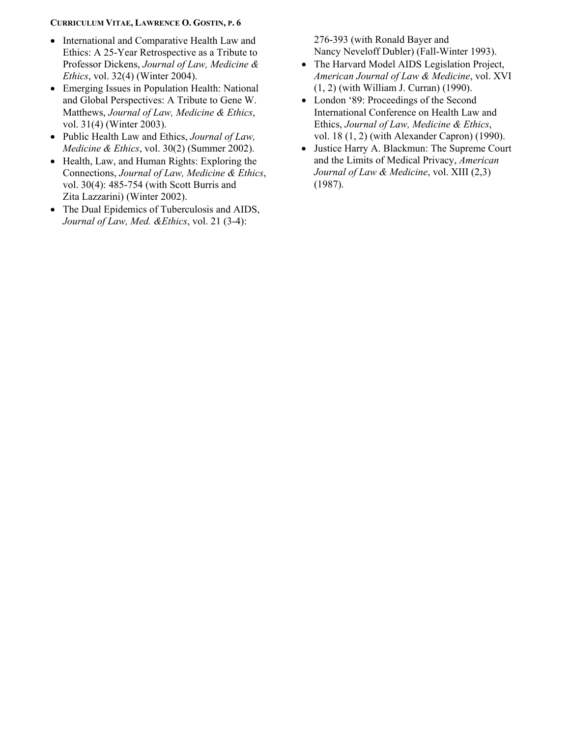- International and Comparative Health Law and Ethics: A 25-Year Retrospective as a Tribute to Professor Dickens, *Journal of Law, Medicine & Ethics*, vol. 32(4) (Winter 2004).
- Emerging Issues in Population Health: National and Global Perspectives: A Tribute to Gene W. Matthews, *Journal of Law, Medicine & Ethics*, vol. 31(4) (Winter 2003).
- Public Health Law and Ethics, *Journal of Law, Medicine & Ethics*, vol. 30(2) (Summer 2002).
- Health, Law, and Human Rights: Exploring the Connections, *Journal of Law, Medicine & Ethics*, vol. 30(4): 485-754 (with Scott Burris and Zita Lazzarini) (Winter 2002).
- The Dual Epidemics of Tuberculosis and AIDS, *Journal of Law, Med. &Ethics*, vol. 21 (3-4):

276-393 (with Ronald Bayer and Nancy Neveloff Dubler) (Fall-Winter 1993).

- The Harvard Model AIDS Legislation Project, *American Journal of Law & Medicine*, vol. XVI (1, 2) (with William J. Curran) (1990).
- London '89: Proceedings of the Second International Conference on Health Law and Ethics, *Journal of Law, Medicine & Ethics*, vol. 18 (1, 2) (with Alexander Capron) (1990).
- Justice Harry A. Blackmun: The Supreme Court and the Limits of Medical Privacy, *American Journal of Law & Medicine*, vol. XIII (2,3) (1987).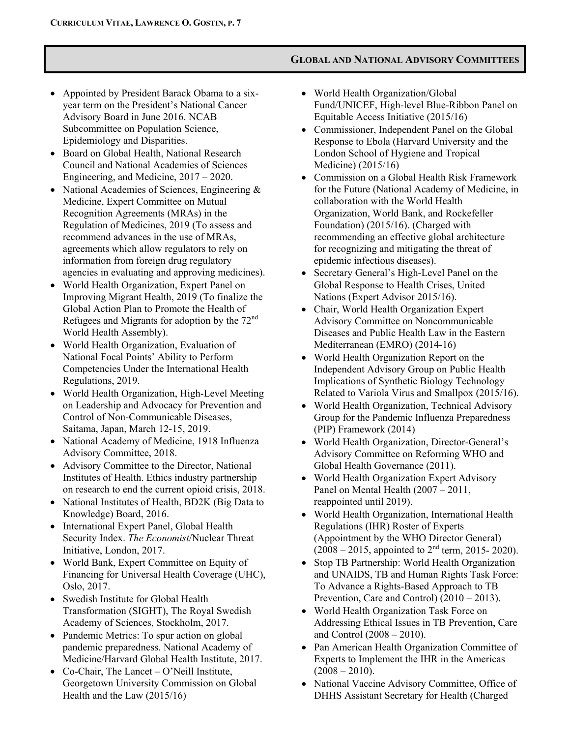# **GLOBAL AND NATIONAL ADVISORY COMMITTEES**

- Appointed by President Barack Obama to a sixyear term on the President's National Cancer Advisory Board in June 2016. NCAB Subcommittee on Population Science, Epidemiology and Disparities.
- Board on Global Health, National Research Council and National Academies of Sciences Engineering, and Medicine, 2017 – 2020.
- National Academies of Sciences, Engineering & Medicine, Expert Committee on Mutual Recognition Agreements (MRAs) in the Regulation of Medicines, 2019 (To assess and recommend advances in the use of MRAs, agreements which allow regulators to rely on information from foreign drug regulatory agencies in evaluating and approving medicines).
- World Health Organization, Expert Panel on Improving Migrant Health, 2019 (To finalize the Global Action Plan to Promote the Health of Refugees and Migrants for adoption by the 72nd World Health Assembly).
- World Health Organization, Evaluation of National Focal Points' Ability to Perform Competencies Under the International Health Regulations, 2019.
- World Health Organization, High-Level Meeting on Leadership and Advocacy for Prevention and Control of Non-Communicable Diseases, Saitama, Japan, March 12-15, 2019.
- National Academy of Medicine, 1918 Influenza Advisory Committee, 2018.
- Advisory Committee to the Director, National Institutes of Health. Ethics industry partnership on research to end the current opioid crisis, 2018.
- National Institutes of Health, BD2K (Big Data to Knowledge) Board, 2016.
- International Expert Panel, Global Health Security Index. *The Economist*/Nuclear Threat Initiative, London, 2017.
- World Bank, Expert Committee on Equity of Financing for Universal Health Coverage (UHC), Oslo, 2017.
- Swedish Institute for Global Health Transformation (SIGHT), The Royal Swedish Academy of Sciences, Stockholm, 2017.
- Pandemic Metrics: To spur action on global pandemic preparedness. National Academy of Medicine/Harvard Global Health Institute, 2017.
- Co-Chair, The Lancet O'Neill Institute, Georgetown University Commission on Global Health and the Law (2015/16)
- World Health Organization/Global Fund/UNICEF, High-level Blue-Ribbon Panel on Equitable Access Initiative (2015/16)
- Commissioner, Independent Panel on the Global Response to Ebola (Harvard University and the London School of Hygiene and Tropical Medicine) (2015/16)
- Commission on a Global Health Risk Framework for the Future (National Academy of Medicine, in collaboration with the World Health Organization, World Bank, and Rockefeller Foundation) (2015/16). (Charged with recommending an effective global architecture for recognizing and mitigating the threat of epidemic infectious diseases).
- Secretary General's High-Level Panel on the Global Response to Health Crises, United Nations (Expert Advisor 2015/16).
- Chair, World Health Organization Expert Advisory Committee on Noncommunicable Diseases and Public Health Law in the Eastern Mediterranean (EMRO) (2014-16)
- World Health Organization Report on the Independent Advisory Group on Public Health Implications of Synthetic Biology Technology Related to Variola Virus and Smallpox (2015/16).
- World Health Organization, Technical Advisory Group for the Pandemic Influenza Preparedness (PIP) Framework (2014)
- World Health Organization, Director-General's Advisory Committee on Reforming WHO and Global Health Governance (2011).
- World Health Organization Expert Advisory Panel on Mental Health (2007 – 2011, reappointed until 2019).
- World Health Organization, International Health Regulations (IHR) Roster of Experts (Appointment by the WHO Director General)  $(2008 - 2015,$  appointed to  $2<sup>nd</sup>$  term, 2015- 2020).
- Stop TB Partnership: World Health Organization and UNAIDS, TB and Human Rights Task Force: To Advance a Rights-Based Approach to TB Prevention, Care and Control) (2010 – 2013).
- World Health Organization Task Force on Addressing Ethical Issues in TB Prevention, Care and Control (2008 – 2010).
- Pan American Health Organization Committee of Experts to Implement the IHR in the Americas  $(2008 - 2010).$
- National Vaccine Advisory Committee, Office of DHHS Assistant Secretary for Health (Charged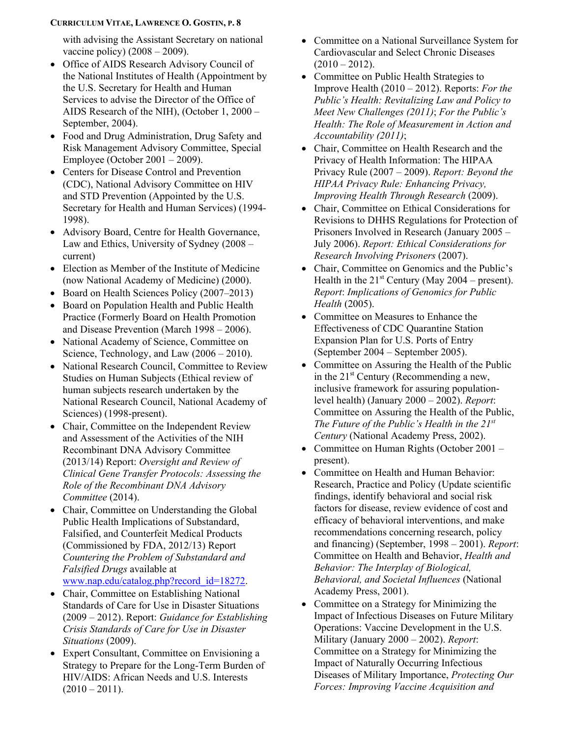with advising the Assistant Secretary on national vaccine policy)  $(2008 - 2009)$ .

- Office of AIDS Research Advisory Council of the National Institutes of Health (Appointment by the U.S. Secretary for Health and Human Services to advise the Director of the Office of AIDS Research of the NIH), (October 1, 2000 – September, 2004).
- Food and Drug Administration, Drug Safety and Risk Management Advisory Committee, Special Employee (October 2001 – 2009).
- Centers for Disease Control and Prevention (CDC), National Advisory Committee on HIV and STD Prevention (Appointed by the U.S. Secretary for Health and Human Services) (1994- 1998).
- Advisory Board, Centre for Health Governance, Law and Ethics, University of Sydney (2008 – current)
- Election as Member of the Institute of Medicine (now National Academy of Medicine) (2000).
- Board on Health Sciences Policy (2007–2013)
- Board on Population Health and Public Health Practice (Formerly Board on Health Promotion and Disease Prevention (March 1998 – 2006).
- National Academy of Science, Committee on Science, Technology, and Law  $(2006 - 2010)$ .
- National Research Council, Committee to Review Studies on Human Subjects (Ethical review of human subjects research undertaken by the National Research Council, National Academy of Sciences) (1998-present).
- Chair, Committee on the Independent Review and Assessment of the Activities of the NIH Recombinant DNA Advisory Committee (2013/14) Report: *Oversight and Review of Clinical Gene Transfer Protocols: Assessing the Role of the Recombinant DNA Advisory Committee* (2014).
- Chair, Committee on Understanding the Global Public Health Implications of Substandard, Falsified, and Counterfeit Medical Products (Commissioned by FDA, 2012/13) Report *Countering the Problem of Substandard and Falsified Drugs* available at [www.nap.edu/catalog.php?record\\_id=18272.](http://www.nap.edu/catalog.php?record_id=18272)
- Chair, Committee on Establishing National Standards of Care for Use in Disaster Situations (2009 – 2012). Report: *Guidance for Establishing Crisis Standards of Care for Use in Disaster Situations* (2009).
- Expert Consultant, Committee on Envisioning a Strategy to Prepare for the Long-Term Burden of HIV/AIDS: African Needs and U.S. Interests  $(2010 - 2011).$
- Committee on a National Surveillance System for Cardiovascular and Select Chronic Diseases  $(2010 - 2012)$ .
- Committee on Public Health Strategies to Improve Health (2010 – 2012). Reports: *For the Public's Health: Revitalizing Law and Policy to Meet New Challenges (2011)*; *For the Public's Health: The Role of Measurement in Action and Accountability (2011)*;
- Chair, Committee on Health Research and the Privacy of Health Information: The HIPAA Privacy Rule (2007 – 2009). *Report: Beyond the HIPAA Privacy Rule: Enhancing Privacy, Improving Health Through Research* (2009).
- Chair, Committee on Ethical Considerations for Revisions to DHHS Regulations for Protection of Prisoners Involved in Research (January 2005 – July 2006). *Report: Ethical Considerations for Research Involving Prisoners* (2007).
- Chair, Committee on Genomics and the Public's Health in the  $21^{st}$  Century (May 2004 – present). *Report*: *Implications of Genomics for Public Health* (2005).
- Committee on Measures to Enhance the Effectiveness of CDC Quarantine Station Expansion Plan for U.S. Ports of Entry (September 2004 – September 2005).
- Committee on Assuring the Health of the Public in the  $21<sup>st</sup>$  Century (Recommending a new, inclusive framework for assuring populationlevel health) (January 2000 – 2002). *Report*: Committee on Assuring the Health of the Public, *The Future of the Public's Health in the 21st Century* (National Academy Press, 2002).
- Committee on Human Rights (October 2001 present).
- Committee on Health and Human Behavior: Research, Practice and Policy (Update scientific findings, identify behavioral and social risk factors for disease, review evidence of cost and efficacy of behavioral interventions, and make recommendations concerning research, policy and financing) (September, 1998 – 2001). *Report*: Committee on Health and Behavior, *Health and Behavior: The Interplay of Biological, Behavioral, and Societal Influences* (National Academy Press, 2001).
- Committee on a Strategy for Minimizing the Impact of Infectious Diseases on Future Military Operations: Vaccine Development in the U.S. Military (January 2000 – 2002). *Report*: Committee on a Strategy for Minimizing the Impact of Naturally Occurring Infectious Diseases of Military Importance, *Protecting Our Forces: Improving Vaccine Acquisition and*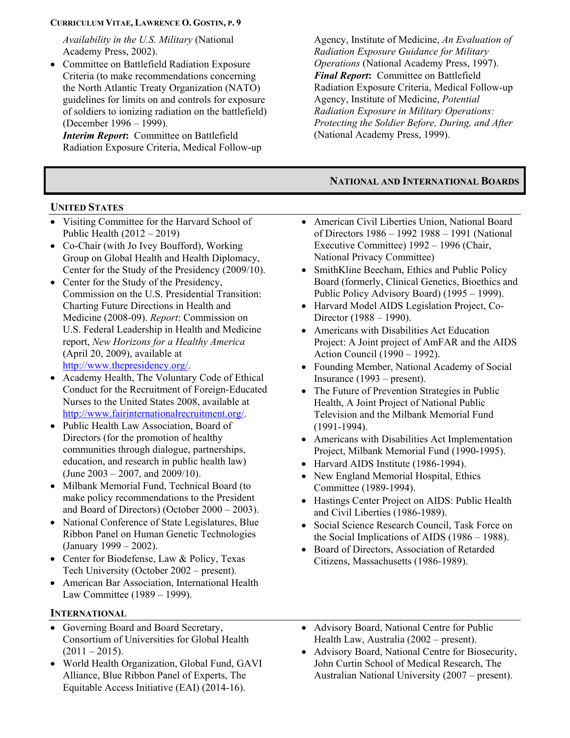*Availability in the U.S. Military* (National Academy Press, 2002).

• Committee on Battlefield Radiation Exposure Criteria (to make recommendations concerning the North Atlantic Treaty Organization (NATO) guidelines for limits on and controls for exposure of soldiers to ionizing radiation on the battlefield) (December 1996 – 1999).

*Interim Report***:** Committee on Battlefield Radiation Exposure Criteria, Medical Follow-up

# **UNITED STATES**

- Visiting Committee for the Harvard School of Public Health (2012 – 2019)
- Co-Chair (with Jo Ivey Boufford), Working Group on Global Health and Health Diplomacy, Center for the Study of the Presidency (2009/10).
- Center for the Study of the Presidency, Commission on the U.S. Presidential Transition: Charting Future Directions in Health and Medicine (2008-09). *Report*: Commission on U.S. Federal Leadership in Health and Medicine report, *New Horizons for a Healthy America* (April 20, 2009), available at [http://www.thepresidency.org/.](http://www.thepresidency.org/)
- Academy Health, The Voluntary Code of Ethical Conduct for the Recruitment of Foreign-Educated Nurses to the United States 2008, available at [http://www.fairinternationalrecruitment.org/.](http://www.fairinternationalrecruitment.org/)
- Public Health Law Association, Board of Directors (for the promotion of healthy communities through dialogue, partnerships, education, and research in public health law) (June 2003 – 2007, and 2009/10).
- Milbank Memorial Fund, Technical Board (to make policy recommendations to the President and Board of Directors) (October 2000 – 2003).
- National Conference of State Legislatures, Blue Ribbon Panel on Human Genetic Technologies (January 1999 – 2002).
- Center for Biodefense, Law & Policy, Texas Tech University (October 2002 – present).
- American Bar Association, International Health Law Committee (1989 – 1999).

# **INTERNATIONAL**

- Governing Board and Board Secretary, Consortium of Universities for Global Health  $(2011 - 2015).$
- World Health Organization, Global Fund, GAVI Alliance, Blue Ribbon Panel of Experts, The Equitable Access Initiative (EAI) (2014-16).

Agency, Institute of Medicine, *An Evaluation of Radiation Exposure Guidance for Military Operations* (National Academy Press, 1997). *Final Report***:** Committee on Battlefield Radiation Exposure Criteria, Medical Follow-up Agency, Institute of Medicine, *Potential Radiation Exposure in Military Operations: Protecting the Soldier Before, During, and After* (National Academy Press, 1999).

# **NATIONAL AND INTERNATIONAL BOARDS**

- American Civil Liberties Union, National Board of Directors 1986 – 1992 1988 – 1991 (National Executive Committee) 1992 – 1996 (Chair, National Privacy Committee)
- SmithKline Beecham, Ethics and Public Policy Board (formerly, Clinical Genetics, Bioethics and Public Policy Advisory Board) (1995 – 1999).
- Harvard Model AIDS Legislation Project, Co-Director (1988 – 1990).
- Americans with Disabilities Act Education Project: A Joint project of AmFAR and the AIDS Action Council (1990 – 1992).
- Founding Member, National Academy of Social Insurance (1993 – present).
- The Future of Prevention Strategies in Public Health, A Joint Project of National Public Television and the Milbank Memorial Fund (1991-1994).
- Americans with Disabilities Act Implementation Project, Milbank Memorial Fund (1990-1995).
- Harvard AIDS Institute (1986-1994).
- New England Memorial Hospital, Ethics Committee (1989-1994).
- Hastings Center Project on AIDS: Public Health and Civil Liberties (1986-1989).
- Social Science Research Council, Task Force on the Social Implications of AIDS (1986 – 1988).
- Board of Directors, Association of Retarded Citizens, Massachusetts (1986-1989).
- Advisory Board, National Centre for Public Health Law, Australia (2002 – present).
- Advisory Board, National Centre for Biosecurity, John Curtin School of Medical Research, The Australian National University (2007 – present).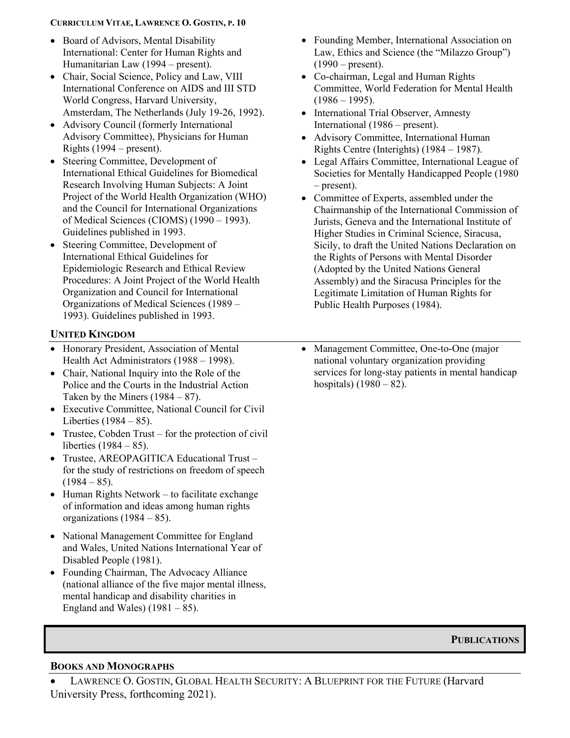- Board of Advisors, Mental Disability International: Center for Human Rights and Humanitarian Law (1994 – present).
- Chair, Social Science, Policy and Law, VIII International Conference on AIDS and III STD World Congress, Harvard University, Amsterdam, The Netherlands (July 19-26, 1992).
- Advisory Council (formerly International Advisory Committee), Physicians for Human Rights (1994 – present).
- Steering Committee, Development of International Ethical Guidelines for Biomedical Research Involving Human Subjects: A Joint Project of the World Health Organization (WHO) and the Council for International Organizations of Medical Sciences (CIOMS) (1990 – 1993). Guidelines published in 1993.
- Steering Committee, Development of International Ethical Guidelines for Epidemiologic Research and Ethical Review Procedures: A Joint Project of the World Health Organization and Council for International Organizations of Medical Sciences (1989 – 1993). Guidelines published in 1993.

## **UNITED KINGDOM**

- Honorary President, Association of Mental Health Act Administrators (1988 – 1998).
- Chair, National Inquiry into the Role of the Police and the Courts in the Industrial Action Taken by the Miners  $(1984 - 87)$ .
- Executive Committee, National Council for Civil Liberties  $(1984 - 85)$ .
- Trustee, Cobden Trust for the protection of civil liberties (1984 – 85).
- Trustee, AREOPAGITICA Educational Trust for the study of restrictions on freedom of speech  $(1984 - 85)$ .
- Human Rights Network to facilitate exchange of information and ideas among human rights organizations (1984 – 85).
- National Management Committee for England and Wales, United Nations International Year of Disabled People (1981).
- Founding Chairman, The Advocacy Alliance (national alliance of the five major mental illness, mental handicap and disability charities in England and Wales)  $(1981 - 85)$ .
- Founding Member, International Association on Law, Ethics and Science (the "Milazzo Group")  $(1990 - present).$
- Co-chairman, Legal and Human Rights Committee, World Federation for Mental Health  $(1986 - 1995)$ .
- International Trial Observer, Amnesty International (1986 – present).
- Advisory Committee, International Human Rights Centre (Interights) (1984 – 1987).
- Legal Affairs Committee, International League of Societies for Mentally Handicapped People (1980 – present).
- Committee of Experts, assembled under the Chairmanship of the International Commission of Jurists, Geneva and the International Institute of Higher Studies in Criminal Science, Siracusa, Sicily, to draft the United Nations Declaration on the Rights of Persons with Mental Disorder (Adopted by the United Nations General Assembly) and the Siracusa Principles for the Legitimate Limitation of Human Rights for Public Health Purposes (1984).
- Management Committee, One-to-One (major national voluntary organization providing services for long-stay patients in mental handicap hospitals)  $(1980 - 82)$ .

**PUBLICATIONS**

#### **BOOKS AND MONOGRAPHS**

LAWRENCE O. GOSTIN, GLOBAL HEALTH SECURITY: A BLUEPRINT FOR THE FUTURE (Harvard University Press, forthcoming 2021).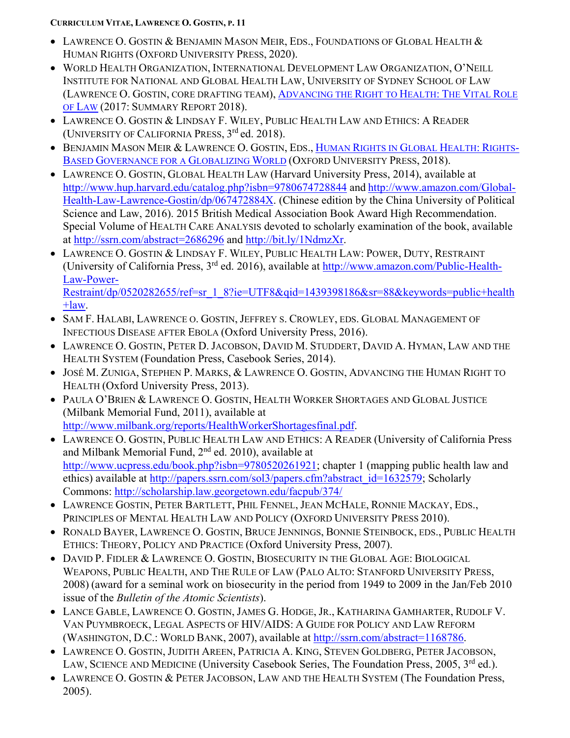- LAWRENCE O. GOSTIN & BENJAMIN MASON MEIR, EDS., FOUNDATIONS OF GLOBAL HEALTH & HUMAN RIGHTS (OXFORD UNIVERSITY PRESS, 2020).
- WORLD HEALTH ORGANIZATION, INTERNATIONAL DEVELOPMENT LAW ORGANIZATION, O'NEILL INSTITUTE FOR NATIONAL AND GLOBAL HEALTH LAW, UNIVERSITY OF SYDNEY SCHOOL OF LAW (LAWRENCE O. GOSTIN, CORE DRAFTING TEAM), [ADVANCING THE RIGHT TO HEALTH:](http://apps.who.int/iris/bitstream/10665/%20252815/1/9789241511384-eng.pdf.) THE VITAL ROLE [OF LAW](http://apps.who.int/iris/bitstream/10665/%20252815/1/9789241511384-eng.pdf.) (2017: SUMMARY REPORT 2018).
- LAWRENCE O. GOSTIN & LINDSAY F. WILEY, PUBLIC HEALTH LAW AND ETHICS: A READER (UNIVERSITY OF CALIFORNIA PRESS,  $3^{rd}$  ed. 2018).
- BENJAMIN MASON MEIR & LAWRENCE O. GOSTIN, EDS., [HUMAN RIGHTS IN GLOBAL HEALTH:](https://global.oup.com/academic/product/human-rights-in-global-health-9780190672683?q=human%20rights%20in%20global%20health&lang=en&cc=us) RIGHTS-[BASED GOVERNANCE FOR A](https://global.oup.com/academic/product/human-rights-in-global-health-9780190672683?q=human%20rights%20in%20global%20health&lang=en&cc=us) GLOBALIZING WORLD (OXFORD UNIVERSITY PRESS, 2018).
- LAWRENCE O. GOSTIN, GLOBAL HEALTH LAW (Harvard University Press, 2014), available at <http://www.hup.harvard.edu/catalog.php?isbn=9780674728844> and [http://www.amazon.com/Global-](http://www.amazon.com/Global-Health-Law-Lawrence-Gostin/dp/067472884X)[Health-Law-Lawrence-Gostin/dp/067472884X.](http://www.amazon.com/Global-Health-Law-Lawrence-Gostin/dp/067472884X) (Chinese edition by the China University of Political Science and Law, 2016). 2015 British Medical Association Book Award High Recommendation. Special Volume of HEALTH CARE ANALYSIS devoted to scholarly examination of the book, available at <http://ssrn.com/abstract=2686296> and [http://bit.ly/1NdmzXr.](http://bit.ly/1NdmzXr)
- LAWRENCE O. GOSTIN & LINDSAY F. WILEY, PUBLIC HEALTH LAW: POWER, DUTY, RESTRAINT (University of California Press, 3rd ed. 2016), available at [http://www.amazon.com/Public-Health-](http://www.amazon.com/Public-Health-Law-Power-Restraint/dp/0520282655/ref=sr_1_8?ie=UTF8&qid=1439398186&sr=88&keywords=public+health+law)[Law-Power-](http://www.amazon.com/Public-Health-Law-Power-Restraint/dp/0520282655/ref=sr_1_8?ie=UTF8&qid=1439398186&sr=88&keywords=public+health+law)

[Restraint/dp/0520282655/ref=sr\\_1\\_8?ie=UTF8&qid=1439398186&sr=88&keywords=public+health](http://www.amazon.com/Public-Health-Law-Power-Restraint/dp/0520282655/ref=sr_1_8?ie=UTF8&qid=1439398186&sr=88&keywords=public+health+law)  $+$ law.

- SAM F. HALABI, LAWRENCE O. GOSTIN, JEFFREY S. CROWLEY, EDS. GLOBAL MANAGEMENT OF INFECTIOUS DISEASE AFTER EBOLA (Oxford University Press, 2016).
- LAWRENCE O. GOSTIN, PETER D. JACOBSON, DAVID M. STUDDERT, DAVID A. HYMAN, LAW AND THE HEALTH SYSTEM (Foundation Press, Casebook Series, 2014).
- JOSÉ M. ZUNIGA, STEPHEN P. MARKS, & LAWRENCE O. GOSTIN, ADVANCING THE HUMAN RIGHT TO HEALTH (Oxford University Press, 2013).
- PAULA O'BRIEN & LAWRENCE O. GOSTIN, HEALTH WORKER SHORTAGES AND GLOBAL JUSTICE (Milbank Memorial Fund, 2011), available at [http://www.milbank.org/reports/HealthWorkerShortagesfinal.pdf.](http://www.milbank.org/reports/HealthWorkerShortagesfinal.pdf)
- LAWRENCE O. GOSTIN, PUBLIC HEALTH LAW AND ETHICS: A READER (University of California Press and Milbank Memorial Fund, 2nd ed. 2010), available at [http://www.ucpress.edu/book.php?isbn=9780520261921;](http://www.ucpress.edu/book.php?isbn=9780520261921) chapter 1 (mapping public health law and ethics) available at [http://papers.ssrn.com/sol3/papers.cfm?abstract\\_id=1632579;](http://papers.ssrn.com/sol3/papers.cfm?abstract_id=1632579) Scholarly Commons:<http://scholarship.law.georgetown.edu/facpub/374/>
- LAWRENCE GOSTIN, PETER BARTLETT, PHIL FENNEL, JEAN MCHALE, RONNIE MACKAY, EDS., PRINCIPLES OF MENTAL HEALTH LAW AND POLICY (OXFORD UNIVERSITY PRESS 2010).
- RONALD BAYER, LAWRENCE O. GOSTIN, BRUCE JENNINGS, BONNIE STEINBOCK, EDS., PUBLIC HEALTH ETHICS: THEORY, POLICY AND PRACTICE (Oxford University Press, 2007).
- DAVID P. FIDLER & LAWRENCE O. GOSTIN, BIOSECURITY IN THE GLOBAL AGE: BIOLOGICAL WEAPONS, PUBLIC HEALTH, AND THE RULE OF LAW (PALO ALTO: STANFORD UNIVERSITY PRESS, 2008) (award for a seminal work on biosecurity in the period from 1949 to 2009 in the Jan/Feb 2010 issue of the *Bulletin of the Atomic Scientists*).
- LANCE GABLE, LAWRENCE O. GOSTIN, JAMES G. HODGE, JR., KATHARINA GAMHARTER, RUDOLF V. VAN PUYMBROECK, LEGAL ASPECTS OF HIV/AIDS: A GUIDE FOR POLICY AND LAW REFORM (WASHINGTON, D.C.: WORLD BANK, 2007), available at [http://ssrn.com/abstract=1168786.](http://ssrn.com/abstract=1168786)
- LAWRENCE O. GOSTIN, JUDITH AREEN, PATRICIA A. KING, STEVEN GOLDBERG, PETER JACOBSON, LAW, SCIENCE AND MEDICINE (University Casebook Series, The Foundation Press, 2005, 3<sup>rd</sup> ed.).
- LAWRENCE O. GOSTIN & PETER JACOBSON, LAW AND THE HEALTH SYSTEM (The Foundation Press, 2005).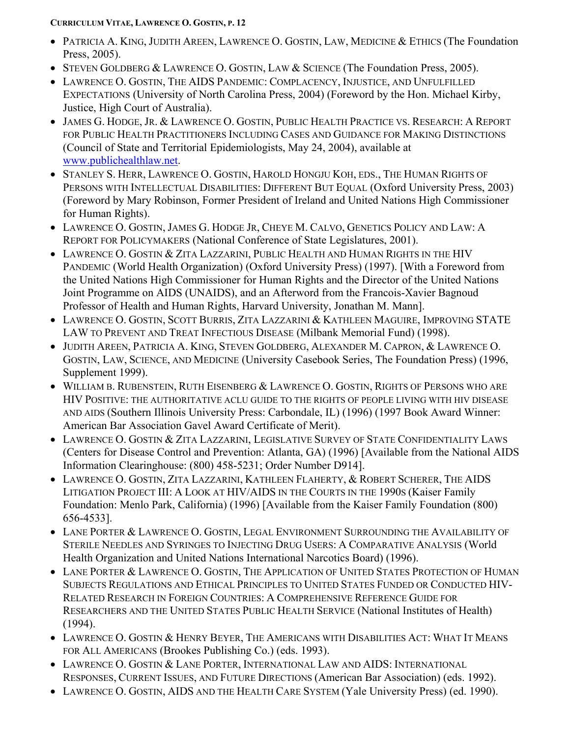- PATRICIA A. KING, JUDITH AREEN, LAWRENCE O. GOSTIN, LAW, MEDICINE & ETHICS (The Foundation Press, 2005).
- STEVEN GOLDBERG & LAWRENCE O. GOSTIN, LAW & SCIENCE (The Foundation Press, 2005).
- LAWRENCE O. GOSTIN, THE AIDS PANDEMIC: COMPLACENCY, INJUSTICE, AND UNFULFILLED EXPECTATIONS (University of North Carolina Press, 2004) (Foreword by the Hon. Michael Kirby, Justice, High Court of Australia).
- JAMES G. HODGE, JR. & LAWRENCE O. GOSTIN, PUBLIC HEALTH PRACTICE VS. RESEARCH: A REPORT FOR PUBLIC HEALTH PRACTITIONERS INCLUDING CASES AND GUIDANCE FOR MAKING DISTINCTIONS (Council of State and Territorial Epidemiologists, May 24, 2004), available at [www.publichealthlaw.net.](http://www.publichealthlaw.net/)
- STANLEY S. HERR, LAWRENCE O. GOSTIN, HAROLD HONGJU KOH, EDS., THE HUMAN RIGHTS OF PERSONS WITH INTELLECTUAL DISABILITIES: DIFFERENT BUT EQUAL (Oxford University Press, 2003) (Foreword by Mary Robinson, Former President of Ireland and United Nations High Commissioner for Human Rights).
- LAWRENCE O. GOSTIN, JAMES G. HODGE JR, CHEYE M. CALVO, GENETICS POLICY AND LAW: A REPORT FOR POLICYMAKERS (National Conference of State Legislatures, 2001).
- LAWRENCE O. GOSTIN & ZITA LAZZARINI, PUBLIC HEALTH AND HUMAN RIGHTS IN THE HIV PANDEMIC (World Health Organization) (Oxford University Press) (1997). [With a Foreword from the United Nations High Commissioner for Human Rights and the Director of the United Nations Joint Programme on AIDS (UNAIDS), and an Afterword from the Francois-Xavier Bagnoud Professor of Health and Human Rights, Harvard University, Jonathan M. Mann].
- LAWRENCE O. GOSTIN, SCOTT BURRIS, ZITA LAZZARINI & KATHLEEN MAGUIRE, IMPROVING STATE LAW TO PREVENT AND TREAT INFECTIOUS DISEASE (Milbank Memorial Fund) (1998).
- JUDITH AREEN, PATRICIA A. KING, STEVEN GOLDBERG, ALEXANDER M. CAPRON, & LAWRENCE O. GOSTIN, LAW, SCIENCE, AND MEDICINE (University Casebook Series, The Foundation Press) (1996, Supplement 1999).
- WILLIAM B. RUBENSTEIN, RUTH EISENBERG & LAWRENCE O. GOSTIN, RIGHTS OF PERSONS WHO ARE HIV POSITIVE: THE AUTHORITATIVE ACLU GUIDE TO THE RIGHTS OF PEOPLE LIVING WITH HIV DISEASE AND AIDS (Southern Illinois University Press: Carbondale, IL) (1996) (1997 Book Award Winner: American Bar Association Gavel Award Certificate of Merit).
- LAWRENCE O. GOSTIN & ZITA LAZZARINI, LEGISLATIVE SURVEY OF STATE CONFIDENTIALITY LAWS (Centers for Disease Control and Prevention: Atlanta, GA) (1996) [Available from the National AIDS Information Clearinghouse: (800) 458-5231; Order Number D914].
- LAWRENCE O. GOSTIN, ZITA LAZZARINI, KATHLEEN FLAHERTY, & ROBERT SCHERER, THE AIDS LITIGATION PROJECT III: A LOOK AT HIV/AIDS IN THE COURTS IN THE 1990S (Kaiser Family Foundation: Menlo Park, California) (1996) [Available from the Kaiser Family Foundation (800) 656-4533].
- LANE PORTER & LAWRENCE O. GOSTIN, LEGAL ENVIRONMENT SURROUNDING THE AVAILABILITY OF STERILE NEEDLES AND SYRINGES TO INJECTING DRUG USERS: A COMPARATIVE ANALYSIS (World Health Organization and United Nations International Narcotics Board) (1996).
- LANE PORTER & LAWRENCE O. GOSTIN, THE APPLICATION OF UNITED STATES PROTECTION OF HUMAN SUBJECTS REGULATIONS AND ETHICAL PRINCIPLES TO UNITED STATES FUNDED OR CONDUCTED HIV-RELATED RESEARCH IN FOREIGN COUNTRIES: A COMPREHENSIVE REFERENCE GUIDE FOR RESEARCHERS AND THE UNITED STATES PUBLIC HEALTH SERVICE (National Institutes of Health) (1994).
- LAWRENCE O. GOSTIN & HENRY BEYER, THE AMERICANS WITH DISABILITIES ACT: WHAT IT MEANS FOR ALL AMERICANS (Brookes Publishing Co.) (eds. 1993).
- LAWRENCE O. GOSTIN & LANE PORTER, INTERNATIONAL LAW AND AIDS: INTERNATIONAL RESPONSES, CURRENT ISSUES, AND FUTURE DIRECTIONS (American Bar Association) (eds. 1992).
- LAWRENCE O. GOSTIN, AIDS AND THE HEALTH CARE SYSTEM (Yale University Press) (ed. 1990).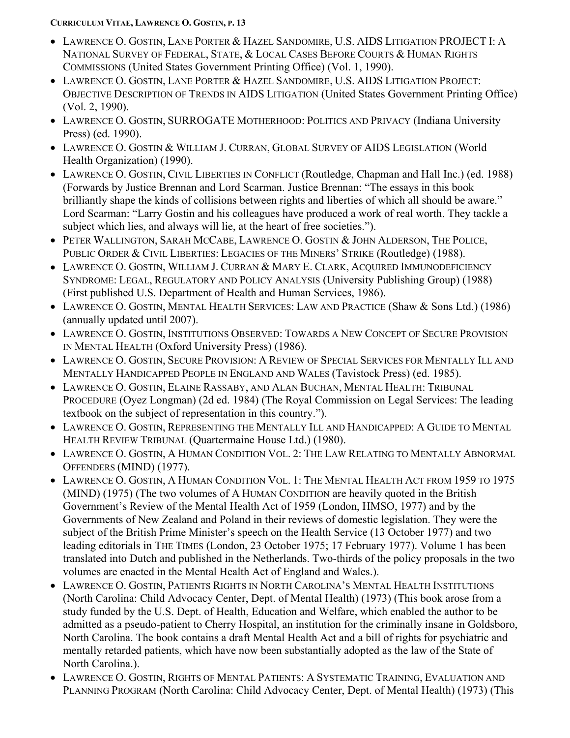- LAWRENCE O. GOSTIN, LANE PORTER & HAZEL SANDOMIRE, U.S. AIDS LITIGATION PROJECT I: A NATIONAL SURVEY OF FEDERAL, STATE, & LOCAL CASES BEFORE COURTS & HUMAN RIGHTS COMMISSIONS (United States Government Printing Office) (Vol. 1, 1990).
- LAWRENCE O. GOSTIN, LANE PORTER & HAZEL SANDOMIRE, U.S. AIDS LITIGATION PROJECT: OBJECTIVE DESCRIPTION OF TRENDS IN AIDS LITIGATION (United States Government Printing Office) (Vol. 2, 1990).
- LAWRENCE O. GOSTIN, SURROGATE MOTHERHOOD: POLITICS AND PRIVACY (Indiana University Press) (ed. 1990).
- LAWRENCE O. GOSTIN & WILLIAM J. CURRAN, GLOBAL SURVEY OF AIDS LEGISLATION (World Health Organization) (1990).
- LAWRENCE O. GOSTIN, CIVIL LIBERTIES IN CONFLICT (Routledge, Chapman and Hall Inc.) (ed. 1988) (Forwards by Justice Brennan and Lord Scarman. Justice Brennan: "The essays in this book brilliantly shape the kinds of collisions between rights and liberties of which all should be aware." Lord Scarman: "Larry Gostin and his colleagues have produced a work of real worth. They tackle a subject which lies, and always will lie, at the heart of free societies.").
- PETER WALLINGTON, SARAH MCCABE, LAWRENCE O. GOSTIN & JOHN ALDERSON, THE POLICE, PUBLIC ORDER & CIVIL LIBERTIES: LEGACIES OF THE MINERS' STRIKE (Routledge) (1988).
- LAWRENCE O. GOSTIN, WILLIAM J. CURRAN & MARY E. CLARK, ACQUIRED IMMUNODEFICIENCY SYNDROME: LEGAL, REGULATORY AND POLICY ANALYSIS (University Publishing Group) (1988) (First published U.S. Department of Health and Human Services, 1986).
- LAWRENCE O. GOSTIN, MENTAL HEALTH SERVICES: LAW AND PRACTICE (Shaw & Sons Ltd.) (1986) (annually updated until 2007).
- LAWRENCE O. GOSTIN, INSTITUTIONS OBSERVED: TOWARDS A NEW CONCEPT OF SECURE PROVISION IN MENTAL HEALTH (Oxford University Press) (1986).
- LAWRENCE O. GOSTIN, SECURE PROVISION: A REVIEW OF SPECIAL SERVICES FOR MENTALLY ILL AND MENTALLY HANDICAPPED PEOPLE IN ENGLAND AND WALES (Tavistock Press) (ed. 1985).
- LAWRENCE O. GOSTIN, ELAINE RASSABY, AND ALAN BUCHAN, MENTAL HEALTH: TRIBUNAL PROCEDURE (Oyez Longman) (2d ed. 1984) (The Royal Commission on Legal Services: The leading textbook on the subject of representation in this country.").
- LAWRENCE O. GOSTIN, REPRESENTING THE MENTALLY ILL AND HANDICAPPED: A GUIDE TO MENTAL HEALTH REVIEW TRIBUNAL (Quartermaine House Ltd.) (1980).
- LAWRENCE O. GOSTIN, A HUMAN CONDITION VOL. 2: THE LAW RELATING TO MENTALLY ABNORMAL OFFENDERS (MIND) (1977).
- LAWRENCE O. GOSTIN, A HUMAN CONDITION VOL. 1: THE MENTAL HEALTH ACT FROM 1959 TO 1975 (MIND) (1975) (The two volumes of A HUMAN CONDITION are heavily quoted in the British Government's Review of the Mental Health Act of 1959 (London, HMSO, 1977) and by the Governments of New Zealand and Poland in their reviews of domestic legislation. They were the subject of the British Prime Minister's speech on the Health Service (13 October 1977) and two leading editorials in THE TIMES (London, 23 October 1975; 17 February 1977). Volume 1 has been translated into Dutch and published in the Netherlands. Two-thirds of the policy proposals in the two volumes are enacted in the Mental Health Act of England and Wales.).
- LAWRENCE O. GOSTIN, PATIENTS RIGHTS IN NORTH CAROLINA'S MENTAL HEALTH INSTITUTIONS (North Carolina: Child Advocacy Center, Dept. of Mental Health) (1973) (This book arose from a study funded by the U.S. Dept. of Health, Education and Welfare, which enabled the author to be admitted as a pseudo-patient to Cherry Hospital, an institution for the criminally insane in Goldsboro, North Carolina. The book contains a draft Mental Health Act and a bill of rights for psychiatric and mentally retarded patients, which have now been substantially adopted as the law of the State of North Carolina.).
- LAWRENCE O. GOSTIN, RIGHTS OF MENTAL PATIENTS: A SYSTEMATIC TRAINING, EVALUATION AND PLANNING PROGRAM (North Carolina: Child Advocacy Center, Dept. of Mental Health) (1973) (This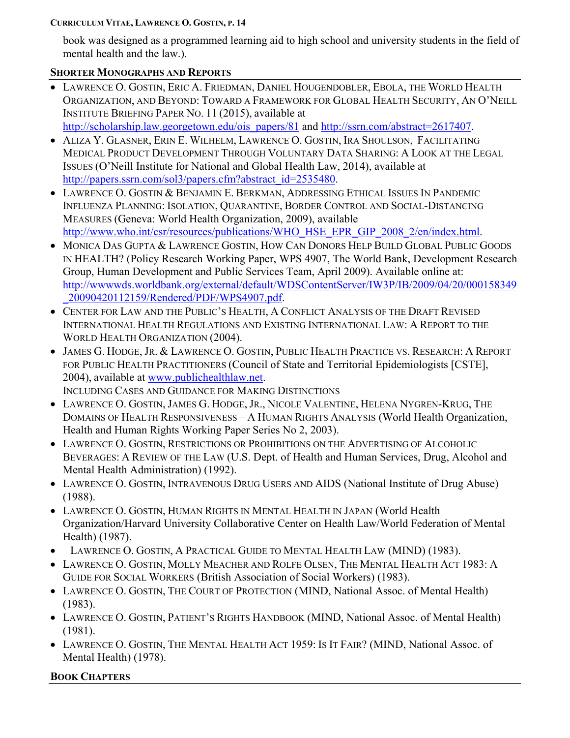book was designed as a programmed learning aid to high school and university students in the field of mental health and the law.).

# **SHORTER MONOGRAPHS AND REPORTS**

- LAWRENCE O. GOSTIN, ERIC A. FRIEDMAN, DANIEL HOUGENDOBLER, EBOLA, THE WORLD HEALTH ORGANIZATION, AND BEYOND: TOWARD A FRAMEWORK FOR GLOBAL HEALTH SECURITY, AN O'NEILL INSTITUTE BRIEFING PAPER NO. 11 (2015), available at [http://scholarship.law.georgetown.edu/ois\\_papers/81](http://scholarship.law.georgetown.edu/ois_papers/81) and [http://ssrn.com/abstract=2617407.](http://ssrn.com/abstract=2617407)
- ALIZA Y. GLASNER, ERIN E. WILHELM, LAWRENCE O. GOSTIN, IRA SHOULSON, FACILITATING MEDICAL PRODUCT DEVELOPMENT THROUGH VOLUNTARY DATA SHARING: A LOOK AT THE LEGAL ISSUES (O'Neill Institute for National and Global Health Law, 2014), available at [http://papers.ssrn.com/sol3/papers.cfm?abstract\\_id=2535480.](http://papers.ssrn.com/sol3/papers.cfm?abstract_id=2535480)
- LAWRENCE O. GOSTIN & BENJAMIN E. BERKMAN, ADDRESSING ETHICAL ISSUES IN PANDEMIC INFLUENZA PLANNING: ISOLATION, QUARANTINE, BORDER CONTROL AND SOCIAL-DISTANCING MEASURES (Geneva: World Health Organization, 2009), available [http://www.who.int/csr/resources/publications/WHO\\_HSE\\_EPR\\_GIP\\_2008\\_2/en/index.html.](http://www.who.int/csr/resources/publications/WHO_HSE_EPR_GIP_2008_2/en/index.html)
- MONICA DAS GUPTA & LAWRENCE GOSTIN, HOW CAN DONORS HELP BUILD GLOBAL PUBLIC GOODS IN HEALTH? (Policy Research Working Paper, WPS 4907, The World Bank, Development Research Group, Human Development and Public Services Team, April 2009). Available online at: [http://wwwwds.worldbank.org/external/default/WDSContentServer/IW3P/IB/2009/04/20/000158349](http://wwwwds.worldbank.org/external/default/WDSContentServer/IW3P/IB/2009/04/20/000158349_20090420112159/Rendered/PDF/WPS4907.pdf) [\\_20090420112159/Rendered/PDF/WPS4907.pdf.](http://wwwwds.worldbank.org/external/default/WDSContentServer/IW3P/IB/2009/04/20/000158349_20090420112159/Rendered/PDF/WPS4907.pdf)
- CENTER FOR LAW AND THE PUBLIC'S HEALTH, A CONFLICT ANALYSIS OF THE DRAFT REVISED INTERNATIONAL HEALTH REGULATIONS AND EXISTING INTERNATIONAL LAW: A REPORT TO THE WORLD HEALTH ORGANIZATION (2004).
- JAMES G. HODGE, JR. & LAWRENCE O. GOSTIN, PUBLIC HEALTH PRACTICE VS. RESEARCH: A REPORT FOR PUBLIC HEALTH PRACTITIONERS (Council of State and Territorial Epidemiologists [CSTE], 2004), available at [www.publichealthlaw.net.](http://www.publichealthlaw.net/)
- INCLUDING CASES AND GUIDANCE FOR MAKING DISTINCTIONS • LAWRENCE O. GOSTIN, JAMES G. HODGE, JR., NICOLE VALENTINE, HELENA NYGREN-KRUG, THE
- DOMAINS OF HEALTH RESPONSIVENESS A HUMAN RIGHTS ANALYSIS (World Health Organization, Health and Human Rights Working Paper Series No 2, 2003).
- LAWRENCE O. GOSTIN, RESTRICTIONS OR PROHIBITIONS ON THE ADVERTISING OF ALCOHOLIC BEVERAGES: A REVIEW OF THE LAW (U.S. Dept. of Health and Human Services, Drug, Alcohol and Mental Health Administration) (1992).
- LAWRENCE O. GOSTIN, INTRAVENOUS DRUG USERS AND AIDS (National Institute of Drug Abuse) (1988).
- LAWRENCE O. GOSTIN, HUMAN RIGHTS IN MENTAL HEALTH IN JAPAN (World Health Organization/Harvard University Collaborative Center on Health Law/World Federation of Mental Health) (1987).
- LAWRENCE O. GOSTIN, A PRACTICAL GUIDE TO MENTAL HEALTH LAW (MIND) (1983).
- LAWRENCE O. GOSTIN, MOLLY MEACHER AND ROLFE OLSEN, THE MENTAL HEALTH ACT 1983: A GUIDE FOR SOCIAL WORKERS (British Association of Social Workers) (1983).
- LAWRENCE O. GOSTIN, THE COURT OF PROTECTION (MIND, National Assoc. of Mental Health) (1983).
- LAWRENCE O. GOSTIN, PATIENT'S RIGHTS HANDBOOK (MIND, National Assoc. of Mental Health) (1981).
- LAWRENCE O. GOSTIN, THE MENTAL HEALTH ACT 1959: IS IT FAIR? (MIND, National Assoc. of Mental Health) (1978).

# **BOOK CHAPTERS**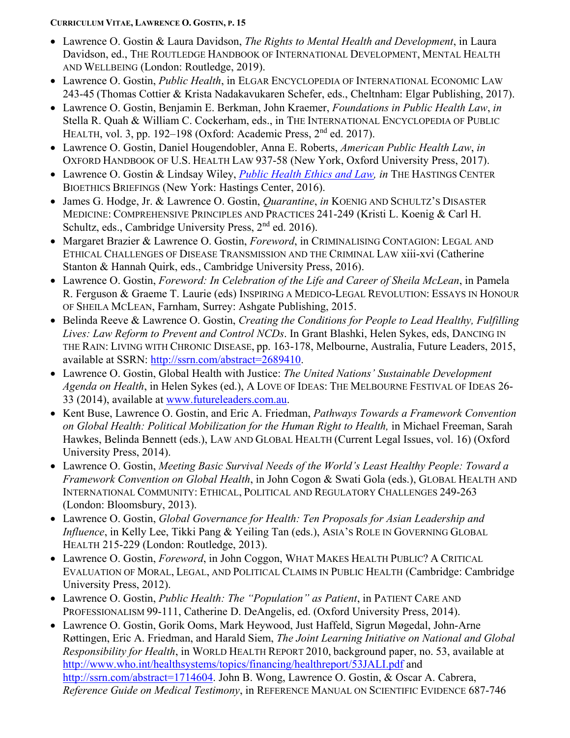- Lawrence O. Gostin & Laura Davidson, *The Rights to Mental Health and Development*, in Laura Davidson, ed., THE ROUTLEDGE HANDBOOK OF INTERNATIONAL DEVELOPMENT, MENTAL HEALTH AND WELLBEING (London: Routledge, 2019).
- Lawrence O. Gostin, *Public Health*, in ELGAR ENCYCLOPEDIA OF INTERNATIONAL ECONOMIC LAW 243-45 (Thomas Cottier & Krista Nadakavukaren Schefer, eds., Cheltnham: Elgar Publishing, 2017).
- Lawrence O. Gostin, Benjamin E. Berkman, John Kraemer, *Foundations in Public Health Law*, *in* Stella R. Quah & William C. Cockerham, eds., in THE INTERNATIONAL ENCYCLOPEDIA OF PUBLIC HEALTH, vol. 3, pp. 192–198 (Oxford: Academic Press, 2nd ed. 2017).
- Lawrence O. Gostin, Daniel Hougendobler, Anna E. Roberts, *American Public Health Law*, *in* OXFORD HANDBOOK OF U.S. HEALTH LAW 937-58 (New York, Oxford University Press, 2017).
- Lawrence O. Gostin & Lindsay Wiley, *[Public Health Ethics and Law,](http://www.thehastingscenter.org/briefingbook/public-health/) in* THE HASTINGS CENTER BIOETHICS BRIEFINGS (New York: Hastings Center, 2016).
- James G. Hodge, Jr. & Lawrence O. Gostin, *Quarantine*, *in* KOENIG AND SCHULTZ'S DISASTER MEDICINE: COMPREHENSIVE PRINCIPLES AND PRACTICES 241-249 (Kristi L. Koenig & Carl H. Schultz, eds., Cambridge University Press, 2<sup>nd</sup> ed. 2016).
- Margaret Brazier & Lawrence O. Gostin, *Foreword*, in CRIMINALISING CONTAGION: LEGAL AND ETHICAL CHALLENGES OF DISEASE TRANSMISSION AND THE CRIMINAL LAW xiii-xvi (Catherine Stanton & Hannah Quirk, eds., Cambridge University Press, 2016).
- Lawrence O. Gostin, *Foreword: In Celebration of the Life and Career of Sheila McLean*, in Pamela R. Ferguson & Graeme T. Laurie (eds) INSPIRING A MEDICO-LEGAL REVOLUTION: ESSAYS IN HONOUR OF SHEILA MCLEAN, Farnham, Surrey: Ashgate Publishing, 2015.
- Belinda Reeve & Lawrence O. Gostin, *Creating the Conditions for People to Lead Healthy, Fulfilling Lives: Law Reform to Prevent and Control NCDs*. In Grant Blashki, Helen Sykes, eds, DANCING IN THE RAIN: LIVING WITH CHRONIC DISEASE, pp. 163-178, Melbourne, Australia, Future Leaders, 2015, available at SSRN: [http://ssrn.com/abstract=2689410.](http://ssrn.com/abstract=2689410)
- Lawrence O. Gostin, Global Health with Justice: *The United Nations' Sustainable Development Agenda on Health*, in Helen Sykes (ed.), A LOVE OF IDEAS: THE MELBOURNE FESTIVAL OF IDEAS 26- 33 (2014), available at [www.futureleaders.com.au.](http://www.futureleaders.com.au/)
- Kent Buse, Lawrence O. Gostin, and Eric A. Friedman, *Pathways Towards a Framework Convention on Global Health: Political Mobilization for the Human Right to Health,* in Michael Freeman, Sarah Hawkes, Belinda Bennett (eds.), LAW AND GLOBAL HEALTH (Current Legal Issues, vol. 16) (Oxford University Press, 2014).
- Lawrence O. Gostin, *Meeting Basic Survival Needs of the World's Least Healthy People: Toward a Framework Convention on Global Health*, in John Cogon & Swati Gola (eds.), GLOBAL HEALTH AND INTERNATIONAL COMMUNITY: ETHICAL, POLITICAL AND REGULATORY CHALLENGES 249-263 (London: Bloomsbury, 2013).
- Lawrence O. Gostin, *Global Governance for Health: Ten Proposals for Asian Leadership and Influence*, in Kelly Lee, Tikki Pang & Yeiling Tan (eds.), ASIA'S ROLE IN GOVERNING GLOBAL HEALTH 215-229 (London: Routledge, 2013).
- Lawrence O. Gostin, *Foreword*, in John Coggon, WHAT MAKES HEALTH PUBLIC? A CRITICAL EVALUATION OF MORAL, LEGAL, AND POLITICAL CLAIMS IN PUBLIC HEALTH (Cambridge: Cambridge University Press, 2012).
- Lawrence O. Gostin, *Public Health: The "Population" as Patient*, in PATIENT CARE AND PROFESSIONALISM 99-111, Catherine D. DeAngelis, ed. (Oxford University Press, 2014).
- Lawrence O. Gostin, Gorik Ooms, Mark Heywood, Just Haffeld, Sigrun Møgedal, John-Arne Røttingen, Eric A. Friedman, and Harald Siem, *The Joint Learning Initiative on National and Global Responsibility for Health*, in WORLD HEALTH REPORT 2010, background paper, no. 53, available at <http://www.who.int/healthsystems/topics/financing/healthreport/53JALI.pdf> and [http://ssrn.com/abstract=1714604.](http://ssrn.com/abstract=1714604) John B. Wong, Lawrence O. Gostin, & Oscar A. Cabrera, *Reference Guide on Medical Testimony*, in REFERENCE MANUAL ON SCIENTIFIC EVIDENCE 687-746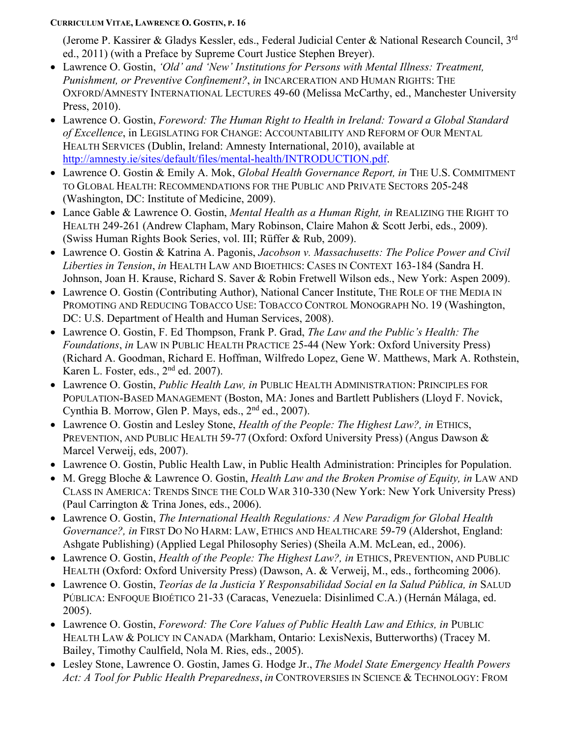(Jerome P. Kassirer & Gladys Kessler, eds., Federal Judicial Center & National Research Council,  $3<sup>rd</sup>$ ed., 2011) (with a Preface by Supreme Court Justice Stephen Breyer).

- Lawrence O. Gostin, *'Old' and 'New' Institutions for Persons with Mental Illness: Treatment, Punishment, or Preventive Confinement?*, *in* INCARCERATION AND HUMAN RIGHTS: THE OXFORD/AMNESTY INTERNATIONAL LECTURES 49-60 (Melissa McCarthy, ed., Manchester University Press, 2010).
- Lawrence O. Gostin, *Foreword: The Human Right to Health in Ireland: Toward a Global Standard of Excellence*, in LEGISLATING FOR CHANGE: ACCOUNTABILITY AND REFORM OF OUR MENTAL HEALTH SERVICES (Dublin, Ireland: Amnesty International, 2010), available at [http://amnesty.ie/sites/default/files/mental-health/INTRODUCTION.pdf.](http://amnesty.ie/sites/default/files/mental-health/INTRODUCTION.pdf)
- Lawrence O. Gostin & Emily A. Mok, *Global Health Governance Report, in* THE U.S. COMMITMENT TO GLOBAL HEALTH: RECOMMENDATIONS FOR THE PUBLIC AND PRIVATE SECTORS 205-248 (Washington, DC: Institute of Medicine, 2009).
- Lance Gable & Lawrence O. Gostin, *Mental Health as a Human Right, in* REALIZING THE RIGHT TO HEALTH 249-261 (Andrew Clapham, Mary Robinson, Claire Mahon & Scott Jerbi, eds., 2009). (Swiss Human Rights Book Series, vol. III; Rüffer & Rub, 2009).
- Lawrence O. Gostin & Katrina A. Pagonis, *Jacobson v. Massachusetts: The Police Power and Civil Liberties in Tension*, *in* HEALTH LAW AND BIOETHICS: CASES IN CONTEXT 163-184 (Sandra H. Johnson, Joan H. Krause, Richard S. Saver & Robin Fretwell Wilson eds., New York: Aspen 2009).
- Lawrence O. Gostin (Contributing Author), National Cancer Institute, THE ROLE OF THE MEDIA IN PROMOTING AND REDUCING TOBACCO USE: TOBACCO CONTROL MONOGRAPH NO. 19 (Washington, DC: U.S. Department of Health and Human Services, 2008).
- Lawrence O. Gostin, F. Ed Thompson, Frank P. Grad, *The Law and the Public's Health: The Foundations*, *in* LAW IN PUBLIC HEALTH PRACTICE 25-44 (New York: Oxford University Press) (Richard A. Goodman, Richard E. Hoffman, Wilfredo Lopez, Gene W. Matthews, Mark A. Rothstein, Karen L. Foster, eds.,  $2<sup>nd</sup>$  ed. 2007).
- Lawrence O. Gostin, *Public Health Law, in* PUBLIC HEALTH ADMINISTRATION: PRINCIPLES FOR POPULATION-BASED MANAGEMENT (Boston, MA: Jones and Bartlett Publishers (Lloyd F. Novick, Cynthia B. Morrow, Glen P. Mays, eds., 2nd ed., 2007).
- Lawrence O. Gostin and Lesley Stone, *Health of the People: The Highest Law?*, *in* ETHICS, PREVENTION, AND PUBLIC HEALTH 59-77 (Oxford: Oxford University Press) (Angus Dawson & Marcel Verweij, eds, 2007).
- Lawrence O. Gostin, Public Health Law, in Public Health Administration: Principles for Population.
- M. Gregg Bloche & Lawrence O. Gostin, *Health Law and the Broken Promise of Equity, in* LAW AND CLASS IN AMERICA: TRENDS SINCE THE COLD WAR 310-330 (New York: New York University Press) (Paul Carrington & Trina Jones, eds., 2006).
- Lawrence O. Gostin, *The International Health Regulations: A New Paradigm for Global Health Governance?, in* FIRST DO NO HARM: LAW, ETHICS AND HEALTHCARE 59-79 (Aldershot, England: Ashgate Publishing) (Applied Legal Philosophy Series) (Sheila A.M. McLean, ed., 2006).
- Lawrence O. Gostin, *Health of the People: The Highest Law?, in* ETHICS, PREVENTION, AND PUBLIC HEALTH (Oxford: Oxford University Press) (Dawson, A. & Verweij, M., eds., forthcoming 2006).
- Lawrence O. Gostin, *Teorías de la Justicia Y Responsabilidad Social en la Salud Pública, in* SALUD PÚBLICA: ENFOQUE BIOÉTICO 21-33 (Caracas, Venezuela: Disinlimed C.A.) (Hernán Málaga, ed. 2005).
- Lawrence O. Gostin, *Foreword: The Core Values of Public Health Law and Ethics, in* PUBLIC HEALTH LAW & POLICY IN CANADA (Markham, Ontario: LexisNexis, Butterworths) (Tracey M. Bailey, Timothy Caulfield, Nola M. Ries, eds., 2005).
- Lesley Stone, Lawrence O. Gostin, James G. Hodge Jr., *The Model State Emergency Health Powers Act: A Tool for Public Health Preparedness*, *in* CONTROVERSIES IN SCIENCE & TECHNOLOGY: FROM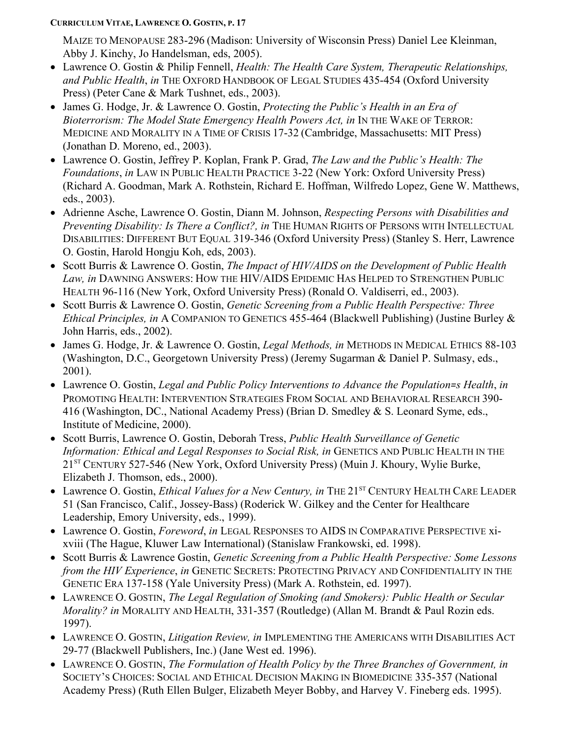MAIZE TO MENOPAUSE 283-296 (Madison: University of Wisconsin Press) Daniel Lee Kleinman, Abby J. Kinchy, Jo Handelsman, eds, 2005).

- Lawrence O. Gostin & Philip Fennell, *Health: The Health Care System, Therapeutic Relationships, and Public Health*, *in* THE OXFORD HANDBOOK OF LEGAL STUDIES 435-454 (Oxford University Press) (Peter Cane & Mark Tushnet, eds., 2003).
- James G. Hodge, Jr. & Lawrence O. Gostin, *Protecting the Public's Health in an Era of Bioterrorism: The Model State Emergency Health Powers Act, in IN THE WAKE OF TERROR:* MEDICINE AND MORALITY IN A TIME OF CRISIS 17-32 (Cambridge, Massachusetts: MIT Press) (Jonathan D. Moreno, ed., 2003).
- Lawrence O. Gostin, Jeffrey P. Koplan, Frank P. Grad, *The Law and the Public's Health: The Foundations*, *in* LAW IN PUBLIC HEALTH PRACTICE 3-22 (New York: Oxford University Press) (Richard A. Goodman, Mark A. Rothstein, Richard E. Hoffman, Wilfredo Lopez, Gene W. Matthews, eds., 2003).
- Adrienne Asche, Lawrence O. Gostin, Diann M. Johnson, *Respecting Persons with Disabilities and Preventing Disability: Is There a Conflict?, in* THE HUMAN RIGHTS OF PERSONS WITH INTELLECTUAL DISABILITIES: DIFFERENT BUT EQUAL 319-346 (Oxford University Press) (Stanley S. Herr, Lawrence O. Gostin, Harold Hongju Koh, eds, 2003).
- Scott Burris & Lawrence O. Gostin, *The Impact of HIV/AIDS on the Development of Public Health Law, in* DAWNING ANSWERS: HOW THE HIV/AIDS EPIDEMIC HAS HELPED TO STRENGTHEN PUBLIC HEALTH 96-116 (New York, Oxford University Press) (Ronald O. Valdiserri, ed., 2003).
- Scott Burris & Lawrence O. Gostin, *Genetic Screening from a Public Health Perspective: Three Ethical Principles, in* A COMPANION TO GENETICS 455-464 (Blackwell Publishing) (Justine Burley & John Harris, eds., 2002).
- James G. Hodge, Jr. & Lawrence O. Gostin, *Legal Methods, in* METHODS IN MEDICAL ETHICS 88-103 (Washington, D.C., Georgetown University Press) (Jeremy Sugarman & Daniel P. Sulmasy, eds., 2001).
- Lawrence O. Gostin, *Legal and Public Policy Interventions to Advance the Population=s Health*, *in* PROMOTING HEALTH: INTERVENTION STRATEGIES FROM SOCIAL AND BEHAVIORAL RESEARCH 390- 416 (Washington, DC., National Academy Press) (Brian D. Smedley & S. Leonard Syme, eds., Institute of Medicine, 2000).
- Scott Burris, Lawrence O. Gostin, Deborah Tress, *Public Health Surveillance of Genetic Information: Ethical and Legal Responses to Social Risk, in* GENETICS AND PUBLIC HEALTH IN THE 21<sup>ST</sup> CENTURY 527-546 (New York, Oxford University Press) (Muin J. Khoury, Wylie Burke, Elizabeth J. Thomson, eds., 2000).
- Lawrence O. Gostin, *Ethical Values for a New Century, in* THE 21<sup>ST</sup> CENTURY HEALTH CARE LEADER 51 (San Francisco, Calif., Jossey-Bass) (Roderick W. Gilkey and the Center for Healthcare Leadership, Emory University, eds., 1999).
- Lawrence O. Gostin, *Foreword*, *in* LEGAL RESPONSES TO AIDS IN COMPARATIVE PERSPECTIVE xixviii (The Hague, Kluwer Law International) (Stanislaw Frankowski, ed. 1998).
- Scott Burris & Lawrence Gostin, *Genetic Screening from a Public Health Perspective: Some Lessons from the HIV Experience*, *in* GENETIC SECRETS: PROTECTING PRIVACY AND CONFIDENTIALITY IN THE GENETIC ERA 137-158 (Yale University Press) (Mark A. Rothstein, ed. 1997).
- LAWRENCE O. GOSTIN, *The Legal Regulation of Smoking (and Smokers): Public Health or Secular Morality? in* MORALITY AND HEALTH, 331-357 (Routledge) (Allan M. Brandt & Paul Rozin eds. 1997).
- LAWRENCE O. GOSTIN, *Litigation Review, in* IMPLEMENTING THE AMERICANS WITH DISABILITIES ACT 29-77 (Blackwell Publishers, Inc.) (Jane West ed. 1996).
- LAWRENCE O. GOSTIN, *The Formulation of Health Policy by the Three Branches of Government, in* SOCIETY'S CHOICES: SOCIAL AND ETHICAL DECISION MAKING IN BIOMEDICINE 335-357 (National Academy Press) (Ruth Ellen Bulger, Elizabeth Meyer Bobby, and Harvey V. Fineberg eds. 1995).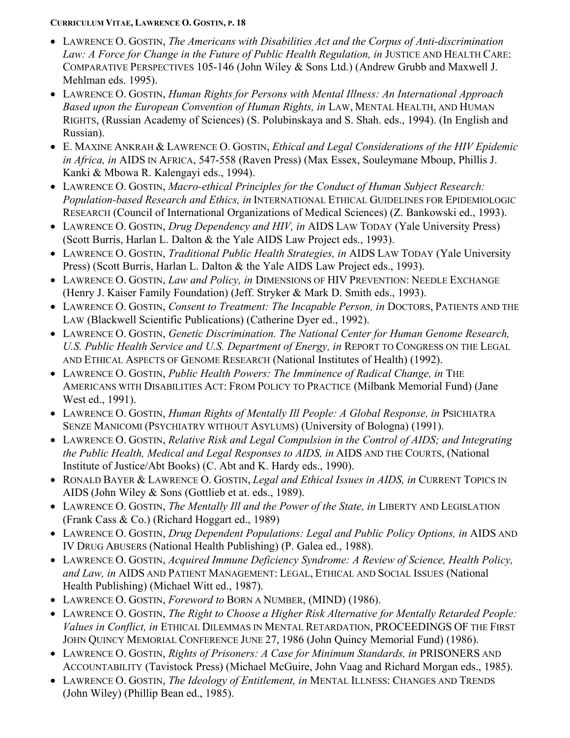- LAWRENCE O. GOSTIN, *The Americans with Disabilities Act and the Corpus of Anti-discrimination* Law: A Force for Change in the Future of Public Health Regulation, in JUSTICE AND HEALTH CARE: COMPARATIVE PERSPECTIVES 105-146 (John Wiley & Sons Ltd.) (Andrew Grubb and Maxwell J. Mehlman eds. 1995).
- LAWRENCE O. GOSTIN, *Human Rights for Persons with Mental Illness: An International Approach Based upon the European Convention of Human Rights, in* LAW, MENTAL HEALTH, AND HUMAN RIGHTS, (Russian Academy of Sciences) (S. Polubinskaya and S. Shah. eds., 1994). (In English and Russian).
- E. MAXINE ANKRAH & LAWRENCE O. GOSTIN, *Ethical and Legal Considerations of the HIV Epidemic in Africa, in* AIDS IN AFRICA, 547-558 (Raven Press) (Max Essex, Souleymane Mboup, Phillis J. Kanki & Mbowa R. Kalengayi eds., 1994).
- LAWRENCE O. GOSTIN, *Macro-ethical Principles for the Conduct of Human Subject Research: Population-based Research and Ethics, in* INTERNATIONAL ETHICAL GUIDELINES FOR EPIDEMIOLOGIC RESEARCH (Council of International Organizations of Medical Sciences) (Z. Bankowski ed., 1993).
- LAWRENCE O. GOSTIN, *Drug Dependency and HIV, in* AIDS LAW TODAY (Yale University Press) (Scott Burris, Harlan L. Dalton & the Yale AIDS Law Project eds., 1993).
- LAWRENCE O. GOSTIN, *Traditional Public Health Strategies, in* AIDS LAW TODAY (Yale University Press) (Scott Burris, Harlan L. Dalton & the Yale AIDS Law Project eds., 1993).
- LAWRENCE O. GOSTIN, *Law and Policy, in* DIMENSIONS OF HIV PREVENTION: NEEDLE EXCHANGE (Henry J. Kaiser Family Foundation) (Jeff. Stryker & Mark D. Smith eds., 1993).
- LAWRENCE O. GOSTIN, *Consent to Treatment: The Incapable Person, in* DOCTORS, PATIENTS AND THE LAW (Blackwell Scientific Publications) (Catherine Dyer ed., 1992).
- LAWRENCE O. GOSTIN, *Genetic Discrimination. The National Center for Human Genome Research, U.S. Public Health Service and U.S. Department of Energy, in* REPORT TO CONGRESS ON THE LEGAL AND ETHICAL ASPECTS OF GENOME RESEARCH (National Institutes of Health) (1992).
- LAWRENCE O. GOSTIN, *Public Health Powers: The Imminence of Radical Change, in* THE AMERICANS WITH DISABILITIES ACT: FROM POLICY TO PRACTICE (Milbank Memorial Fund) (Jane West ed., 1991).
- LAWRENCE O. GOSTIN, *Human Rights of Mentally Ill People: A Global Response, in* PSICHIATRA SENZE MANICOMI (PSYCHIATRY WITHOUT ASYLUMS) (University of Bologna) (1991).
- LAWRENCE O. GOSTIN, *Relative Risk and Legal Compulsion in the Control of AIDS; and Integrating the Public Health, Medical and Legal Responses to AIDS, in* AIDS AND THE COURTS, (National Institute of Justice/Abt Books) (C. Abt and K. Hardy eds., 1990).
- RONALD BAYER & LAWRENCE O. GOSTIN, *Legal and Ethical Issues in AIDS, in* CURRENT TOPICS IN AIDS (John Wiley & Sons (Gottlieb et at. eds., 1989).
- LAWRENCE O. GOSTIN, *The Mentally Ill and the Power of the State, in* LIBERTY AND LEGISLATION (Frank Cass & Co.) (Richard Hoggart ed., 1989)
- LAWRENCE O. GOSTIN, *Drug Dependent Populations: Legal and Public Policy Options, in* AIDS AND IV DRUG ABUSERS (National Health Publishing) (P. Galea ed., 1988).
- LAWRENCE O. GOSTIN, *Acquired Immune Deficiency Syndrome: A Review of Science, Health Policy, and Law, in* AIDS AND PATIENT MANAGEMENT: LEGAL, ETHICAL AND SOCIAL ISSUES (National Health Publishing) (Michael Witt ed., 1987).
- LAWRENCE O. GOSTIN, *Foreword to* BORN A NUMBER, (MIND) (1986).
- LAWRENCE O. GOSTIN, *The Right to Choose a Higher Risk Alternative for Mentally Retarded People: Values in Conflict, in* ETHICAL DILEMMAS IN MENTAL RETARDATION, PROCEEDINGS OF THE FIRST JOHN QUINCY MEMORIAL CONFERENCE JUNE 27, 1986 (John Quincy Memorial Fund) (1986).
- LAWRENCE O. GOSTIN, *Rights of Prisoners: A Case for Minimum Standards, in* PRISONERS AND ACCOUNTABILITY (Tavistock Press) (Michael McGuire, John Vaag and Richard Morgan eds., 1985).
- LAWRENCE O. GOSTIN, *The Ideology of Entitlement, in* MENTAL ILLNESS: CHANGES AND TRENDS (John Wiley) (Phillip Bean ed., 1985).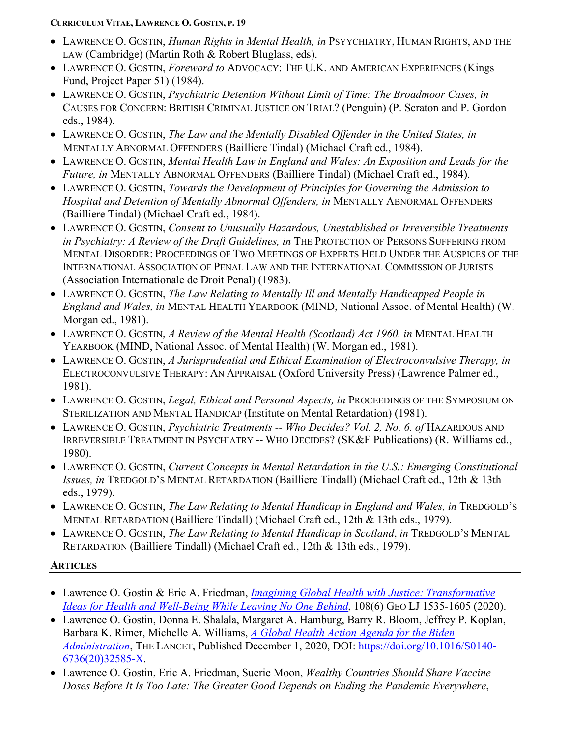- LAWRENCE O. GOSTIN, *Human Rights in Mental Health, in* PSYYCHIATRY, HUMAN RIGHTS, AND THE LAW (Cambridge) (Martin Roth & Robert Bluglass, eds).
- LAWRENCE O. GOSTIN, *Foreword to* ADVOCACY: THE U.K. AND AMERICAN EXPERIENCES (Kings Fund, Project Paper 51) (1984).
- LAWRENCE O. GOSTIN, *Psychiatric Detention Without Limit of Time: The Broadmoor Cases, in* CAUSES FOR CONCERN: BRITISH CRIMINAL JUSTICE ON TRIAL? (Penguin) (P. Scraton and P. Gordon eds., 1984).
- LAWRENCE O. GOSTIN, *The Law and the Mentally Disabled Offender in the United States, in* MENTALLY ABNORMAL OFFENDERS (Bailliere Tindal) (Michael Craft ed., 1984).
- LAWRENCE O. GOSTIN, *Mental Health Law in England and Wales: An Exposition and Leads for the Future, in* MENTALLY ABNORMAL OFFENDERS (Bailliere Tindal) (Michael Craft ed., 1984).
- LAWRENCE O. GOSTIN, *Towards the Development of Principles for Governing the Admission to Hospital and Detention of Mentally Abnormal Offenders, in* MENTALLY ABNORMAL OFFENDERS (Bailliere Tindal) (Michael Craft ed., 1984).
- LAWRENCE O. GOSTIN, *Consent to Unusually Hazardous, Unestablished or Irreversible Treatments in Psychiatry: A Review of the Draft Guidelines, in* THE PROTECTION OF PERSONS SUFFERING FROM MENTAL DISORDER: PROCEEDINGS OF TWO MEETINGS OF EXPERTS HELD UNDER THE AUSPICES OF THE INTERNATIONAL ASSOCIATION OF PENAL LAW AND THE INTERNATIONAL COMMISSION OF JURISTS (Association Internationale de Droit Penal) (1983).
- LAWRENCE O. GOSTIN, *The Law Relating to Mentally Ill and Mentally Handicapped People in England and Wales, in* MENTAL HEALTH YEARBOOK (MIND, National Assoc. of Mental Health) (W. Morgan ed., 1981).
- LAWRENCE O. GOSTIN, *A Review of the Mental Health (Scotland) Act 1960, in* MENTAL HEALTH YEARBOOK (MIND, National Assoc. of Mental Health) (W. Morgan ed., 1981).
- LAWRENCE O. GOSTIN, *A Jurisprudential and Ethical Examination of Electroconvulsive Therapy, in* ELECTROCONVULSIVE THERAPY: AN APPRAISAL (Oxford University Press) (Lawrence Palmer ed., 1981).
- LAWRENCE O. GOSTIN, *Legal, Ethical and Personal Aspects, in* PROCEEDINGS OF THE SYMPOSIUM ON STERILIZATION AND MENTAL HANDICAP (Institute on Mental Retardation) (1981).
- LAWRENCE O. GOSTIN, *Psychiatric Treatments -- Who Decides? Vol. 2, No. 6. of* HAZARDOUS AND IRREVERSIBLE TREATMENT IN PSYCHIATRY -- WHO DECIDES? (SK&F Publications) (R. Williams ed., 1980).
- LAWRENCE O. GOSTIN, *Current Concepts in Mental Retardation in the U.S.: Emerging Constitutional Issues, in* TREDGOLD'S MENTAL RETARDATION (Bailliere Tindall) (Michael Craft ed., 12th & 13th eds., 1979).
- LAWRENCE O. GOSTIN, *The Law Relating to Mental Handicap in England and Wales, in* TREDGOLD'S MENTAL RETARDATION (Bailliere Tindall) (Michael Craft ed., 12th & 13th eds., 1979).
- LAWRENCE O. GOSTIN, *The Law Relating to Mental Handicap in Scotland*, *in* TREDGOLD'S MENTAL RETARDATION (Bailliere Tindall) (Michael Craft ed., 12th & 13th eds., 1979).

# **ARTICLES**

- Lawrence O. Gostin & Eric A. Friedman, *[Imagining Global Health with Justice: Transformative](https://www.law.georgetown.edu/georgetown-law-journal/in-print/volume-108-issue-6-june-2020/imagining-global-health-with-justice-transformative-ideas-for-health-and-well-being-while-leaving-no-one-behind/)  [Ideas for Health and Well-Being While Leaving No One Behind](https://www.law.georgetown.edu/georgetown-law-journal/in-print/volume-108-issue-6-june-2020/imagining-global-health-with-justice-transformative-ideas-for-health-and-well-being-while-leaving-no-one-behind/)*, 108(6) GEO LJ 1535-1605 (2020).
- Lawrence O. Gostin, Donna E. Shalala, Margaret A. Hamburg, Barry R. Bloom, Jeffrey P. Koplan, Barbara K. Rimer, Michelle A. Williams, *[A Global Health Action Agenda for the Biden](https://www.thelancet.com/journals/lancet/article/PIIS0140-6736(20)32585-X/fulltext)  [Administration](https://www.thelancet.com/journals/lancet/article/PIIS0140-6736(20)32585-X/fulltext)*, THE LANCET, Published December 1, 2020, DOI: [https://doi.org/10.1016/S0140-](https://doi.org/10.1016/S0140-6736(20)32585-X) [6736\(20\)32585-X.](https://doi.org/10.1016/S0140-6736(20)32585-X)
- Lawrence O. Gostin, Eric A. Friedman, Suerie Moon, *Wealthy Countries Should Share Vaccine Doses Before It Is Too Late: The Greater Good Depends on Ending the Pandemic Everywhere*,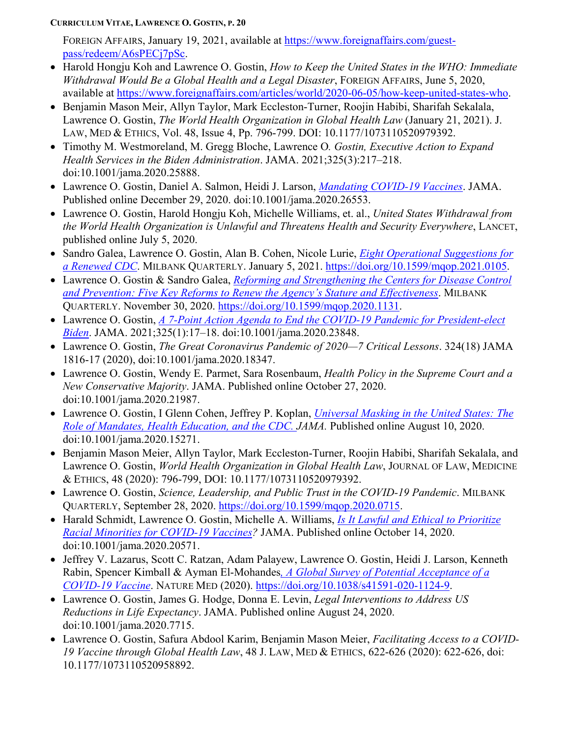FOREIGN AFFAIRS, January 19, 2021, available at [https://www.foreignaffairs.com/guest](https://www.foreignaffairs.com/guest-pass/redeem/A6sPECj7pSc)[pass/redeem/A6sPECj7pSc.](https://www.foreignaffairs.com/guest-pass/redeem/A6sPECj7pSc)

- Harold Hongju Koh and Lawrence O. Gostin, *How to Keep the United States in the WHO: Immediate Withdrawal Would Be a Global Health and a Legal Disaster*, FOREIGN AFFAIRS, June 5, 2020, available at [https://www.foreignaffairs.com/articles/world/2020-06-05/how-keep-united-states-who.](https://www.foreignaffairs.com/articles/world/2020-06-05/how-keep-united-states-who)
- Benjamin Mason Meir, Allyn Taylor, Mark Eccleston-Turner, Roojin Habibi, Sharifah Sekalala, Lawrence O. Gostin, *The World Health Organization in Global Health Law* (January 21, 2021). J. LAW, MED & ETHICS, Vol. 48, Issue 4, Pp. 796-799. DOI: 10.1177/1073110520979392.
- Timothy M. Westmoreland, M. Gregg Bloche, Lawrence O*. Gostin, Executive Action to Expand Health Services in the Biden Administration*. JAMA. 2021;325(3):217–218. doi:10.1001/jama.2020.25888.
- Lawrence O. Gostin, Daniel A. Salmon, Heidi J. Larson, *[Mandating COVID-19 Vaccines](https://jamanetwork.com/journals/jama/fullarticle/2774712)*. JAMA. Published online December 29, 2020. doi:10.1001/jama.2020.26553.
- Lawrence O. Gostin, Harold Hongju Koh, Michelle Williams, et. al., *United States Withdrawal from the World Health Organization is Unlawful and Threatens Health and Security Everywhere*, LANCET, published online July 5, 2020.
- Sandro Galea, Lawrence O. Gostin, Alan B. Cohen, Nicole Lurie, *[Eight Operational Suggestions for](https://www.milbank.org/quarterly/opinions/eight-operational-suggestions-for-a-renewed-cdc/)  [a Renewed CDC](https://www.milbank.org/quarterly/opinions/eight-operational-suggestions-for-a-renewed-cdc/)*. MILBANK QUARTERLY. January 5, 2021. [https://doi.org/10.1599/mqop.2021.0105.](https://doi.org/10.1599/mqop.2021.0105)
- Lawrence O. Gostin & Sandro Galea, *[Reforming and Strengthening the Centers for Disease Control](https://www.milbank.org/quarterly/opinions/reforming-and-strengthening-the-centers-for-disease-control-and-prevention-five-key-reforms-to-renew-the-agencys-stature-and-effectiveness/?utm_medium=email&utm_campaign=Revitalizing%20the%20CDC%20%20Improving%20Value-Based%20Payment&utm_content=Revitalizing%20the%20CDC%20%20Improving%20Value-Based%20Payment+CID_bc5e0c861c7feec8ab35337d67cc4162&utm_source=Email%20Campaign%20Monitor&utm_term=Five%20Reforms%20to%20Strengthen%20the%20CDC)  [and Prevention: Five Key Reforms to Renew the Agency's Stature and Effectiveness](https://www.milbank.org/quarterly/opinions/reforming-and-strengthening-the-centers-for-disease-control-and-prevention-five-key-reforms-to-renew-the-agencys-stature-and-effectiveness/?utm_medium=email&utm_campaign=Revitalizing%20the%20CDC%20%20Improving%20Value-Based%20Payment&utm_content=Revitalizing%20the%20CDC%20%20Improving%20Value-Based%20Payment+CID_bc5e0c861c7feec8ab35337d67cc4162&utm_source=Email%20Campaign%20Monitor&utm_term=Five%20Reforms%20to%20Strengthen%20the%20CDC)*. MILBANK QUARTERLY. November 30, 2020. [https://doi.org/10.1599/mqop.2020.1131.](https://doi.org/10.1599/mqop.2020.1131)
- Lawrence O. Gostin, *[A 7-Point Action Agenda to End the COVID-19 Pandemic for President-elect](https://jamanetwork.com/journals/jama/fullarticle/2774673?guestAccessKey=26e99282-8484-47c6-9715-24a7c6dc04c0&utm_source=silverchair&utm_campaign=jama_network&utm_content=healthpolicy_highlights&cmp=1&utm_medium=email)  [Biden](https://jamanetwork.com/journals/jama/fullarticle/2774673?guestAccessKey=26e99282-8484-47c6-9715-24a7c6dc04c0&utm_source=silverchair&utm_campaign=jama_network&utm_content=healthpolicy_highlights&cmp=1&utm_medium=email)*. JAMA. 2021;325(1):17–18. doi:10.1001/jama.2020.23848.
- Lawrence O. Gostin, *The Great Coronavirus Pandemic of 2020—7 Critical Lessons*. 324(18) JAMA 1816-17 (2020), doi:10.1001/jama.2020.18347.
- Lawrence O. Gostin, Wendy E. Parmet, Sara Rosenbaum, *Health Policy in the Supreme Court and a New Conservative Majority*. JAMA. Published online October 27, 2020. doi:10.1001/jama.2020.21987.
- Lawrence O. Gostin, I Glenn Cohen, Jeffrey P. Koplan, *[Universal Masking in the United States:](https://jamanetwork.com/journals/jama/fullarticle/2769440) The [Role of Mandates, Health Education, and the CDC.](https://jamanetwork.com/journals/jama/fullarticle/2769440) JAMA.* Published online August 10, 2020. doi:10.1001/jama.2020.15271.
- Benjamin Mason Meier, Allyn Taylor, Mark Eccleston-Turner, Roojin Habibi, Sharifah Sekalala, and Lawrence O. Gostin, *World Health Organization in Global Health Law*, JOURNAL OF LAW, MEDICINE & ETHICS, 48 (2020): 796-799, DOI: 10.1177/1073110520979392.
- Lawrence O. Gostin, *Science, Leadership, and Public Trust in the COVID-19 Pandemic*. MILBANK QUARTERLY, September 28, 2020. [https://doi.org/10.1599/mqop.2020.0715.](https://doi.org/10.1599/mqop.2020.0715)
- Harald Schmidt, Lawrence O. Gostin, Michelle A. Williams, *Is It Lawful [and Ethical to Prioritize](https://jamanetwork.com/journals/jama/fullarticle/2771874?resultClick=1)  [Racial Minorities for COVID-19](https://jamanetwork.com/journals/jama/fullarticle/2771874?resultClick=1) Vaccines?* JAMA. Published online October 14, 2020. doi:10.1001/jama.2020.20571.
- Jeffrey V. Lazarus, Scott C. Ratzan, Adam Palayew, Lawrence O. Gostin, Heidi J. Larson, Kenneth Rabin, Spencer Kimball & Ayman El-Mohandes*, [A Global Survey of Potential Acceptance of a](https://www.nature.com/articles/s41591-020-1124-9#citeas)  [COVID-19 Vaccine](https://www.nature.com/articles/s41591-020-1124-9#citeas)*. NATURE MED (2020). [https://doi.org/10.1038/s41591-020-1124-9.](https://doi.org/10.1038/s41591-020-1124-9)
- Lawrence O. Gostin, James G. Hodge, Donna E. Levin, *Legal Interventions to Address US Reductions in Life Expectancy*. JAMA. Published online August 24, 2020. doi:10.1001/jama.2020.7715.
- Lawrence O. Gostin, Safura Abdool Karim, Benjamin Mason Meier, *Facilitating Access to a COVID-19 Vaccine through Global Health Law*, 48 J. LAW, MED & ETHICS, 622-626 (2020): 622-626, doi: 10.1177/1073110520958892.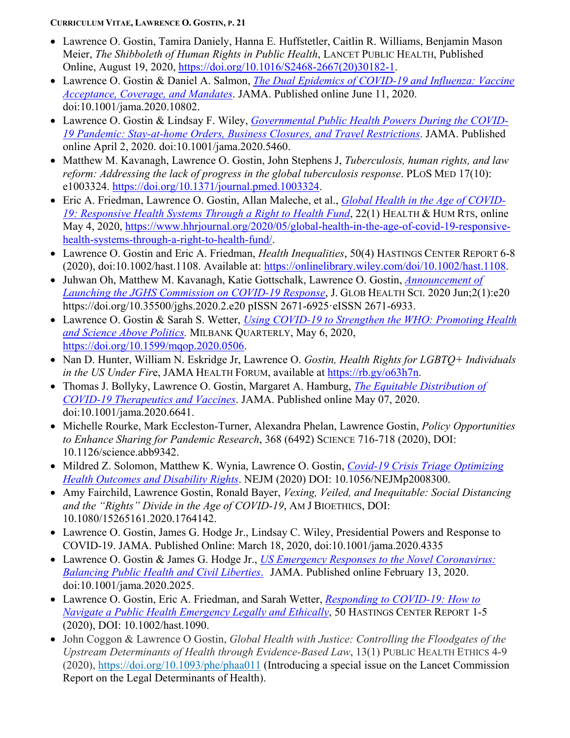- Lawrence O. Gostin, Tamira Daniely, Hanna E. Huffstetler, Caitlin R. Williams, Benjamin Mason Meier, *The Shibboleth of Human Rights in Public Health*, LANCET PUBLIC HEALTH, Published Online, August 19, 2020, [https://doi.org/10.1016/S2468-2667\(20\)30182-1.](https://doi.org/10.1016/S2468-2667(20)30182-1)
- Lawrence O. Gostin & Daniel A. Salmon, *The Dual Epidemics of COVID-19 and Influenza: Vaccine Acceptance, Coverage, and Mandates*. JAMA. Published online June 11, 2020. doi:10.1001/jama.2020.10802.
- Lawrence O. Gostin & Lindsay F. Wiley, *[Governmental Public Health Powers During the COVID-](https://jamanetwork.com/journals/jama/fullarticle/2764283?guestAccessKey=6a0afa9d-9864-44d1-ae99-2ba29d18441e&utm_source=For_The_Media&utm_medium=referral&utm_campaign=ftm_links&utm_content=tfl&utm_term=040220)19 [Pandemic: Stay-at-home Orders, Business Closures, and Travel Restrictions](https://jamanetwork.com/journals/jama/fullarticle/2764283?guestAccessKey=6a0afa9d-9864-44d1-ae99-2ba29d18441e&utm_source=For_The_Media&utm_medium=referral&utm_campaign=ftm_links&utm_content=tfl&utm_term=040220)*. JAMA. Published online April 2, 2020. doi:10.1001/jama.2020.5460.
- Matthew M. Kavanagh, Lawrence O. Gostin, John Stephens J, *Tuberculosis, human rights, and law reform: Addressing the lack of progress in the global tuberculosis response*. PLOS MED 17(10): e1003324. [https://doi.org/10.1371/journal.pmed.1003324.](https://doi.org/10.1371/journal.pmed.1003324)
- Eric A. Friedman, Lawrence O. Gostin, Allan Maleche, et al., *[Global Health in the Age of COVID-](https://www.hhrjournal.org/2020/05/global-health-in-the-age-of-covid-19-responsive-health-systems-through-a-right-to-health-fund/)[19: Responsive Health Systems Through a](https://www.hhrjournal.org/2020/05/global-health-in-the-age-of-covid-19-responsive-health-systems-through-a-right-to-health-fund/) Right to Health Fund*, 22(1) HEALTH & HUM RTS, online May 4, 2020, [https://www.hhrjournal.org/2020/05/global-health-in-the-age-of-covid-19-responsive](https://www.hhrjournal.org/2020/05/global-health-in-the-age-of-covid-19-responsive-health-systems-through-a-right-to-health-fund/)[health-systems-through-a-right-to-health-fund/.](https://www.hhrjournal.org/2020/05/global-health-in-the-age-of-covid-19-responsive-health-systems-through-a-right-to-health-fund/)
- Lawrence O. Gostin and Eric A. Friedman, *Health Inequalities*, 50(4) HASTINGS CENTER REPORT 6-8 (2020), doi:10.1002/hast.1108. Available at: [https://onlinelibrary.wiley.com/doi/10.1002/hast.1108.](https://onlinelibrary.wiley.com/doi/10.1002/hast.1108)
- Juhwan Oh, Matthew M. Kavanagh, Katie Gottschalk, Lawrence O. Gostin, *[Announcement of](https://e-jghs.org/DOIx.php?id=10.35500/jghs.2020.2.e20)  Launching the JGHS [Commission on COVID-19 Response](https://e-jghs.org/DOIx.php?id=10.35500/jghs.2020.2.e20)*, J. GLOB HEALTH SCI. 2020 Jun;2(1):e20 https://doi.org/10.35500/jghs.2020.2.e20 pISSN 2671-6925·eISSN 2671-6933.
- Lawrence O. Gostin & Sarah S. Wetter, *[Using COVID-19 to Strengthen the WHO:](https://www.milbank.org/quarterly/opinions/using-covid-19-to-strengthen-the-who-promoting-health-and-science-above-politics/) Promoting Health [and Science Above Politics.](https://www.milbank.org/quarterly/opinions/using-covid-19-to-strengthen-the-who-promoting-health-and-science-above-politics/)* MILBANK QUARTERLY, May 6, 2020, [https://doi.org/10.1599/mqop.2020.0506.](https://doi.org/10.1599/mqop.2020.0506)
- Nan D. Hunter, William N. Eskridge Jr, Lawrence O. *Gostin, Health Rights for LGBTQ+ Individuals in the US Under Fir*e, JAMA HEALTH FORUM, available at [https://rb.gy/o63h7n.](https://rb.gy/o63h7n)
- Thomas J. Bollyky, Lawrence O. Gostin, Margaret A. Hamburg, *[The Equitable Distribution of](https://jamanetwork.com/journals/jama/fullarticle/2765944)  [COVID-19 Therapeutics and Vaccines](https://jamanetwork.com/journals/jama/fullarticle/2765944)*. JAMA. Published online May 07, 2020. doi:10.1001/jama.2020.6641.
- Michelle Rourke, Mark Eccleston-Turner, Alexandra Phelan, Lawrence Gostin, *Policy Opportunities to Enhance Sharing for Pandemic Research*, 368 (6492) SCIENCE 716-718 (2020), DOI: 10.1126/science.abb9342.
- Mildred Z. Solomon, Matthew K. Wynia, Lawrence O. Gostin, *Covid-19 [Crisis Triage Optimizing](https://www.nejm.org/doi/full/10.1056/NEJMp2008300?query=recirc_artType_railA_article)  [Health Outcomes and Disability Rights](https://www.nejm.org/doi/full/10.1056/NEJMp2008300?query=recirc_artType_railA_article)*. NEJM (2020) DOI: 10.1056/NEJMp2008300.
- Amy Fairchild, Lawrence Gostin, Ronald Bayer, *Vexing, Veiled, and Inequitable: Social Distancing and the "Rights" Divide in the Age of COVID-19*, AM J BIOETHICS, DOI: 10.1080/15265161.2020.1764142.
- Lawrence O. Gostin, James G. Hodge Jr., Lindsay C. Wiley, Presidential Powers and Response to COVID-19. JAMA. Published Online: March 18, 2020, doi:10.1001/jama.2020.4335
- Lawrence O. Gostin & James G. Hodge Jr., *US Emergency Responses [to the Novel Coronavirus:](https://jamanetwork.com/journals/jama/fullarticle/2761556)  [Balancing Public Health](https://jamanetwork.com/journals/jama/fullarticle/2761556) and Civil Liberties*. JAMA. Published online February 13, 2020. doi:10.1001/jama.2020.2025.
- Lawrence O. Gostin, Eric A. Friedman, and Sarah Wetter, *Responding [to COVID-19: How](https://onlinelibrary.wiley.com/doi/full/10.1002/hast.1090?campaign=email_articlemetrics) to [Navigate a Public Health Emergency Legally](https://onlinelibrary.wiley.com/doi/full/10.1002/hast.1090?campaign=email_articlemetrics) and Ethically*, 50 HASTINGS CENTER REPORT 1-5 (2020), DOI: 10.1002/hast.1090.
- John Coggon & Lawrence O Gostin, *Global Health with Justice: Controlling the Floodgates of the Upstream Determinants of Health through Evidence-Based Law*, 13(1) PUBLIC HEALTH ETHICS 4-9 (2020), <https://doi.org/10.1093/phe/phaa011> (Introducing a special issue on the Lancet Commission Report on the Legal Determinants of Health).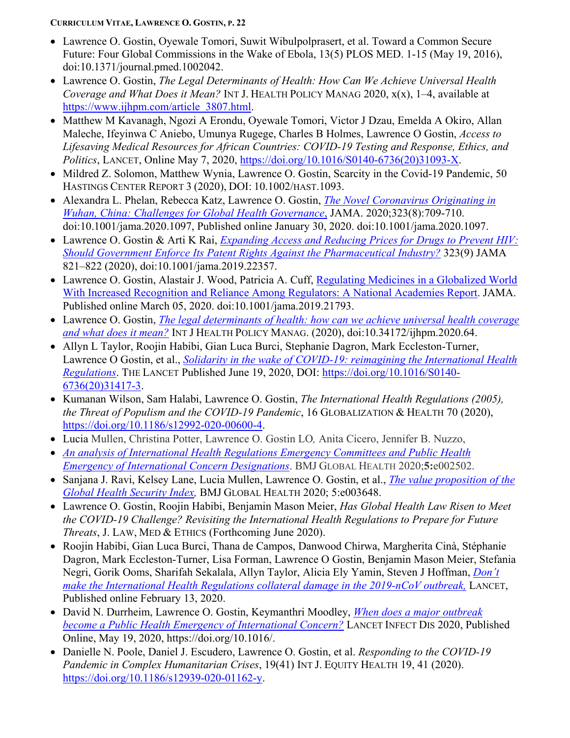- Lawrence O. Gostin, Oyewale Tomori, Suwit Wibulpolprasert, et al. Toward a Common Secure Future: Four Global Commissions in the Wake of Ebola, 13(5) PLOS MED. 1-15 (May 19, 2016), doi:10.1371/journal.pmed.1002042.
- Lawrence O. Gostin, *The Legal Determinants of Health: How Can We Achieve Universal Health Coverage and What Does it Mean?* INT J. HEALTH POLICY MANAG 2020, x(x), 1–4, available at [https://www.ijhpm.com/article\\_3807.html.](https://www.ijhpm.com/article_3807.html)
- Matthew M Kavanagh, Ngozi A Erondu, Oyewale Tomori, Victor J Dzau, Emelda A Okiro, Allan Maleche, Ifeyinwa C Aniebo, Umunya Rugege, Charles B Holmes, Lawrence O Gostin, *Access to Lifesaving Medical Resources for African Countries: COVID-19 Testing and Response, Ethics, and Politics*, LANCET, Online May 7, 2020, [https://doi.org/10.1016/S0140-6736\(20\)31093-X.](https://doi.org/10.1016/S0140-6736(20)31093-X)
- Mildred Z. Solomon, Matthew Wynia, Lawrence O. Gostin, Scarcity in the Covid-19 Pandemic, 50 HASTINGS CENTER REPORT 3 (2020), DOI: 10.1002/HAST.1093.
- Alexandra L. Phelan, Rebecca Katz, Lawrence O. Gostin, *The [Novel Coronavirus Originating](https://jamanetwork.com/journals/jama/fullarticle/2760500) in Wuhan, China: [Challenges for Global](https://jamanetwork.com/journals/jama/fullarticle/2760500) Health Governance*, JAMA. 2020;323(8):709-710. doi:10.1001/jama.2020.1097, Published online January 30, 2020. doi:10.1001/jama.2020.1097.
- Lawrence O. Gostin & Arti K Rai, *[Expanding Access and Reducing Prices for Drugs](https://jamanetwork.com/journals/jama/fullarticle/2762318) to Prevent HIV: [Should Government Enforce Its Patent Rights Against](https://jamanetwork.com/journals/jama/fullarticle/2762318) the Pharmaceutical Industry?* 323(9) JAMA 821–822 (2020), doi:10.1001/jama.2019.22357.
- Lawrence O. Gostin, Alastair J. Wood, Patricia A. Cuff, [Regulating Medicines in a Globalized World](https://jamanetwork.com/journals/jama/article-abstract/2762531?resultClick=1)  With Increased Recognition and [Reliance Among Regulators: A National Academies Report.](https://jamanetwork.com/journals/jama/article-abstract/2762531?resultClick=1) JAMA. Published online March 05, 2020. doi:10.1001/jama.2019.21793.
- Lawrence O. Gostin, *The legal determinants of health: how can we [achieve universal health coverage](https://www.ijhpm.com/article_3807_67f619eb86a38200e6b34a9842e0910c.pdf) and what [does it mean?](https://www.ijhpm.com/article_3807_67f619eb86a38200e6b34a9842e0910c.pdf)* INT J HEALTH POLICY MANAG. (2020), doi:10.34172/ijhpm.2020.64.
- Allyn L Taylor, Roojin Habibi, Gian Luca Burci, Stephanie Dagron, Mark Eccleston-Turner, Lawrence O Gostin, et al., *[Solidarity in the wake of COVID-19: reimagining the International Health](https://www.thelancet.com/journals/lancet/article/PIIS0140-6736(20)31417-3/fulltext)  [Regulations](https://www.thelancet.com/journals/lancet/article/PIIS0140-6736(20)31417-3/fulltext)*. THE LANCET Published June 19, 2020, DOI: [https://doi.org/10.1016/S0140-](https://doi.org/10.1016/S0140-6736(20)31417-3) [6736\(20\)31417-3.](https://doi.org/10.1016/S0140-6736(20)31417-3)
- Kumanan Wilson, Sam Halabi, Lawrence O. Gostin, *The International Health Regulations (2005), the Threat of Populism and the COVID-19 Pandemic*, 16 GLOBALIZATION & HEALTH 70 (2020), [https://doi.org/10.1186/s12992-020-00600-4.](https://doi.org/10.1186/s12992-020-00600-4)
- Lucia Mullen, Christina Potter, Lawrence O. Gostin LO*,* Anita Cicero, Jennifer B. Nuzzo,
- *[An analysis of International Health Regulations Emergency Committees and Public Health](http://gh.bmj.com/cgi/content/full/bmjgh-2020-002502)  [Emergency of International Concern Designations](http://gh.bmj.com/cgi/content/full/bmjgh-2020-002502)*. BMJ GLOBAL HEALTH 2020;**5:**e002502.
- Sanjana J. Ravi, Kelsey Lane, Lucia Mullen, Lawrence O. Gostin, et al., *[The value proposition of the](https://gh.bmj.com/content/5/10/e003648)  [Global Health Security Index,](https://gh.bmj.com/content/5/10/e003648)* BMJ GLOBAL HEALTH 2020; 5:e003648.
- Lawrence O. Gostin, Roojin Habibi, Benjamin Mason Meier, *Has Global Health Law Risen to Meet the COVID-19 Challenge? Revisiting the International Health Regulations to Prepare for Future Threats*, J. LAW, MED & ETHICS (Forthcoming June 2020).
- Roojin Habibi, Gian Luca Burci, Thana de Campos, Danwood Chirwa, Margherita Cinà, Stéphanie Dagron, Mark Eccleston-Turner, Lisa Forman, Lawrence O Gostin, Benjamin Mason Meier, Stefania Negri, Gorik Ooms, Sharifah Sekalala, Allyn Taylor, Alicia Ely Yamin, Steven J Hoffman, *[Don't](https://www.thelancet.com/journals/lancet/article/PIIS0140-6736(20)30373-1/fulltext)  make the International Health Regulations collateral [damage in the 2019-nCoV outbreak,](https://www.thelancet.com/journals/lancet/article/PIIS0140-6736(20)30373-1/fulltext)* LANCET, Published online February 13, 2020.
- David N. Durrheim, Lawrence O. Gostin, Keymanthri Moodley, *[When does a major outbreak](https://www.thelancet.com/pdfs/journals/laninf/PIIS1473-3099(20)30401-1.pdf)  become a Public Health [Emergency of International](https://www.thelancet.com/pdfs/journals/laninf/PIIS1473-3099(20)30401-1.pdf) Concern?* LANCET INFECT DIS 2020, Published Online, May 19, 2020, https://doi.org/10.1016/.
- Danielle N. Poole, Daniel J. Escudero, Lawrence O. Gostin, et al. *Responding to the COVID-19 Pandemic in Complex Humanitarian Crises*, 19(41) INT J. EQUITY HEALTH 19, 41 (2020). [https://doi.org/10.1186/s12939-020-01162-y.](https://doi.org/10.1186/s12939-020-01162-y)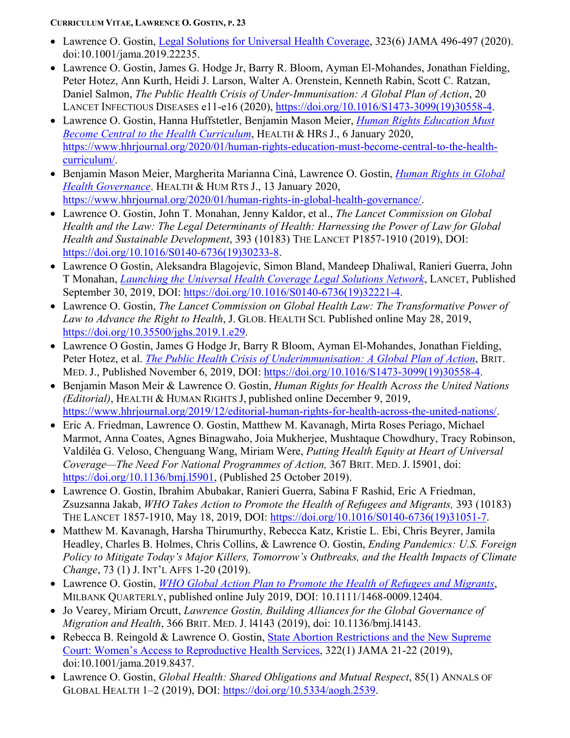- Lawrence O. Gostin, Legal Solutions for Universal [Health Coverage,](https://jamanetwork.com/journals/jama/fullarticle/2760725) 323(6) JAMA 496-497 (2020). doi:10.1001/jama.2019.22235.
- Lawrence O. Gostin, James G. Hodge Jr, Barry R. Bloom, Ayman El-Mohandes, Jonathan Fielding, Peter Hotez, Ann Kurth, Heidi J. Larson, Walter A. Orenstein, Kenneth Rabin, Scott C. Ratzan, Daniel Salmon, *The Public Health Crisis of Under-Immunisation: A Global Plan of Action*, 20 LANCET INFECTIOUS DISEASES e11-e16 (2020), [https://doi.org/10.1016/S1473-3099\(19\)30558-4.](https://doi.org/10.1016/S1473-3099(19)30558-4)
- Lawrence O. Gostin, Hanna Huffstetler, Benjamin Mason Meier, *Human [Rights Education Must](https://www.hhrjournal.org/2020/01/human-rights-education-must-become-central-to-the-health-curriculum/)  Become [Central to the Health](https://www.hhrjournal.org/2020/01/human-rights-education-must-become-central-to-the-health-curriculum/) Curriculum*, HEALTH & HRS J., 6 January 2020, [https://www.hhrjournal.org/2020/01/human-rights-education-must-become-central-to-the-health](https://www.hhrjournal.org/2020/01/human-rights-education-must-become-central-to-the-health-curriculum/)[curriculum/.](https://www.hhrjournal.org/2020/01/human-rights-education-must-become-central-to-the-health-curriculum/)
- Benjamin Mason Meier, Margherita Marianna Cinà, Lawrence O. Gostin, *[Human Rights in](https://www.hhrjournal.org/2020/01/human-rights-in-global-health-governance/) Global Health [Governance](https://www.hhrjournal.org/2020/01/human-rights-in-global-health-governance/)*. HEALTH & HUM RTS J., 13 January 2020, [https://www.hhrjournal.org/2020/01/human-rights-in-global-health-governance/.](https://www.hhrjournal.org/2020/01/human-rights-in-global-health-governance/)
- Lawrence O. Gostin, John T. Monahan, Jenny Kaldor, et al., *The Lancet Commission on Global Health and the Law: The Legal Determinants of Health: Harnessing the Power of Law for Global Health and Sustainable Development*, 393 (10183) THE LANCET P1857-1910 (2019), DOI: [https://doi.org/10.1016/S0140-6736\(19\)30233-8.](https://doi.org/10.1016/S0140-6736(19)30233-8)
- Lawrence O Gostin, Aleksandra Blagojevic, Simon Bland, Mandeep Dhaliwal, Ranieri Guerra, John T Monahan, *Launching the Universal Health [Coverage Legal Solutions Network](https://www.thelancet.com/journals/lancet/article/PIIS0140-6736(19)32221-4/fulltext)*, LANCET, Published September 30, 2019, DOI: [https://doi.org/10.1016/S0140-6736\(19\)32221-4.](https://doi.org/10.1016/S0140-6736(19)32221-4)
- Lawrence O. Gostin, *The Lancet Commission on Global Health Law: The Transformative Power of Law to Advance the Right to Health*, J. GLOB. HEALTH SCI. Published online May 28, 2019, [https://doi.org/10.35500/jghs.2019.1.e29.](https://doi.org/10.35500/jghs.2019.1.e29)
- Lawrence O Gostin, James G Hodge Jr, Barry R Bloom, Ayman El-Mohandes, Jonathan Fielding, Peter Hotez, et al. *The Public Health Crisis [of Underimmunisation: A Global Plan of Action](https://www.thelancet.com/journals/laninf/article/PIIS1473-3099(19)30558-4/fulltext)*, BRIT. MED. J., Published November 6, 2019, DOI: [https://doi.org/10.1016/S1473-3099\(19\)30558-4.](https://doi.org/10.1016/S1473-3099(19)30558-4)
- Benjamin Mason Meir & Lawrence O. Gostin, *Human Rights for Health* A*cross the United Nations (Editorial)*, HEALTH & HUMAN RIGHTS J, published online December 9, 2019, [https://www.hhrjournal.org/2019/12/editorial-human-rights-for-health-across-the-united-nations/.](https://www.hhrjournal.org/2019/12/editorial-human-rights-for-health-across-the-united-nations/)
- Eric A. Friedman, Lawrence O. Gostin, Matthew M. Kavanagh, Mirta Roses Periago, Michael Marmot, Anna Coates, Agnes Binagwaho, Joia Mukherjee, Mushtaque Chowdhury, Tracy Robinson, Valdiléa G. Veloso, Chenguang Wang, Miriam Were, *Putting Health Equity at Heart of Universal Coverage—The Need For National Programmes of Action,* 367 BRIT. MED. J. l5901, doi: [https://doi.org/10.1136/bmj.l5901,](https://doi.org/10.1136/bmj.l5901) (Published 25 October 2019).
- Lawrence O. Gostin, Ibrahim Abubakar, Ranieri Guerra, Sabina F Rashid, Eric A Friedman, Zsuzsanna Jakab, *WHO Takes Action to Promote the Health of Refugees and Migrants,* 393 (10183) THE LANCET 1857-1910, May 18, 2019, DOI: [https://doi.org/10.1016/S0140-6736\(19\)31051-7.](https://doi.org/10.1016/S0140-6736(19)31051-7)
- Matthew M. Kavanagh, Harsha Thirumurthy, Rebecca Katz, Kristie L. Ebi, Chris Beyrer, Jamila Headley, Charles B. Holmes, Chris Collins, & Lawrence O. Gostin, *Ending Pandemics: U.S. Foreign Policy to Mitigate Today's Major Killers, Tomorrow's Outbreaks, and the Health Impacts of Climate Change*, 73 (1) J. INT'L AFFS 1-20 (2019).
- Lawrence O. Gostin, *[WHO Global Action Plan to Promote the Health of Refugees and](https://www.milbank.org/quarterly/articles/who-global-action-plan-to-promote-the-health-of-refugees-and-migrants/?utm_source=Milbank+Email+List&utm_campaign=b078d8a3e4-EMAIL_CAMPAIGN_2018_01_09_COPY_01&utm_medium=email&utm_term=0_dbce9df54c-b078d8a3e4-3863793) Migrants*, MILBANK QUARTERLY, published online July 2019, DOI: 10.1111/1468-0009.12404.
- Jo Vearey, Miriam Orcutt, *Lawrence Gostin, Building Alliances for the Global Governance of Migration and Health*, 366 BRIT. MED. J. l4143 (2019), doi: 10.1136/bmj.l4143.
- Rebecca B. Reingold & Lawrence O. Gostin, State Abortion Restrictions and the New Supreme Court: Women's Access to [Reproductive Health Services,](https://jamanetwork.com/journals/jama/fullarticle/2735678?guestAccessKey=d09a6dde-e21c-41c4-866a-85fe2a074a4d&utm_source=twitter&utm_medium=social_jama&utm_term=2440867676&utm_content=followers-article_engagement-tfl-illustration_medical&utm_campaign=article_alert&linkId=69865399) 322(1) JAMA 21-22 (2019), doi:10.1001/jama.2019.8437.
- Lawrence O. Gostin, *Global Health: Shared Obligations and Mutual Respect*, 85(1) ANNALS OF GLOBAL HEALTH 1–2 (2019), DOI: [https://doi.org/10.5334/aogh.2539.](https://doi.org/10.5334/aogh.2539)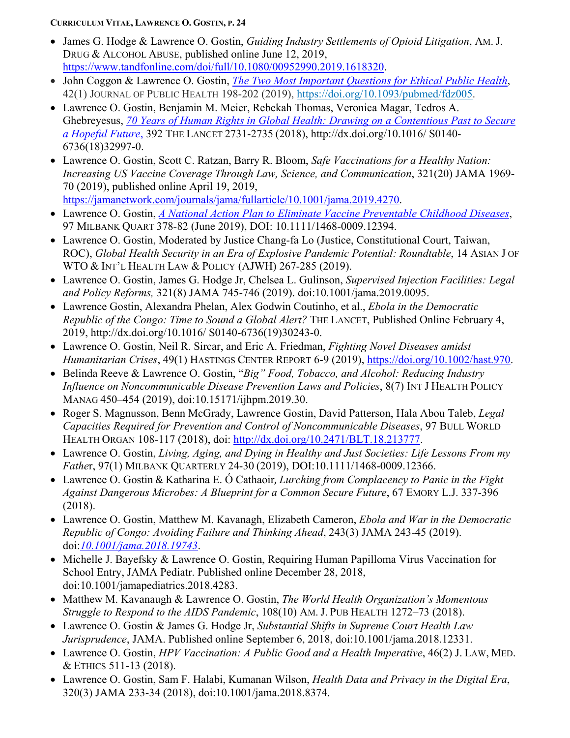- James G. Hodge & Lawrence O. Gostin, *Guiding Industry Settlements of Opioid Litigation*, AM. J. DRUG & ALCOHOL ABUSE, published online June 12, 2019, [https://www.tandfonline.com/doi/full/10.1080/00952990.2019.1618320.](https://www.tandfonline.com/doi/full/10.1080/00952990.2019.1618320)
- John Coggon & Lawrence O. Gostin, *[The Two Most Important Questions](https://academic.oup.com/jpubhealth/advance-article-abstract/doi/10.1093/pubmed/fdz005/5528173?redirectedFrom=fulltext) for Ethical Public Health*, 42(1) JOURNAL OF PUBLIC HEALTH 198-202 (2019), [https://doi.org/10.1093/pubmed/fdz005.](https://doi.org/10.1093/pubmed/fdz005)
- Lawrence O. Gostin, Benjamin M. Meier, Rebekah Thomas, Veronica Magar, Tedros A. Ghebreyesus, *70 Years of Human Rights in Global Health: Drawing [on a Contentious Past to Secure](https://www.thelancet.com/pdfs/journals/lancet/PIIS0140-6736(18)32997-0.pdf)  a [Hopeful Future](https://www.thelancet.com/pdfs/journals/lancet/PIIS0140-6736(18)32997-0.pdf)*, 392 THE LANCET 2731-2735 (2018), http://dx.doi.org/10.1016/ S0140- 6736(18)32997-0.
- Lawrence O. Gostin, Scott C. Ratzan, Barry R. Bloom, *Safe Vaccinations for a Healthy Nation: Increasing US Vaccine Coverage Through Law, Science, and Communication*, 321(20) JAMA 1969- 70 (2019), published online April 19, 2019, [https://jamanetwork.com/journals/jama/fullarticle/10.1001/jama.2019.4270.](https://jamanetwork.com/journals/jama/fullarticle/10.1001/jama.2019.4270)
- Lawrence O. Gostin, *A National Action [Plan to Eliminate Vaccine Preventable Childhood Diseases](https://www.milbank.org/quarterly/articles/a-national-action-plan-to-eliminate-vaccine-preventable-childhood-diseases/?utm_source=Milbank+Email+List&utm_campaign=5e1f911248-EMAIL_CAMPAIGN_2019_06_06_06_27&utm_medium=email&utm_term=0_dbce9df54c-5e1f911248-3863793)*, 97 MILBANK QUART 378-82 (June 2019), DOI: 10.1111/1468-0009.12394.
- Lawrence O. Gostin, Moderated by Justice Chang-fa Lo (Justice, Constitutional Court, Taiwan, ROC), *Global Health Security in an Era of Explosive Pandemic Potential: Roundtable*, 14 ASIAN J OF WTO & INT'L HEALTH LAW & POLICY (AJWH) 267-285 (2019).
- Lawrence O. Gostin, James G. Hodge Jr, Chelsea L. Gulinson, *Supervised Injection Facilities: Legal and Policy Reforms,* 321(8) JAMA 745-746 (2019). doi:10.1001/jama.2019.0095.
- Lawrence Gostin, Alexandra Phelan, Alex Godwin Coutinho, et al., *Ebola in the Democratic Republic of the Congo: Time to Sound a Global Alert?* THE LANCET, Published Online February 4, 2019, http://dx.doi.org/10.1016/ S0140-6736(19)30243-0.
- Lawrence O. Gostin, Neil R. Sircar, and Eric A. Friedman, *Fighting Novel Diseases amidst Humanitarian Crises*, 49(1) HASTINGS CENTER REPORT 6-9 (2019), [https://doi.org/10.1002/hast.970.](https://doi.org/10.1002/hast.970)
- Belinda Reeve & Lawrence O. Gostin, "*Big" Food, Tobacco, and Alcohol: Reducing Industry Influence on Noncommunicable Disease Prevention Laws and Policies*, 8(7) INT J HEALTH POLICY MANAG 450–454 (2019), doi:10.15171/ijhpm.2019.30.
- Roger S. Magnusson, Benn McGrady, Lawrence Gostin, David Patterson, Hala Abou Taleb, *Legal Capacities Required for Prevention and Control of Noncommunicable Diseases*, 97 BULL WORLD HEALTH ORGAN 108-117 (2018), doi: [http://dx.doi.org/10.2471/BLT.18.213777.](http://dx.doi.org/10.2471/BLT.18.213777)
- Lawrence O. Gostin, *Living, Aging, and Dying in Healthy and Just Societies: Life Lessons From my Fathe*r, 97(1) MILBANK QUARTERLY 24-30 (2019), DOI:10.1111/1468-0009.12366.
- Lawrence O. Gostin & Katharina E. Ó Cathaoir, *Lurching from Complacency to Panic in the Fight Against Dangerous Microbes: A Blueprint for a Common Secure Future*, 67 EMORY L.J. 337-396 (2018).
- Lawrence O. Gostin, Matthew M. Kavanagh, Elizabeth Cameron, *Ebola and War in the Democratic Republic of Congo: Avoiding Failure and Thinking Ahead*, 243(3) JAMA 243-45 (2019). doi:*[10.1001/jama.2018.19743](http://jamanetwork.com/article.aspx?doi=10.1001/jama.2018.19743)*.
- Michelle J. Bayefsky & Lawrence O. Gostin, Requiring Human Papilloma Virus Vaccination for School Entry, JAMA Pediatr. Published online December 28, 2018, doi:10.1001/jamapediatrics.2018.4283.
- Matthew M. Kavanaugh & Lawrence O. Gostin, *The World Health Organization's Momentous Struggle to Respond to the AIDS Pandemic*, 108(10) AM. J. PUB HEALTH 1272–73 (2018).
- Lawrence O. Gostin & James G. Hodge Jr, *Substantial Shifts in Supreme Court Health Law Jurisprudence*, JAMA. Published online September 6, 2018, doi:10.1001/jama.2018.12331.
- Lawrence O. Gostin, *HPV Vaccination: A Public Good and a Health Imperative*, 46(2) J. LAW, MED. & ETHICS 511-13 (2018).
- Lawrence O. Gostin, Sam F. Halabi, Kumanan Wilson, *Health Data and Privacy in the Digital Era*, 320(3) JAMA 233-34 (2018), doi:10.1001/jama.2018.8374.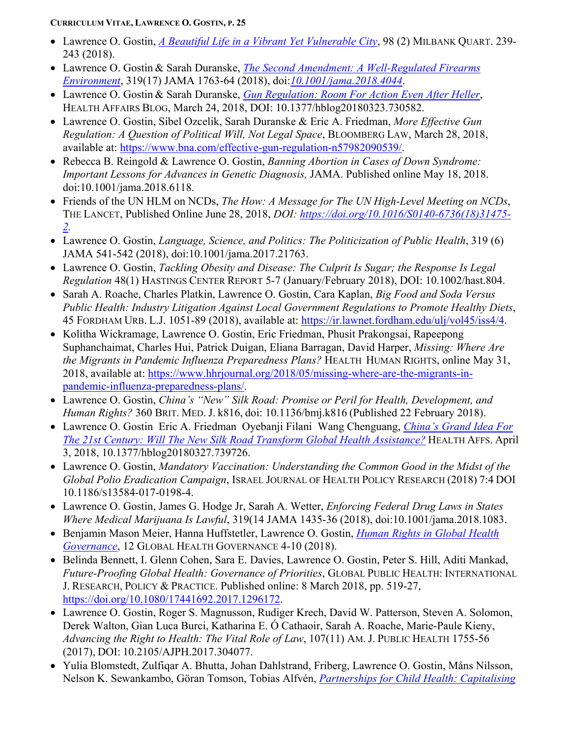- Lawrence O. Gostin, *[A Beautiful Life in a Vibrant Yet Vulnerable City](https://www.milbank.org/quarterly/articles/beautiful-life-vibrant-yet-vulnerable-city/?utm_source=Milbank+Email+List&utm_campaign=5f450ecfb7-EMAIL_CAMPAIGN_2018_01_09&utm_medium=email&utm_term=0_dbce9df54c-5f450ecfb7-3863793)*, 98 (2) MILBANK QUART. 239- 243 (2018).
- Lawrence O. Gostin & Sarah Duranske, *The Second Amendment: A [Well-Regulated Firearms](https://jamanetwork.com/journals/jama/fullarticle/2676544) [Environment](https://jamanetwork.com/journals/jama/fullarticle/2676544)*, 319(17) JAMA 1763-64 (2018), doi:*[10.1001/jama.2018.4044](http://jamanetwork.com/article.aspx?doi=10.1001/jama.2018.4044)*.
- Lawrence O. Gostin & Sarah Duranske, *[Gun Regulation: Room For Action](https://www.healthaffairs.org/do/10.1377/hblog20180323.730582/full/) Even After Heller*, HEALTH AFFAIRS BLOG, March 24, 2018, DOI: 10.1377/hblog20180323.730582.
- Lawrence O. Gostin, Sibel Ozcelik, Sarah Duranske & Eric A. Friedman, *More Effective Gun Regulation: A Question of Political Will, Not Legal Space*, BLOOMBERG LAW, March 28, 2018, available at: [https://www.bna.com/effective-gun-regulation-n57982090539/.](https://www.bna.com/effective-gun-regulation-n57982090539/)
- Rebecca B. Reingold & Lawrence O. Gostin, *Banning Abortion in Cases of Down Syndrome: Important Lessons for Advances in Genetic Diagnosis,* JAMA. Published online May 18, 2018. doi:10.1001/jama.2018.6118.
- Friends of the UN HLM on NCDs, *The How: A Message for The UN High-Level Meeting on NCDs*, THE LANCET, Published Online June 28, 2018, *DOI: [https://doi.org/10.1016/S0140-6736\(18\)31475-](https://doi.org/10.1016/S0140-6736(18)31475-2) [2.](https://doi.org/10.1016/S0140-6736(18)31475-2)*
- Lawrence O. Gostin, *Language, Science, and Politics: The Politicization of Public Health*, 319 (6) JAMA 541-542 (2018), doi:10.1001/jama.2017.21763.
- Lawrence O. Gostin, *Tackling Obesity and Disease: The Culprit Is Sugar; the Response Is Legal Regulation* 48(1) HASTINGS CENTER REPORT 5-7 (January/February 2018), DOI: 10.1002/hast.804.
- Sarah A. Roache, Charles Platkin, Lawrence O. Gostin, Cara Kaplan, *Big Food and Soda Versus Public Health: Industry Litigation Against Local Government Regulations to Promote Healthy Diets*, 45 FORDHAM URB. L.J. 1051-89 (2018), available at: [https://ir.lawnet.fordham.edu/ulj/vol45/iss4/4.](https://ir.lawnet.fordham.edu/ulj/vol45/iss4/4)
- Kolitha Wickramage, Lawrence O. Gostin, Eric Friedman, Phusit Prakongsai, Rapeepong Suphanchaimat, Charles Hui, Patrick Duigan, Eliana Barragan, David Harper, *Missing: Where Are the Migrants in Pandemic Influenza Preparedness Plans?* HEALTH HUMAN RIGHTS, online May 31, 2018, available at: [https://www.hhrjournal.org/2018/05/missing-where-are-the-migrants-in](https://www.hhrjournal.org/2018/05/missing-where-are-the-migrants-in-pandemic-influenza-preparedness-plans/)[pandemic-influenza-preparedness-plans/.](https://www.hhrjournal.org/2018/05/missing-where-are-the-migrants-in-pandemic-influenza-preparedness-plans/)
- Lawrence O. Gostin, *China's "New" Silk Road: Promise or Peril for Health, Development, and Human Rights?* 360 BRIT. MED. J. k816, doi: 10.1136/bmj.k816 (Published 22 February 2018).
- Lawrence O. Gostin Eric A. Friedman Oyebanji Filani Wang Chenguang, *[China's Grand](https://www.healthaffairs.org/do/10.1377/hblog20180327.739726/full/) Idea For The 21st Century: Will [The New Silk Road Transform Global Health Assistance?](https://www.healthaffairs.org/do/10.1377/hblog20180327.739726/full/)* HEALTH AFFS. April 3, 2018, 10.1377/hblog20180327.739726.
- Lawrence O. Gostin, *Mandatory Vaccination: Understanding the Common Good in the Midst of the Global Polio Eradication Campaign*, ISRAEL JOURNAL OF HEALTH POLICY RESEARCH (2018) 7:4 DOI 10.1186/S13584-017-0198-4.
- Lawrence O. Gostin, James G. Hodge Jr, Sarah A. Wetter, *Enforcing Federal Drug Laws in States Where Medical Marijuana Is Lawful*, 319(14 JAMA 1435-36 (2018), doi:10.1001/jama.2018.1083.
- Benjamin Mason Meier, Hanna Huffstetler, Lawrence O. Gostin, *[Human Rights](https://blogs.shu.edu/ghg/2018/03/15/human-rights-in-global-health-governance/) in Global Health [Governance](https://blogs.shu.edu/ghg/2018/03/15/human-rights-in-global-health-governance/)*, 12 GLOBAL HEALTH GOVERNANCE 4-10 (2018).
- Belinda Bennett, I. Glenn Cohen, Sara E. Davies, Lawrence O. Gostin, Peter S. Hill, Aditi Mankad, *Future-Proofing Global Health: Governance of Priorities*, GLOBAL PUBLIC HEALTH: INTERNATIONAL J. RESEARCH, POLICY & PRACTICE. Published online: 8 March 2018, pp. 519-27, [https://doi.org/10.1080/17441692.2017.1296172.](https://doi.org/10.1080/17441692.2017.1296172)
- Lawrence O. Gostin, Roger S. Magnusson, Rudiger Krech, David W. Patterson, Steven A. Solomon, Derek Walton, Gian Luca Burci, Katharina E. Ó Cathaoir, Sarah A. Roache, Marie-Paule Kieny, *Advancing the Right to Health: The Vital Role of Law*, 107(11) AM. J. PUBLIC HEALTH 1755-56 (2017), DOI: 10.2105/AJPH.2017.304077.
- Yulia Blomstedt, Zulfiqar A. Bhutta, Johan Dahlstrand, Friberg, Lawrence O. Gostin, Måns Nilsson, Nelson K. Sewankambo, Göran Tomson, Tobias Alfvén, *Partnerships for Child [Health: Capitalising](http://www.bmj.com/content/360/bmj.k125)*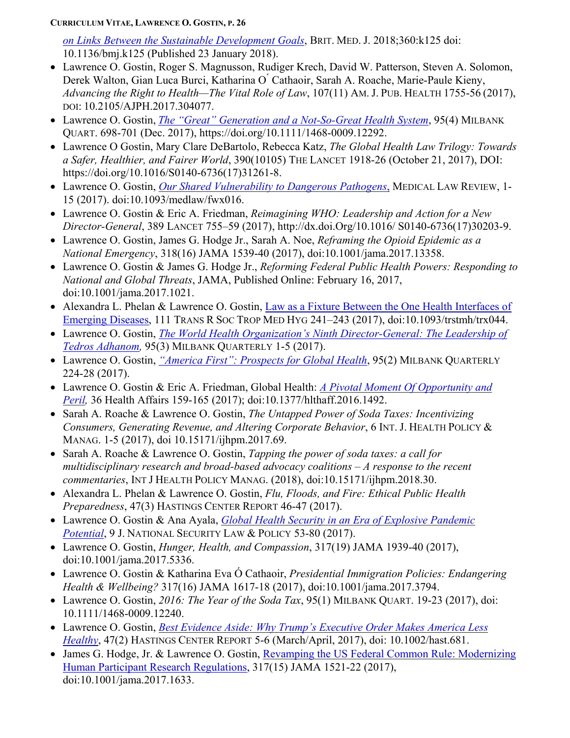*on Links Between the [Sustainable Development Goals](http://www.bmj.com/content/360/bmj.k125)*, BRIT. MED. J. 2018;360:k125 doi: 10.1136/bmj.k125 (Published 23 January 2018).

- Lawrence O. Gostin, Roger S. Magnusson, Rudiger Krech, David W. Patterson, Steven A. Solomon, Derek Walton, Gian Luca Burci, Katharina O<sup>'</sup> Cathaoir, Sarah A. Roache, Marie-Paule Kieny, *Advancing the Right to Health—The Vital Role of Law*, 107(11) AM. J. PUB. HEALTH 1755-56 (2017), DOI: 10.2105/AJPH.2017.304077.
- Lawrence O. Gostin, *The "Great" Generation and [a Not-So-Great Health System](https://www.milbank.org/quarterly/articles/great-generation-not-great-health-system/)*, 95(4) MILBANK QUART. 698-701 (Dec. 2017), https://doi.org/10.1111/1468-0009.12292.
- Lawrence O Gostin, Mary Clare DeBartolo, Rebecca Katz, *The Global Health Law Trilogy: Towards a Safer, Healthier, and Fairer World*, 390(10105) THE LANCET 1918-26 (October 21, 2017), DOI: https://doi.org/10.1016/S0140-6736(17)31261-8.
- Lawrence O. Gostin, *[Our Shared Vulnerability to Dangerous Pathogens](https://academic.oup.com/medlaw/article/doi/10.1093/medlaw/fwx016/3737660/Our-Shared-Vulnerability-to-Dangerous-Pathogens?guestAccessKey=91d0975c-1749-428a-8f8a-8d4a5aa98287)*, MEDICAL LAW REVIEW, 1- 15 (2017). doi:10.1093/medlaw/fwx016.
- Lawrence O. Gostin & Eric A. Friedman, *Reimagining WHO: Leadership and Action for a New Director-General*, 389 LANCET 755–59 (2017), http://dx.doi.Org/10.1016/ S0140-6736(17)30203-9.
- Lawrence O. Gostin, James G. Hodge Jr., Sarah A. Noe, *Reframing the Opioid Epidemic as a National Emergency*, 318(16) JAMA 1539-40 (2017), doi:10.1001/jama.2017.13358.
- Lawrence O. Gostin & James G. Hodge Jr., *Reforming Federal Public Health Powers: Responding to National and Global Threats*, JAMA, Published Online: February 16, 2017, doi:10.1001/jama.2017.1021.
- Alexandra L. Phelan & Lawrence O. Gostin, [Law as a Fixture Between the One Health](https://ssrn.com/abstract=3066797) Interfaces of [Emerging Diseases,](https://ssrn.com/abstract=3066797) 111 TRANS R SOC TROP MED HYG 241–243 (2017), doi:10.1093/trstmh/trx044.
- Lawrence O. Gostin, *[The World Health Organization's Ninth](https://www.milbank.org/quarterly/articles/world-health-organizations-ninth-director-general-leadership-tedros-adhanom/) Director-General: The Leadership of [Tedros Adhanom,](https://www.milbank.org/quarterly/articles/world-health-organizations-ninth-director-general-leadership-tedros-adhanom/)* 95(3) MILBANK QUARTERLY 1-5 (2017).
- Lawrence O. Gostin, *["America First": Prospects for Global Health](https://www.milbank.org/quarterly/articles/america-first-prospects-global-health/)*, 95(2) MILBANK QUARTERLY 224-28 (2017).
- Lawrence O. Gostin & Eric A. Friedman, Global Health: *A [Pivotal Moment Of Opportunity and](http://content.healthaffairs.org/content/36/1/159.abstract?etoc)  [Peril,](http://content.healthaffairs.org/content/36/1/159.abstract?etoc)* 36 Health Affairs 159-165 (2017); doi:10.1377/hlthaff.2016.1492.
- Sarah A. Roache & Lawrence O. Gostin, *The Untapped Power of Soda Taxes: Incentivizing Consumers, Generating Revenue, and Altering Corporate Behavior*, 6 INT. J. HEALTH POLICY & MANAG. 1-5 (2017), doi 10.15171/ijhpm.2017.69.
- Sarah A. Roache & Lawrence O. Gostin, *Tapping the power of soda taxes: a call for multidisciplinary research and broad-based advocacy coalitions – A response to the recent commentaries*, INT J HEALTH POLICY MANAG. (2018), doi:10.15171/ijhpm.2018.30.
- Alexandra L. Phelan & Lawrence O. Gostin, *Flu, Floods, and Fire: Ethical Public Health Preparedness*, 47(3) HASTINGS CENTER REPORT 46-47 (2017).
- Lawrence O. Gostin & Ana Ayala, *[Global Health Security in an Era](http://jnslp.com/2017/01/18/global-health-security-era-explosive-pandemic-potential/) of Explosive Pandemic [Potential](http://jnslp.com/2017/01/18/global-health-security-era-explosive-pandemic-potential/)*, 9 J. NATIONAL SECURITY LAW & POLICY 53-80 (2017).
- Lawrence O. Gostin, *Hunger, Health, and Compassion*, 317(19) JAMA 1939-40 (2017), doi:10.1001/jama.2017.5336.
- Lawrence O. Gostin & Katharina Eva Ó Cathaoir, *Presidential Immigration Policies: Endangering Health & Wellbeing?* 317(16) JAMA 1617-18 (2017), doi:10.1001/jama.2017.3794.
- Lawrence O. Gostin, *2016: The Year of the Soda Tax*, 95(1) MILBANK QUART. 19-23 (2017), doi: 10.1111/1468-0009.12240.
- Lawrence O. Gostin, *[Best Evidence Aside: Why Trump's](http://onlinelibrary.wiley.com/doi/10.1002/hast.681/full) Executive Order Makes America Less [Healthy](http://onlinelibrary.wiley.com/doi/10.1002/hast.681/full)*, 47(2) HASTINGS CENTER REPORT 5-6 (March/April, 2017), doi: 10.1002/hast.681.
- James G. Hodge, Jr. & Lawrence O. Gostin, Revamping the [US Federal Common Rule:](http://bit.ly/2lGY2Y3) Modernizing [Human Participant Research Regulations,](http://bit.ly/2lGY2Y3) 317(15) JAMA 1521-22 (2017), doi:10.1001/jama.2017.1633.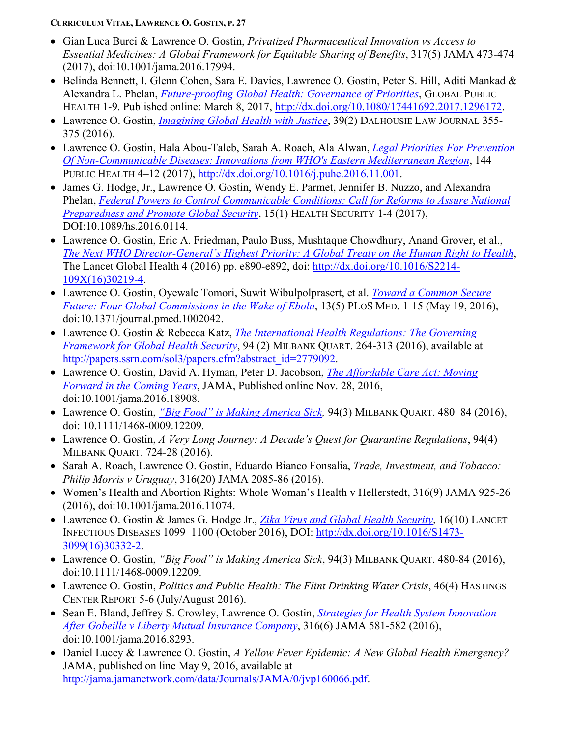- Gian Luca Burci & Lawrence O. Gostin, *Privatized Pharmaceutical Innovation vs Access to Essential Medicines: A Global Framework for Equitable Sharing of Benefits*, 317(5) JAMA 473-474 (2017), doi:10.1001/jama.2016.17994.
- Belinda Bennett, I. Glenn Cohen, Sara E. Davies, Lawrence O. Gostin, Peter S. Hill, Aditi Mankad & Alexandra L. Phelan, *[Future-proofing Global Health: Governance of Priorities](http://www.tandfonline.com/doi/full/10.1080/17441692.2017.1296172)*, GLOBAL PUBLIC HEALTH 1-9. Published online: March 8, 2017, [http://dx.doi.org/10.1080/17441692.2017.1296172.](http://dx.doi.org/10.1080/17441692.2017.1296172)
- Lawrence O. Gostin, *[Imagining Global Health with Justice](http://ssrn.com/abstract=2910039)*, 39(2) DALHOUSIE LAW JOURNAL 355- 375 (2016).
- Lawrence O. Gostin, Hala Abou-Taleb, Sarah A. Roach, Ala Alwan, *[Legal Priorities For Prevention](http://www.sciencedirect.com/science/article/pii/S003335061630381X)  [Of Non-Communicable Diseases: Innovations from WHO's Eastern](http://www.sciencedirect.com/science/article/pii/S003335061630381X) Mediterranean Region*, 144 PUBLIC HEALTH 4–12 (2017), [http://dx.doi.org/10.1016/j.puhe.2016.11.001.](http://dx.doi.org/10.1016/j.puhe.2016.11.001)
- James G. Hodge, Jr., Lawrence O. Gostin, Wendy E. Parmet, Jennifer B. Nuzzo, and Alexandra Phelan, *[Federal Powers to Control Communicable Conditions: Call for Reforms to Assure](http://online.liebertpub.com/toc/hs/0/0) National [Preparedness and Promote Global Security](http://online.liebertpub.com/toc/hs/0/0)*, 15(1) HEALTH SECURITY 1-4 (2017), DOI:10.1089/hs.2016.0114.
- Lawrence O. Gostin, Eric A. Friedman, Paulo Buss, Mushtaque Chowdhury, Anand Grover, et al., *[The Next WHO Director-General's Highest Priority: A Global Treaty](http://www.thelancet.com/pdfs/journals/langlo/PIIS2214-109X(16)30219-4.pdf) on the Human Right to Health*, The Lancet Global Health 4 (2016) pp. e890-e892, doi: [http://dx.doi.org/10.1016/S2214-](http://dx.doi.org/10.1016/S2214-109X(16)30219-4) [109X\(16\)30219-4.](http://dx.doi.org/10.1016/S2214-109X(16)30219-4)
- Lawrence O. Gostin, Oyewale Tomori, Suwit Wibulpolprasert, et al. *[Toward a Common Secure](http://journals.plos.org/plosmedicine/article?id=10.1371/journal.pmed.1002042)  Future: [Four Global Commissions](http://journals.plos.org/plosmedicine/article?id=10.1371/journal.pmed.1002042) in the Wake of Ebola*, 13(5) PLOS MED. 1-15 (May 19, 2016), doi:10.1371/journal.pmed.1002042.
- Lawrence O. Gostin & Rebecca Katz, *The International [Health Regulations: The Governing](http://www.milbank.org/uploads/documents/The_Governing_Framework_for_GlobalHealth_Security.pdf)  Framework for [Global Health Security](http://www.milbank.org/uploads/documents/The_Governing_Framework_for_GlobalHealth_Security.pdf)*, 94 (2) MILBANK QUART. 264-313 (2016), available at [http://papers.ssrn.com/sol3/papers.cfm?abstract\\_id=2779092.](http://papers.ssrn.com/sol3/papers.cfm?abstract_id=2779092)
- Lawrence O. Gostin, David A. Hyman, Peter D. Jacobson, *[The Affordable Care Act: Moving](http://ssrn.com/abstract=2881549)  [Forward in the Coming Years](http://ssrn.com/abstract=2881549)*, JAMA, Published online Nov. 28, 2016, doi:10.1001/jama.2016.18908.
- Lawrence O. Gostin, *"Big [Food" is Making](http://www.milbank.org/quarterly/articles/big-food-making-america-sick/) America Sick,* 94(3) MILBANK QUART. 480–84 (2016), doi: 10.1111/1468-0009.12209.
- Lawrence O. Gostin, *A Very Long Journey: A Decade's Quest for Quarantine Regulations*, 94(4) MILBANK QUART. 724-28 (2016).
- Sarah A. Roach, Lawrence O. Gostin, Eduardo Bianco Fonsalia, *Trade, Investment, and Tobacco: Philip Morris v Uruguay*, 316(20) JAMA 2085-86 (2016).
- Women's Health and Abortion Rights: Whole Woman's Health v Hellerstedt, 316(9) JAMA 925-26 (2016), doi:10.1001/jama.2016.11074.
- Lawrence O. Gostin & James G. Hodge Jr., *Zika Virus and Global [Health Security](http://ssrn.com/abstract=2841697)*, 16(10) LANCET INFECTIOUS DISEASES 1099–1100 (October 2016), DOI: [http://dx.doi.org/10.1016/S1473-](http://dx.doi.org/10.1016/S1473-3099(16)30332-2) [3099\(16\)30332-2.](http://dx.doi.org/10.1016/S1473-3099(16)30332-2)
- Lawrence O. Gostin, *"Big Food" is Making America Sick*, 94(3) MILBANK QUART. 480-84 (2016), doi:10.1111/1468-0009.12209.
- Lawrence O. Gostin, *Politics and Public Health: The Flint Drinking Water Crisis*, 46(4) HASTINGS CENTER REPORT 5-6 (July/August 2016).
- Sean E. Bland, Jeffrey S. Crowley, Lawrence O. Gostin, *[Strategies for Health System Innovation](http://jama.jamanetwork.com/mobile/article.aspx?articleID=2532230)  [After Gobeille v Liberty Mutual Insurance Company](http://jama.jamanetwork.com/mobile/article.aspx?articleID=2532230)*, 316(6) JAMA 581-582 (2016), doi:10.1001/jama.2016.8293.
- Daniel Lucey & Lawrence O. Gostin, *A Yellow Fever Epidemic: A New Global Health Emergency?* JAMA, published on line May 9, 2016, available at [http://jama.jamanetwork.com/data/Journals/JAMA/0/jvp160066.pdf.](http://jama.jamanetwork.com/data/Journals/JAMA/0/jvp160066.pdf)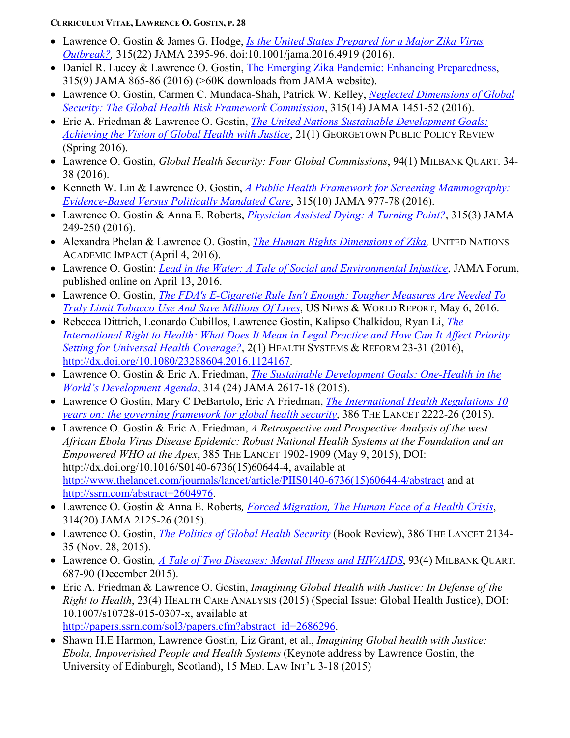- Lawrence O. Gostin & James G. Hodge, *[Is the United States Prepared for a Major Zika Virus](http://jama.jamanetwork.com/article.aspx?articleid=2514046) [Outbreak?,](http://jama.jamanetwork.com/article.aspx?articleid=2514046)* 315(22) JAMA 2395-96. doi:10.1001/jama.2016.4919 (2016).
- Daniel R. Lucey & Lawrence O. Gostin, [The Emerging Zika Pandemic: Enhancing Preparedness,](http://papers.ssrn.com/sol3/papers.cfm?abstract_id=2734133) 315(9) JAMA 865-86 (2016) (>60K downloads from JAMA website).
- Lawrence O. Gostin, Carmen C. Mundaca-Shah, Patrick W. Kelley, *[Neglected Dimensions of Global](http://jama.jamanetwork.com/article.aspx?articleID=2505286&utm_source=Silverchair_Information_Systems&utm_campaign=Thursday_March_24_2016&utm_content=olf&cmp=1&utm_medium=email)  [Security: The Global Health Risk Framework Commission](http://jama.jamanetwork.com/article.aspx?articleID=2505286&utm_source=Silverchair_Information_Systems&utm_campaign=Thursday_March_24_2016&utm_content=olf&cmp=1&utm_medium=email)*, 315(14) JAMA 1451-52 (2016).
- Eric A. Friedman & Lawrence O. Gostin, *[The United Nations Sustainable Development Goals:](http://www.gpprspring.com/sdg)  Achieving the Vision [of Global Health with Justice](http://www.gpprspring.com/sdg)*, 21(1) GEORGETOWN PUBLIC POLICY REVIEW (Spring 2016).
- Lawrence O. Gostin, *Global Health Security: Four Global Commissions*, 94(1) MILBANK QUART. 34- 38 (2016).
- Kenneth W. Lin & Lawrence O. Gostin, *A Public [Health Framework for Screening Mammography:](http://papers.ssrn.com/sol3/papers.cfm?abstract_id=2723384)  [Evidence-Based Versus Politically Mandated Care](http://papers.ssrn.com/sol3/papers.cfm?abstract_id=2723384)*, 315(10) JAMA 977-78 (2016).
- Lawrence O. Gostin & Anna E. Roberts, *[Physician Assisted Dying: A Turning Point?](http://papers.ssrn.com/sol3/papers.cfm?abstract_id=2723458)*, 315(3) JAMA 249-250 (2016).
- Alexandra Phelan & Lawrence O. Gostin, *[The Human Rights Dimensions of Zika,](https://academicimpact.un.org/content/human-rights-dimensions-zika?platform=hootsuite)* UNITED NATIONS ACADEMIC IMPACT (April 4, 2016).
- Lawrence O. Gostin: *Lead in the Water: A Tale [of Social and Environmental Injustice](https://newsatjama.jama.com/2016/04/13/jama-forum-lead-in-the-water-a-tale-of-social-and-environmental-injustice/)*, JAMA Forum, published online on April 13, 2016.
- Lawrence O. Gostin, *The FDA's E-Cigarette Rule Isn't Enough: [Tougher Measures Are Needed](http://www.usnews.com/opinion/articles/2016-05-06/curbing-e-cigarettes-and-tobacco-use-would-be-obamas-real-moonshot) To [Truly Limit Tobacco Use And Save Millions](http://www.usnews.com/opinion/articles/2016-05-06/curbing-e-cigarettes-and-tobacco-use-would-be-obamas-real-moonshot) Of Lives*, US NEWS & WORLD REPORT, May 6, 2016.
- Rebecca Dittrich, Leonardo Cubillos, Lawrence Gostin, Kalipso Chalkidou, Ryan Li, *[The](http://dx.doi.org/10.1080/23288604.2016.1124167)  International Right to Health: What Does It Mean in Legal Practice [and How Can It Affect Priority](http://dx.doi.org/10.1080/23288604.2016.1124167)  Setting [for Universal Health Coverage?](http://dx.doi.org/10.1080/23288604.2016.1124167)*, 2(1) HEALTH SYSTEMS & REFORM 23-31 (2016), [http://dx.doi.org/10.1080/23288604.2016.1124167.](http://dx.doi.org/10.1080/23288604.2016.1124167)
- Lawrence O. Gostin & Eric A. Friedman, *[The Sustainable Development Goals: One-Health](http://papers.ssrn.com/sol3/papers.cfm?abstract_id=2706788) in the World's [Development Agenda](http://papers.ssrn.com/sol3/papers.cfm?abstract_id=2706788)*, 314 (24) JAMA 2617-18 (2015).
- Lawrence O Gostin, Mary C DeBartolo, Eric A Friedman, *[The International Health Regulations 10](http://ssrn.com/abstract=2697105)  years on: the governing [framework for global health security](http://ssrn.com/abstract=2697105)*, 386 THE LANCET 2222-26 (2015).
- Lawrence O. Gostin & Eric A. Friedman, *A Retrospective and Prospective Analysis of the west African Ebola Virus Disease Epidemic: Robust National Health Systems at the Foundation and an Empowered WHO at the Apex*, 385 THE LANCET 1902-1909 (May 9, 2015), DOI: http://dx.doi.org/10.1016/S0140-6736(15)60644-4, available at [http://www.thelancet.com/journals/lancet/article/PIIS0140-6736\(15\)60644-4/abstract](http://www.thelancet.com/journals/lancet/article/PIIS0140-6736(15)60644-4/abstract) and at [http://ssrn.com/abstract=2604976.](http://ssrn.com/abstract=2604976)
- Lawrence O. Gostin & Anna E. Roberts*, Forced [Migration, The Human Face of a Health Crisis](http://ssrn.com/abstract=2695422)*, 314(20) JAMA 2125-26 (2015).
- Lawrence O. Gostin, *The Politics [of Global Health Security](http://www.thelancet.com/pdfs/journals/lancet/PIIS0140-6736(15)01059-4.pdf)* (Book Review), 386 THE LANCET 2134- 35 (Nov. 28, 2015).
- Lawrence O. Gostin*, A Tale of Two Diseases: Mental Illness and HIV/AIDS*, 93(4) MILBANK QUART. 687-90 (December 2015).
- Eric A. Friedman & Lawrence O. Gostin, *Imagining Global Health with Justice: In Defense of the Right to Health*, 23(4) HEALTH CARE ANALYSIS (2015) (Special Issue: Global Health Justice), DOI: 10.1007/s10728-015-0307-x, available at [http://papers.ssrn.com/sol3/papers.cfm?abstract\\_id=2686296.](http://papers.ssrn.com/sol3/papers.cfm?abstract_id=2686296)
- Shawn H.E Harmon, Lawrence Gostin, Liz Grant, et al., *Imagining Global health with Justice: Ebola, Impoverished People and Health Systems* (Keynote address by Lawrence Gostin, the University of Edinburgh, Scotland), 15 MED. LAW INT'L 3-18 (2015)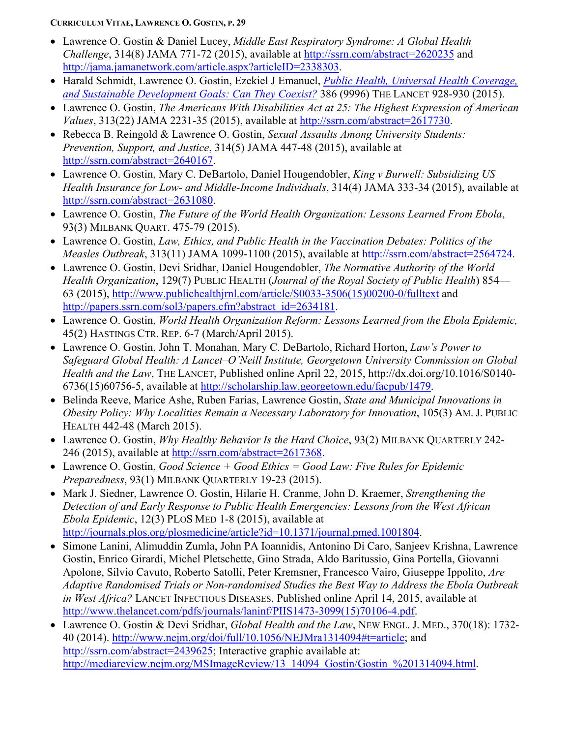- Lawrence O. Gostin & Daniel Lucey, *Middle East Respiratory Syndrome: A Global Health Challenge*, 314(8) JAMA 771-72 (2015), available at <http://ssrn.com/abstract=2620235> and [http://jama.jamanetwork.com/article.aspx?articleID=2338303.](http://jama.jamanetwork.com/article.aspx?articleID=2338303)
- Harald Schmidt, Lawrence O. Gostin, Ezekiel J Emanuel, *Public [Health, Universal Health Coverage,](http://papers.ssrn.com/sol3/papers.cfm?abstract_id=2625208)  [and Sustainable Development Goals: Can They Coexist?](http://papers.ssrn.com/sol3/papers.cfm?abstract_id=2625208)* 386 (9996) THE LANCET 928-930 (2015).
- Lawrence O. Gostin, *The Americans With Disabilities Act at 25: The Highest Expression of American Values*, 313(22) JAMA 2231-35 (2015), available at [http://ssrn.com/abstract=2617730.](http://ssrn.com/abstract=2617730)
- Rebecca B. Reingold & Lawrence O. Gostin, *Sexual Assaults Among University Students: Prevention, Support, and Justice*, 314(5) JAMA 447-48 (2015), available at [http://ssrn.com/abstract=2640167.](http://ssrn.com/abstract=2640167)
- Lawrence O. Gostin, Mary C. DeBartolo, Daniel Hougendobler, *King v Burwell: Subsidizing US Health Insurance for Low- and Middle-Income Individuals*, 314(4) JAMA 333-34 (2015), available at [http://ssrn.com/abstract=2631080.](http://ssrn.com/abstract=2631080)
- Lawrence O. Gostin, *The Future of the World Health Organization: Lessons Learned From Ebola*, 93(3) MILBANK QUART. 475-79 (2015).
- Lawrence O. Gostin, *Law, Ethics, and Public Health in the Vaccination Debates: Politics of the Measles Outbreak*, 313(11) JAMA 1099-1100 (2015), available at [http://ssrn.com/abstract=2564724.](http://ssrn.com/abstract=2564724)
- Lawrence O. Gostin, Devi Sridhar, Daniel Hougendobler, *The Normative Authority of the World Health Organization*, 129(7) PUBLIC HEALTH (*Journal of the Royal Society of Public Health*) 854— 63 (2015), [http://www.publichealthjrnl.com/article/S0033-3506\(15\)00200-0/fulltext](http://www.publichealthjrnl.com/article/S0033-3506(15)00200-0/fulltext) and [http://papers.ssrn.com/sol3/papers.cfm?abstract\\_id=2634181.](http://papers.ssrn.com/sol3/papers.cfm?abstract_id=2634181)
- Lawrence O. Gostin, *World Health Organization Reform: Lessons Learned from the Ebola Epidemic,* 45(2) HASTINGS CTR. REP. 6-7 (March/April 2015).
- Lawrence O. Gostin, John T. Monahan, Mary C. DeBartolo, Richard Horton, *Law's Power to Safeguard Global Health: A Lancet–O'Neill Institute, Georgetown University Commission on Global Health and the Law*, THE LANCET, Published online April 22, 2015, http://dx.doi.org/10.1016/S0140- 6736(15)60756-5, available at [http://scholarship.law.georgetown.edu/facpub/1479.](http://scholarship.law.georgetown.edu/facpub/1479)
- Belinda Reeve, Marice Ashe, Ruben Farias, Lawrence Gostin, *State and Municipal Innovations in Obesity Policy: Why Localities Remain a Necessary Laboratory for Innovation*, 105(3) AM. J. PUBLIC HEALTH 442-48 (March 2015).
- Lawrence O. Gostin, *Why Healthy Behavior Is the Hard Choice*, 93(2) MILBANK QUARTERLY 242 246 (2015), available at [http://ssrn.com/abstract=2617368.](http://ssrn.com/abstract=2617368)
- Lawrence O. Gostin, *Good Science + Good Ethics = Good Law: Five Rules for Epidemic Preparedness*, 93(1) MILBANK QUARTERLY 19-23 (2015).
- Mark J. Siedner, Lawrence O. Gostin, Hilarie H. Cranme, John D. Kraemer, *Strengthening the Detection of and Early Response to Public Health Emergencies: Lessons from the West African Ebola Epidemic*, 12(3) PLOS MED 1-8 (2015), available at [http://journals.plos.org/plosmedicine/article?id=10.1371/journal.pmed.1001804.](http://journals.plos.org/plosmedicine/article?id=10.1371/journal.pmed.1001804)
- Simone Lanini, Alimuddin Zumla, John PA Ioannidis, Antonino Di Caro, Sanjeev Krishna, Lawrence Gostin, Enrico Girardi, Michel Pletschette, Gino Strada, Aldo Baritussio, Gina Portella, Giovanni Apolone, Silvio Cavuto, Roberto Satolli, Peter Kremsner, Francesco Vairo, Giuseppe Ippolito, *Are Adaptive Randomised Trials or Non-randomised Studies the Best Way to Address the Ebola Outbreak in West Africa?* LANCET INFECTIOUS DISEASES, Published online April 14, 2015, available at [http://www.thelancet.com/pdfs/journals/laninf/PIIS1473-3099\(15\)70106-4.pdf.](http://www.thelancet.com/pdfs/journals/laninf/PIIS1473-3099(15)70106-4.pdf)
- Lawrence O. Gostin & Devi Sridhar, *Global Health and the Law*, NEW ENGL. J. MED., 370(18): 1732- 40 (2014). [http://www.nejm.org/doi/full/10.1056/NEJMra1314094#t=article;](http://www.nejm.org/doi/full/10.1056/NEJMra1314094#t=article) and [http://ssrn.com/abstract=2439625;](http://ssrn.com/abstract=2439625) Interactive graphic available at: [http://mediareview.nejm.org/MSImageReview/13\\_14094\\_Gostin/Gostin\\_%201314094.html.](http://mediareview.nejm.org/MSImageReview/13_14094_Gostin/Gostin_%201314094.html)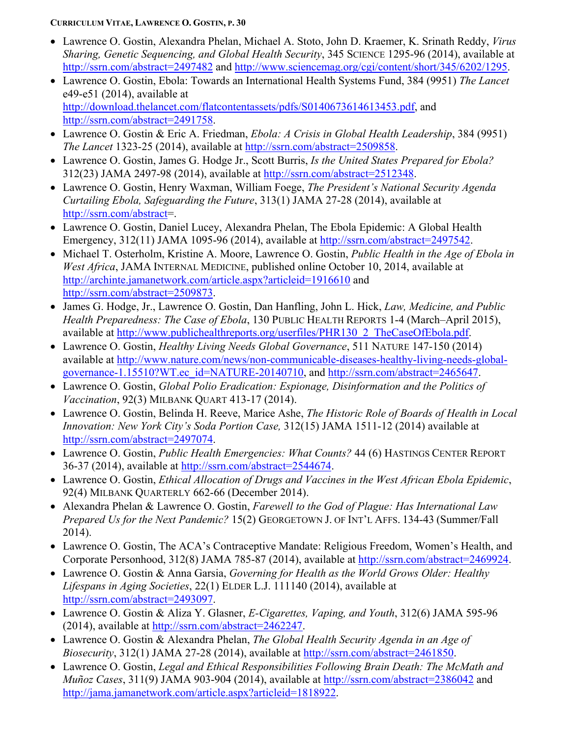- Lawrence O. Gostin, Alexandra Phelan, Michael A. Stoto, John D. Kraemer, K. Srinath Reddy, *Virus Sharing, Genetic Sequencing, and Global Health Security*, 345 SCIENCE 1295-96 (2014), available at <http://ssrn.com/abstract=2497482> and [http://www.sciencemag.org/cgi/content/short/345/6202/1295.](http://www.sciencemag.org/cgi/content/short/345/6202/1295)
- Lawrence O. Gostin, Ebola: Towards an International Health Systems Fund, 384 (9951) *The Lancet* e49-e51 (2014), available at [http://download.thelancet.com/flatcontentassets/pdfs/S0140673614613453.pdf,](http://download.thelancet.com/flatcontentassets/pdfs/S0140673614613453.pdf) and [http://ssrn.com/abstract=2491758.](http://ssrn.com/abstract=2491758)
- Lawrence O. Gostin & Eric A. Friedman, *Ebola: A Crisis in Global Health Leadership*, 384 (9951) *The Lancet* 1323-25 (2014), available at [http://ssrn.com/abstract=2509858.](http://ssrn.com/abstract=2509858)
- Lawrence O. Gostin, James G. Hodge Jr., Scott Burris, *Is the United States Prepared for Ebola?* 312(23) JAMA 2497-98 (2014), available at [http://ssrn.com/abstract=2512348.](http://ssrn.com/abstract=2512348)
- Lawrence O. Gostin, Henry Waxman, William Foege, *The President's National Security Agenda Curtailing Ebola, Safeguarding the Future*, 313(1) JAMA 27-28 (2014), available at [http://ssrn.com/abstract=](http://ssrn.com/abstract).
- Lawrence O. Gostin, Daniel Lucey, Alexandra Phelan, The Ebola Epidemic: A Global Health Emergency, 312(11) JAMA 1095-96 (2014), available at [http://ssrn.com/abstract=2497542.](http://ssrn.com/abstract=2497542)
- Michael T. Osterholm, Kristine A. Moore, Lawrence O. Gostin, *Public Health in the Age of Ebola in West Africa*, JAMA INTERNAL MEDICINE, published online October 10, 2014, available at <http://archinte.jamanetwork.com/article.aspx?articleid=1916610> and [http://ssrn.com/abstract=2509873.](http://ssrn.com/abstract=2509873)
- James G. Hodge, Jr., Lawrence O. Gostin, Dan Hanfling, John L. Hick, *Law, Medicine, and Public Health Preparedness: The Case of Ebola*, 130 PUBLIC HEALTH REPORTS 1-4 (March–April 2015), available at [http://www.publichealthreports.org/userfiles/PHR130\\_2\\_TheCaseOfEbola.pdf.](http://www.publichealthreports.org/userfiles/PHR130_2_TheCaseOfEbola.pdf)
- Lawrence O. Gostin, *Healthy Living Needs Global Governance*, 511 NATURE 147-150 (2014) available at [http://www.nature.com/news/non-communicable-diseases-healthy-living-needs-global](http://www.nature.com/news/non-communicable-diseases-healthy-living-needs-global-governance-1.15510?WT.ec_id=NATURE-20140710)[governance-1.15510?WT.ec\\_id=NATURE-20140710,](http://www.nature.com/news/non-communicable-diseases-healthy-living-needs-global-governance-1.15510?WT.ec_id=NATURE-20140710) and [http://ssrn.com/abstract=2465647.](http://ssrn.com/abstract=2465647)
- Lawrence O. Gostin, *Global Polio Eradication: Espionage, Disinformation and the Politics of Vaccination*, 92(3) MILBANK QUART 413-17 (2014).
- Lawrence O. Gostin, Belinda H. Reeve, Marice Ashe, *The Historic Role of Boards of Health in Local Innovation: New York City's Soda Portion Case,* 312(15) JAMA 1511-12 (2014) available at [http://ssrn.com/abstract=2497074.](http://ssrn.com/abstract=2497074)
- Lawrence O. Gostin, *Public Health Emergencies: What Counts?* 44 (6) HASTINGS CENTER REPORT 36-37 (2014), available at [http://ssrn.com/abstract=2544674.](http://ssrn.com/abstract=2544674)
- Lawrence O. Gostin, *Ethical Allocation of Drugs and Vaccines in the West African Ebola Epidemic*, 92(4) MILBANK QUARTERLY 662-66 (December 2014).
- Alexandra Phelan & Lawrence O. Gostin, *Farewell to the God of Plague: Has International Law Prepared Us for the Next Pandemic?* 15(2) GEORGETOWN J. OF INT'L AFFS. 134-43 (Summer/Fall 2014).
- Lawrence O. Gostin, The ACA's Contraceptive Mandate: Religious Freedom, Women's Health, and Corporate Personhood, 312(8) JAMA 785-87 (2014), available at [http://ssrn.com/abstract=2469924.](http://ssrn.com/abstract=2469924)
- Lawrence O. Gostin & Anna Garsia, *Governing for Health as the World Grows Older: Healthy Lifespans in Aging Societies*, 22(1) ELDER L.J. 111140 (2014), available at [http://ssrn.com/abstract=2493097.](http://ssrn.com/abstract=2493097)
- Lawrence O. Gostin & Aliza Y. Glasner, *E-Cigarettes, Vaping, and Youth*, 312(6) JAMA 595-96 (2014), available at [http://ssrn.com/abstract=2462247.](http://ssrn.com/abstract=2462247)
- Lawrence O. Gostin & Alexandra Phelan, *The Global Health Security Agenda in an Age of Biosecurity*, 312(1) JAMA 27-28 (2014), available at [http://ssrn.com/abstract=2461850.](http://ssrn.com/abstract=2461850)
- Lawrence O. Gostin, *Legal and Ethical Responsibilities Following Brain Death: The McMath and Muñoz Cases*, 311(9) JAMA 903-904 (2014), available at<http://ssrn.com/abstract=2386042> and [http://jama.jamanetwork.com/article.aspx?articleid=1818922.](http://jama.jamanetwork.com/article.aspx?articleid=1818922)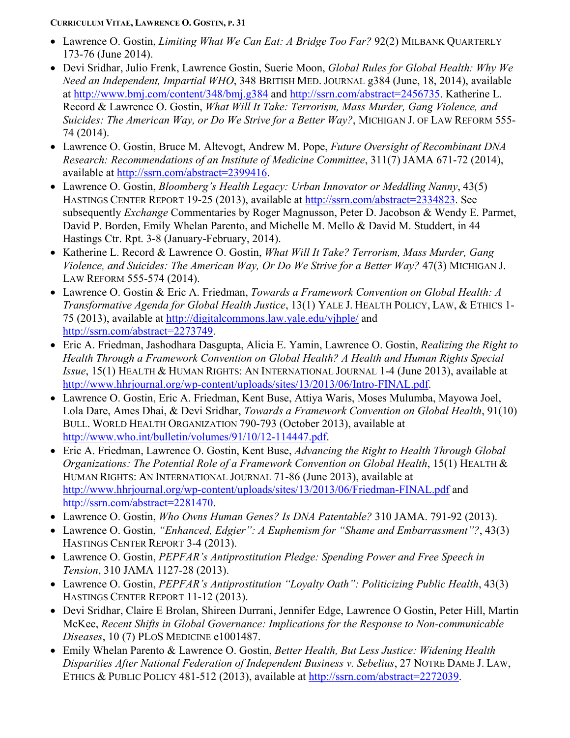- Lawrence O. Gostin, *Limiting What We Can Eat: A Bridge Too Far?* 92(2) MILBANK QUARTERLY 173-76 (June 2014).
- Devi Sridhar, Julio Frenk, Lawrence Gostin, Suerie Moon, *Global Rules for Global Health: Why We Need an Independent, Impartial WHO*, 348 BRITISH MED. JOURNAL g384 (June, 18, 2014), available at<http://www.bmj.com/content/348/bmj.g384> and [http://ssrn.com/abstract=2456735.](http://ssrn.com/abstract=2456735) Katherine L. Record & Lawrence O. Gostin, *What Will It Take: Terrorism, Mass Murder, Gang Violence, and Suicides: The American Way, or Do We Strive for a Better Way?*, MICHIGAN J. OF LAW REFORM 555- 74 (2014).
- Lawrence O. Gostin, Bruce M. Altevogt, Andrew M. Pope, *Future Oversight of Recombinant DNA Research: Recommendations of an Institute of Medicine Committee*, 311(7) JAMA 671-72 (2014), available at [http://ssrn.com/abstract=2399416.](http://ssrn.com/abstract=2399416)
- Lawrence O. Gostin, *Bloomberg's Health Legacy: Urban Innovator or Meddling Nanny*, 43(5) HASTINGS CENTER REPORT 19-25 (2013), available at [http://ssrn.com/abstract=2334823.](http://ssrn.com/abstract=2334823) See subsequently *Exchange* Commentaries by Roger Magnusson, Peter D. Jacobson & Wendy E. Parmet, David P. Borden, Emily Whelan Parento, and Michelle M. Mello & David M. Studdert, in 44 Hastings Ctr. Rpt. 3-8 (January-February, 2014).
- Katherine L. Record & Lawrence O. Gostin, *What Will It Take? Terrorism, Mass Murder, Gang Violence, and Suicides: The American Way, Or Do We Strive for a Better Way?* 47(3) MICHIGAN J. LAW REFORM 555-574 (2014).
- Lawrence O. Gostin & Eric A. Friedman, *Towards a Framework Convention on Global Health: A Transformative Agenda for Global Health Justice*, 13(1) YALE J. HEALTH POLICY, LAW, & ETHICS 1- 75 (2013), available at<http://digitalcommons.law.yale.edu/yjhple/> and [http://ssrn.com/abstract=2273749.](http://ssrn.com/abstract=2273749)
- Eric A. Friedman, Jashodhara Dasgupta, Alicia E. Yamin, Lawrence O. Gostin, *Realizing the Right to Health Through a Framework Convention on Global Health? A Health and Human Rights Special Issue*, 15(1) HEALTH & HUMAN RIGHTS: AN INTERNATIONAL JOURNAL 1-4 (June 2013), available at [http://www.hhrjournal.org/wp-content/uploads/sites/13/2013/06/Intro-FINAL.pdf.](http://www.hhrjournal.org/wp-content/uploads/sites/13/2013/06/Intro-FINAL.pdf)
- Lawrence O. Gostin, Eric A. Friedman, Kent Buse, Attiya Waris, Moses Mulumba, Mayowa Joel, Lola Dare, Ames Dhai, & Devi Sridhar, *Towards a Framework Convention on Global Health*, 91(10) BULL. WORLD HEALTH ORGANIZATION 790-793 (October 2013), available at [http://www.who.int/bulletin/volumes/91/10/12-114447.pdf.](http://www.who.int/bulletin/volumes/91/10/12-114447.pdf)
- Eric A. Friedman, Lawrence O. Gostin, Kent Buse, *Advancing the Right to Health Through Global Organizations: The Potential Role of a Framework Convention on Global Health*, 15(1) HEALTH & HUMAN RIGHTS: AN INTERNATIONAL JOURNAL 71-86 (June 2013), available at <http://www.hhrjournal.org/wp-content/uploads/sites/13/2013/06/Friedman-FINAL.pdf> and [http://ssrn.com/abstract=2281470.](http://ssrn.com/abstract=2281470)
- Lawrence O. Gostin, *Who Owns Human Genes? Is DNA Patentable?* 310 JAMA. 791-92 (2013).
- Lawrence O. Gostin, *"Enhanced, Edgier": A Euphemism for "Shame and Embarrassment"?*, 43(3) HASTINGS CENTER REPORT 3-4 (2013).
- Lawrence O. Gostin, *PEPFAR's Antiprostitution Pledge: Spending Power and Free Speech in Tension*, 310 JAMA 1127-28 (2013).
- Lawrence O. Gostin, *PEPFAR's Antiprostitution "Loyalty Oath": Politicizing Public Health*, 43(3) HASTINGS CENTER REPORT 11-12 (2013).
- Devi Sridhar, Claire E Brolan, Shireen Durrani, Jennifer Edge, Lawrence O Gostin, Peter Hill, Martin McKee, *Recent Shifts in Global Governance: Implications for the Response to Non-communicable Diseases*, 10 (7) PLOS MEDICINE e1001487.
- Emily Whelan Parento & Lawrence O. Gostin, *Better Health, But Less Justice: Widening Health Disparities After National Federation of Independent Business v. Sebelius*, 27 NOTRE DAME J. LAW, ETHICS & PUBLIC POLICY 481-512 (2013), available at [http://ssrn.com/abstract=2272039.](http://ssrn.com/abstract=2272039)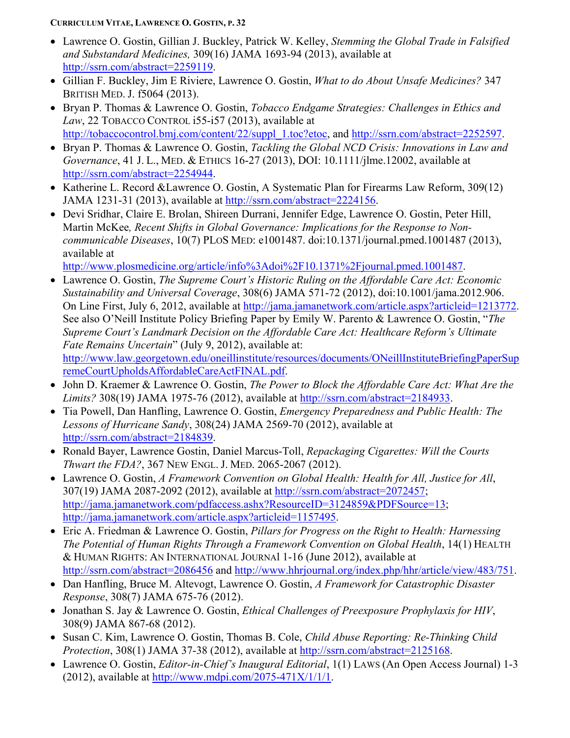- Lawrence O. Gostin, Gillian J. Buckley, Patrick W. Kelley, *Stemming the Global Trade in Falsified and Substandard Medicines,* 309(16) JAMA 1693-94 (2013), available at [http://ssrn.com/abstract=2259119.](http://ssrn.com/abstract=2259119)
- Gillian F. Buckley, Jim E Riviere, Lawrence O. Gostin, *What to do About Unsafe Medicines?* 347 BRITISH MED. J. f5064 (2013).
- Bryan P. Thomas & Lawrence O. Gostin, *Tobacco Endgame Strategies: Challenges in Ethics and Law*, 22 TOBACCO CONTROL i55-i57 (2013), available at [http://tobaccocontrol.bmj.com/content/22/suppl\\_1.toc?etoc,](http://tobaccocontrol.bmj.com/content/22/suppl_1.toc?etoc) and [http://ssrn.com/abstract=2252597.](http://ssrn.com/abstract=2252597)
- Bryan P. Thomas & Lawrence O. Gostin, *Tackling the Global NCD Crisis: Innovations in Law and Governance*, 41 J. L., MED. & ETHICS 16-27 (2013), DOI: 10.1111/jlme.12002, available at [http://ssrn.com/abstract=2254944.](http://ssrn.com/abstract=2254944)
- Katherine L. Record &Lawrence O. Gostin, A Systematic Plan for Firearms Law Reform, 309(12) JAMA 1231-31 (2013), available at [http://ssrn.com/abstract=2224156.](http://ssrn.com/abstract=2224156)
- Devi Sridhar, Claire E. Brolan, Shireen Durrani, Jennifer Edge, Lawrence O. Gostin, Peter Hill, Martin McKee*, Recent Shifts in Global Governance: Implications for the Response to Noncommunicable Diseases*, 10(7) PLOS MED: e1001487. doi:10.1371/journal.pmed.1001487 (2013), available at

[http://www.plosmedicine.org/article/info%3Adoi%2F10.1371%2Fjournal.pmed.1001487.](http://www.plosmedicine.org/article/info%3Adoi%2F10.1371%2Fjournal.pmed.1001487)

- Lawrence O. Gostin, *The Supreme Court's Historic Ruling on the Affordable Care Act: Economic Sustainability and Universal Coverage*, 308(6) JAMA 571-72 (2012), doi:10.1001/jama.2012.906. On Line First, July 6, 2012, available at [http://jama.jamanetwork.com/article.aspx?articleid=1213772.](http://jama.jamanetwork.com/article.aspx?articleid=1213772) See also O'Neill Institute Policy Briefing Paper by Emily W. Parento & Lawrence O. Gostin, "*The Supreme Court's Landmark Decision on the Affordable Care Act: Healthcare Reform's Ultimate Fate Remains Uncertain*" (July 9, 2012), available at: [http://www.law.georgetown.edu/oneillinstitute/resources/documents/ONeillInstituteBriefingPaperSup](http://www.law.georgetown.edu/oneillinstitute/resources/documents/ONeillInstituteBriefingPaperSupremeCourtUpholdsAffordableCareActFINAL.pdf) [remeCourtUpholdsAffordableCareActFINAL.pdf.](http://www.law.georgetown.edu/oneillinstitute/resources/documents/ONeillInstituteBriefingPaperSupremeCourtUpholdsAffordableCareActFINAL.pdf)
- John D. Kraemer & Lawrence O. Gostin, *The Power to Block the Affordable Care Act: What Are the Limits?* 308(19) JAMA 1975-76 (2012), available at [http://ssrn.com/abstract=2184933.](http://ssrn.com/abstract=2184933)
- Tia Powell, Dan Hanfling, Lawrence O. Gostin, *Emergency Preparedness and Public Health: The Lessons of Hurricane Sandy*, 308(24) JAMA 2569-70 (2012), available at [http://ssrn.com/abstract=2184839.](http://ssrn.com/abstract=2184839)
- Ronald Bayer, Lawrence Gostin, Daniel Marcus-Toll, *Repackaging Cigarettes: Will the Courts Thwart the FDA?*, 367 NEW ENGL. J. MED. 2065-2067 (2012).
- Lawrence O. Gostin, *A Framework Convention on Global Health: Health for All, Justice for All*, 307(19) JAMA 2087-2092 (2012), available at [http://ssrn.com/abstract=2072457;](http://ssrn.com/abstract=2072457) [http://jama.jamanetwork.com/pdfaccess.ashx?ResourceID=3124859&PDFSource=13;](http://jama.jamanetwork.com/pdfaccess.ashx?ResourceID=3124859&PDFSource=13) [http://jama.jamanetwork.com/article.aspx?articleid=1157495.](http://jama.jamanetwork.com/article.aspx?articleid=1157495)
- Eric A. Friedman & Lawrence O. Gostin, *Pillars for Progress on the Right to Health: Harnessing The Potential of Human Rights Through a Framework Convention on Global Health*, 14(1) HEALTH & HUMAN RIGHTS: AN INTERNATIONAL JOURNAl 1-16 (June 2012), available at <http://ssrn.com/abstract=2086456> and [http://www.hhrjournal.org/index.php/hhr/article/view/483/751.](http://www.hhrjournal.org/index.php/hhr/article/view/483/751)
- Dan Hanfling, Bruce M. Altevogt, Lawrence O. Gostin, *A Framework for Catastrophic Disaster Response*, 308(7) JAMA 675-76 (2012).
- Jonathan S. Jay & Lawrence O. Gostin, *Ethical Challenges of Preexposure Prophylaxis for HIV*, 308(9) JAMA 867-68 (2012).
- Susan C. Kim, Lawrence O. Gostin, Thomas B. Cole, *Child Abuse Reporting: Re-Thinking Child Protection*, 308(1) JAMA 37-38 (2012), available at [http://ssrn.com/abstract=2125168.](http://ssrn.com/abstract=2125168)
- Lawrence O. Gostin, *Editor-in-Chief's Inaugural Editorial*, 1(1) LAWS (An Open Access Journal) 1-3 (2012), available at [http://www.mdpi.com/2075-471X/1/1/1.](http://www.mdpi.com/2075-471X/1/1/1)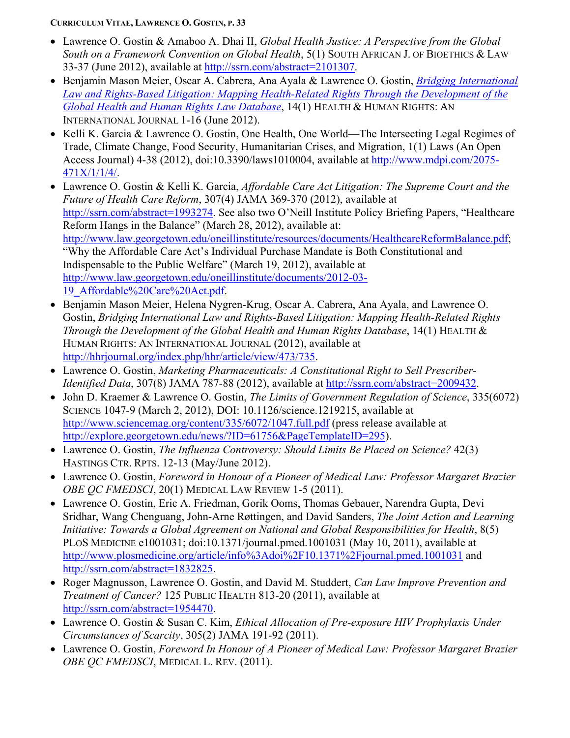- Lawrence O. Gostin & Amaboo A. Dhai II, *Global Health Justice: A Perspective from the Global South on a Framework Convention on Global Health*, 5(1) SOUTH AFRICAN J. OF BIOETHICS & LAW 33-37 (June 2012), available at [http://ssrn.com/abstract=2101307.](http://ssrn.com/abstract=2101307)
- Benjamin Mason Meier, Oscar A. Cabrera, Ana Ayala & Lawrence O. Gostin, *[Bridging International](https://mail.law.georgetown.edu/exchweb/bin/redir.asp?URL=http://hhrjournal.org/index.php/hhr/article/view/473/746) Law and Rights-Based [Litigation: Mapping Health-Related Rights Through the Development of the](https://mail.law.georgetown.edu/exchweb/bin/redir.asp?URL=http://hhrjournal.org/index.php/hhr/article/view/473/746)  [Global Health and Human Rights Law](https://mail.law.georgetown.edu/exchweb/bin/redir.asp?URL=http://hhrjournal.org/index.php/hhr/article/view/473/746) Database*, 14(1) HEALTH & HUMAN RIGHTS: AN INTERNATIONAL JOURNAL 1-16 (June 2012).
- Kelli K. Garcia & Lawrence O. Gostin, One Health, One World—The Intersecting Legal Regimes of Trade, Climate Change, Food Security, Humanitarian Crises, and Migration, 1(1) Laws (An Open Access Journal) 4-38 (2012), doi:10.3390/laws1010004, available at [http://www.mdpi.com/2075-](http://www.mdpi.com/2075-471X/1/1/4/) [471X/1/1/4/.](http://www.mdpi.com/2075-471X/1/1/4/)
- Lawrence O. Gostin & Kelli K. Garcia, *Affordable Care Act Litigation: The Supreme Court and the Future of Health Care Reform*, 307(4) JAMA 369-370 (2012), available at [http://ssrn.com/abstract=1993274.](http://ssrn.com/abstract=1993274) See also two O'Neill Institute Policy Briefing Papers, "Healthcare Reform Hangs in the Balance" (March 28, 2012), available at: [http://www.law.georgetown.edu/oneillinstitute/resources/documents/HealthcareReformBalance.pdf;](http://www.law.georgetown.edu/oneillinstitute/resources/documents/HealthcareReformBalance.pdf) "Why the Affordable Care Act's Individual Purchase Mandate is Both Constitutional and Indispensable to the Public Welfare" (March 19, 2012), available at [http://www.law.georgetown.edu/oneillinstitute/documents/2012-03-](http://www.law.georgetown.edu/oneillinstitute/documents/2012-03-19_Affordable%20Care%20Act.pdf) [19\\_Affordable%20Care%20Act.pdf.](http://www.law.georgetown.edu/oneillinstitute/documents/2012-03-19_Affordable%20Care%20Act.pdf)
- Benjamin Mason Meier, Helena Nygren-Krug, Oscar A. Cabrera, Ana Ayala, and Lawrence O. Gostin, *Bridging International Law and Rights-Based Litigation: Mapping Health-Related Rights Through the Development of the Global Health and Human Rights Database*, 14(1) HEALTH & HUMAN RIGHTS: AN INTERNATIONAL JOURNAL (2012), available at [http://hhrjournal.org/index.php/hhr/article/view/473/735.](http://hhrjournal.org/index.php/hhr/article/view/473/735)
- Lawrence O. Gostin, *Marketing Pharmaceuticals: A Constitutional Right to Sell Prescriber-Identified Data*, 307(8) JAMA 787-88 (2012), available at [http://ssrn.com/abstract=2009432.](http://ssrn.com/abstract=2009432)
- John D. Kraemer & Lawrence O. Gostin, *The Limits of Government Regulation of Science*, 335(6072) SCIENCE 1047-9 (March 2, 2012), DOI: 10.1126/science.1219215, available at <http://www.sciencemag.org/content/335/6072/1047.full.pdf> (press release available at [http://explore.georgetown.edu/news/?ID=61756&PageTemplateID=295\)](http://explore.georgetown.edu/news/?ID=61756&PageTemplateID=295).
- Lawrence O. Gostin, *The Influenza Controversy: Should Limits Be Placed on Science?* 42(3) HASTINGS CTR. RPTS. 12-13 (May/June 2012).
- Lawrence O. Gostin, *Foreword in Honour of a Pioneer of Medical Law: Professor Margaret Brazier OBE QC FMEDSCI*, 20(1) MEDICAL LAW REVIEW 1-5 (2011).
- Lawrence O. Gostin, Eric A. Friedman, Gorik Ooms, Thomas Gebauer, Narendra Gupta, Devi Sridhar, Wang Chenguang, John-Arne Røttingen, and David Sanders, *The Joint Action and Learning Initiative: Towards a Global Agreement on National and Global Responsibilities for Health*, 8(5) PLOS MEDICINE e1001031; doi:10.1371/journal.pmed.1001031 (May 10, 2011), available at <http://www.plosmedicine.org/article/info%3Adoi%2F10.1371%2Fjournal.pmed.1001031> and [http://ssrn.com/abstract=1832825.](http://ssrn.com/abstract=1832825)
- Roger Magnusson, Lawrence O. Gostin, and David M. Studdert, *Can Law Improve Prevention and Treatment of Cancer?* 125 PUBLIC HEALTH 813-20 (2011), available at [http://ssrn.com/abstract=1954470.](http://ssrn.com/abstract=1954470)
- Lawrence O. Gostin & Susan C. Kim, *Ethical Allocation of Pre-exposure HIV Prophylaxis Under Circumstances of Scarcity*, 305(2) JAMA 191-92 (2011).
- Lawrence O. Gostin, *Foreword In Honour of A Pioneer of Medical Law: Professor Margaret Brazier OBE QC FMEDSCI*, MEDICAL L. REV. (2011).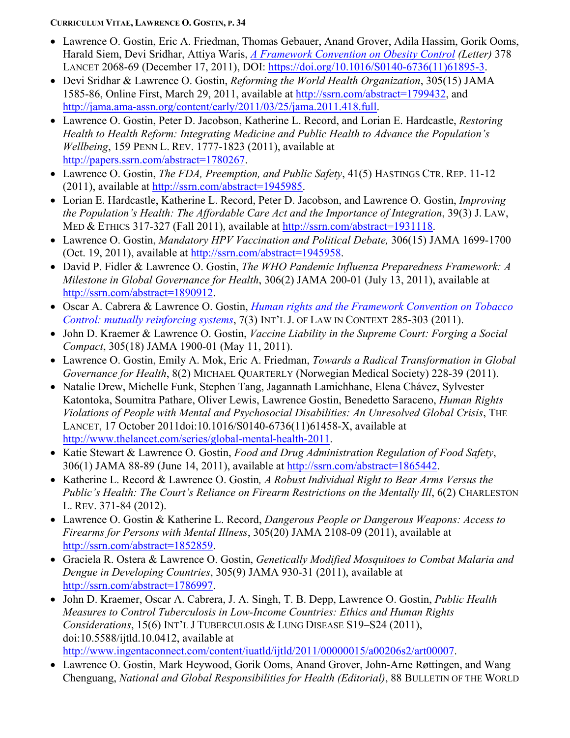- Lawrence O. Gostin, Eric A. Friedman, Thomas Gebauer, Anand Grover, Adila Hassim, Gorik Ooms, Harald Siem, Devi Sridhar, Attiya Waris, *[A Framework Convention on Obesity Control](http://www.thelancet.com/journals/lancet/article/PIIS0140-6736(11)61895-3/fulltext) (Letter)* 378 LANCET 2068-69 (December 17, 2011), DOI: [https://doi.org/10.1016/S0140-6736\(11\)61895-3.](https://doi.org/10.1016/S0140-6736(11)61895-3)
- Devi Sridhar & Lawrence O. Gostin, *Reforming the World Health Organization*, 305(15) JAMA 1585-86, Online First, March 29, 2011, available at [http://ssrn.com/abstract=1799432,](http://ssrn.com/abstract=1799432) and [http://jama.ama-assn.org/content/early/2011/03/25/jama.2011.418.full.](http://jama.ama-assn.org/content/early/2011/03/25/jama.2011.418.full)
- Lawrence O. Gostin, Peter D. Jacobson, Katherine L. Record, and Lorian E. Hardcastle, *Restoring Health to Health Reform: Integrating Medicine and Public Health to Advance the Population's Wellbeing*, 159 PENN L. REV. 1777-1823 (2011), available at [http://papers.ssrn.com/abstract=1780267.](http://papers.ssrn.com/abstract=1780267)
- Lawrence O. Gostin, *The FDA, Preemption, and Public Safety*, 41(5) HASTINGS CTR. REP. 11-12 (2011), available at [http://ssrn.com/abstract=1945985.](http://ssrn.com/abstract=1945985)
- Lorian E. Hardcastle, Katherine L. Record, Peter D. Jacobson, and Lawrence O. Gostin, *Improving the Population's Health: The Affordable Care Act and the Importance of Integration*, 39(3) J. LAW, MED & ETHICS 317-327 (Fall 2011), available at [http://ssrn.com/abstract=1931118.](http://ssrn.com/abstract=1931118)
- Lawrence O. Gostin, *Mandatory HPV Vaccination and Political Debate,* 306(15) JAMA 1699-1700 (Oct. 19, 2011), available at [http://ssrn.com/abstract=1945958.](http://ssrn.com/abstract=1945958)
- David P. Fidler & Lawrence O. Gostin, *The WHO Pandemic Influenza Preparedness Framework: A Milestone in Global Governance for Health*, 306(2) JAMA 200-01 (July 13, 2011), available at [http://ssrn.com/abstract=1890912.](http://ssrn.com/abstract=1890912)
- Oscar A. Cabrera & Lawrence O. Gostin, *[Human rights and the Framework Convention on Tobacco](http://journals.cambridge.org/repo_A83wbA5A)  [Control: mutually reinforcing](http://journals.cambridge.org/repo_A83wbA5A) systems*, 7(3) INT'L J. OF LAW IN CONTEXT 285-303 (2011).
- John D. Kraemer & Lawrence O. Gostin, *Vaccine Liability in the Supreme Court: Forging a Social Compact*, 305(18) JAMA 1900-01 (May 11, 2011).
- Lawrence O. Gostin, Emily A. Mok, Eric A. Friedman, *Towards a Radical Transformation in Global Governance for Health*, 8(2) MICHAEL QUARTERLY (Norwegian Medical Society) 228-39 (2011).
- Natalie Drew, Michelle Funk, Stephen Tang, Jagannath Lamichhane, Elena Chávez, Sylvester Katontoka, Soumitra Pathare, Oliver Lewis, Lawrence Gostin, Benedetto Saraceno, *Human Rights Violations of People with Mental and Psychosocial Disabilities: An Unresolved Global Crisis*, THE LANCET, 17 October 2011doi:10.1016/S0140-6736(11)61458-X, available at [http://www.thelancet.com/series/global-mental-health-2011.](http://www.thelancet.com/series/global-mental-health-2011)
- Katie Stewart & Lawrence O. Gostin, *Food and Drug Administration Regulation of Food Safety*, 306(1) JAMA 88-89 (June 14, 2011), available at [http://ssrn.com/abstract=1865442.](http://ssrn.com/abstract=1865442)
- Katherine L. Record & Lawrence O. Gostin*, A Robust Individual Right to Bear Arms Versus the Public's Health: The Court's Reliance on Firearm Restrictions on the Mentally Ill*, 6(2) CHARLESTON L. REV. 371-84 (2012).
- Lawrence O. Gostin & Katherine L. Record, *Dangerous People or Dangerous Weapons: Access to Firearms for Persons with Mental Illness*, 305(20) JAMA 2108-09 (2011), available at [http://ssrn.com/abstract=1852859.](http://ssrn.com/abstract=1852859)
- Graciela R. Ostera & Lawrence O. Gostin, *Genetically Modified Mosquitoes to Combat Malaria and Dengue in Developing Countries*, 305(9) JAMA 930-31 (2011), available at [http://ssrn.com/abstract=1786997.](http://ssrn.com/abstract=1786997)
- John D. Kraemer, Oscar A. Cabrera, J. A. Singh, T. B. Depp, Lawrence O. Gostin, *Public Health Measures to Control Tuberculosis in Low-Income Countries: Ethics and Human Rights Considerations*, 15(6) INT'L J TUBERCULOSIS & LUNG DISEASE S19–S24 (2011), doi:10.5588/ijtld.10.0412, available at [http://www.ingentaconnect.com/content/iuatld/ijtld/2011/00000015/a00206s2/art00007.](http://www.ingentaconnect.com/content/iuatld/ijtld/2011/00000015/a00206s2/art00007)
- Lawrence O. Gostin, Mark Heywood, Gorik Ooms, Anand Grover, John-Arne Røttingen, and Wang Chenguang, *National and Global Responsibilities for Health (Editorial)*, 88 BULLETIN OF THE WORLD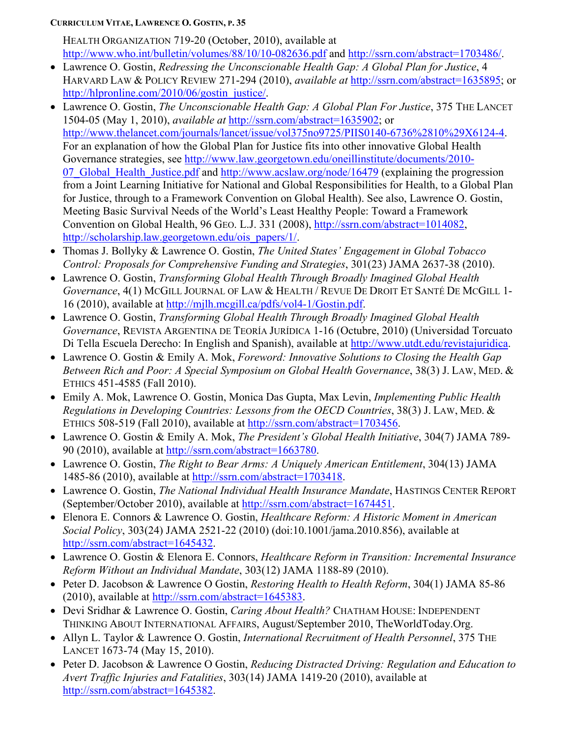HEALTH ORGANIZATION 719-20 (October, 2010), available at <http://www.who.int/bulletin/volumes/88/10/10-082636.pdf> and [http://ssrn.com/abstract=1703486/.](http://ssrn.com/abstract=1703486/)

- Lawrence O. Gostin, *Redressing the Unconscionable Health Gap: A Global Plan for Justice*, 4 HARVARD LAW & POLICY REVIEW 271-294 (2010), *available at* [http://ssrn.com/abstract=1635895;](http://ssrn.com/abstract=1635895) or [http://hlpronline.com/2010/06/gostin\\_justice/.](http://hlpronline.com/2010/06/gostin_justice/)
- Lawrence O. Gostin, *The Unconscionable Health Gap: A Global Plan For Justice*, 375 THE LANCET 1504-05 (May 1, 2010), *available at* [http://ssrn.com/abstract=1635902;](http://ssrn.com/abstract=1635902) or [http://www.thelancet.com/journals/lancet/issue/vol375no9725/PIIS0140-6736%2810%29X6124-4.](http://www.thelancet.com/journals/lancet/issue/vol375no9725/PIIS0140-6736%2810%29X6124-4) For an explanation of how the Global Plan for Justice fits into other innovative Global Health Governance strategies, see [http://www.law.georgetown.edu/oneillinstitute/documents/2010](http://www.law.georgetown.edu/oneillinstitute/documents/2010-07_Global_Health_Justice.pdf) 07 Global Health Justice.pdf and<http://www.acslaw.org/node/16479> (explaining the progression from a Joint Learning Initiative for National and Global Responsibilities for Health, to a Global Plan for Justice, through to a Framework Convention on Global Health). See also, Lawrence O. Gostin, Meeting Basic Survival Needs of the World's Least Healthy People: Toward a Framework Convention on Global Health, 96 GEO. L.J. 331 (2008), [http://ssrn.com/abstract=1014082,](http://ssrn.com/abstract=1014082) [http://scholarship.law.georgetown.edu/ois\\_papers/1/.](http://scholarship.law.georgetown.edu/ois_papers/1/)
- Thomas J. Bollyky & Lawrence O. Gostin, *The United States' Engagement in Global Tobacco Control: Proposals for Comprehensive Funding and Strategies*, 301(23) JAMA 2637-38 (2010).
- Lawrence O. Gostin, *Transforming Global Health Through Broadly Imagined Global Health Governance*, 4(1) MCGILL JOURNAL OF LAW & HEALTH / REVUE DE DROIT ET SANTÉ DE MCGILL 1- 16 (2010), available at [http://mjlh.mcgill.ca/pdfs/vol4-1/Gostin.pdf.](http://mjlh.mcgill.ca/pdfs/vol4-1/Gostin.pdf)
- Lawrence O. Gostin, *Transforming Global Health Through Broadly Imagined Global Health Governance*, REVISTA ARGENTINA DE TEORÍA JURÍDICA 1-16 (Octubre, 2010) (Universidad Torcuato Di Tella Escuela Derecho: In English and Spanish), available at [http://www.utdt.edu/revistajuridica.](http://www.utdt.edu/revistajuridica)
- Lawrence O. Gostin & Emily A. Mok, *Foreword: Innovative Solutions to Closing the Health Gap Between Rich and Poor: A Special Symposium on Global Health Governance*, 38(3) J. LAW, MED. & ETHICS 451-4585 (Fall 2010).
- Emily A. Mok, Lawrence O. Gostin, Monica Das Gupta, Max Levin, *Implementing Public Health Regulations in Developing Countries: Lessons from the OECD Countries*, 38(3) J. LAW, MED. & ETHICS 508-519 (Fall 2010), available at [http://ssrn.com/abstract=1703456.](http://ssrn.com/abstract=1703456)
- Lawrence O. Gostin & Emily A. Mok, *The President's Global Health Initiative*, 304(7) JAMA 789- 90 (2010), available at [http://ssrn.com/abstract=1663780.](http://ssrn.com/abstract=1663780)
- Lawrence O. Gostin, *The Right to Bear Arms: A Uniquely American Entitlement*, 304(13) JAMA 1485-86 (2010), available at [http://ssrn.com/abstract=1703418.](http://ssrn.com/abstract=1703418)
- Lawrence O. Gostin, *The National Individual Health Insurance Mandate*, HASTINGS CENTER REPORT (September/October 2010), available at [http://ssrn.com/abstract=1674451.](http://ssrn.com/abstract=1674451)
- Elenora E. Connors & Lawrence O. Gostin, *Healthcare Reform: A Historic Moment in American Social Policy*, 303(24) JAMA 2521-22 (2010) (doi:10.1001/jama.2010.856), available at [http://ssrn.com/abstract=1645432.](http://ssrn.com/abstract=1645432)
- Lawrence O. Gostin & Elenora E. Connors, *Healthcare Reform in Transition: Incremental Insurance Reform Without an Individual Mandate*, 303(12) JAMA 1188-89 (2010).
- Peter D. Jacobson & Lawrence O Gostin, *Restoring Health to Health Reform*, 304(1) JAMA 85-86 (2010), available at [http://ssrn.com/abstract=1645383.](http://ssrn.com/abstract=1645383)
- Devi Sridhar & Lawrence O. Gostin, *Caring About Health?* CHATHAM HOUSE: INDEPENDENT THINKING ABOUT INTERNATIONAL AFFAIRS, August/September 2010, TheWorldToday.Org.
- Allyn L. Taylor & Lawrence O. Gostin, *International Recruitment of Health Personnel*, 375 THE LANCET 1673-74 (May 15, 2010).
- Peter D. Jacobson & Lawrence O Gostin, *Reducing Distracted Driving: Regulation and Education to Avert Traffic Injuries and Fatalities*, 303(14) JAMA 1419-20 (2010), available at [http://ssrn.com/abstract=1645382.](http://ssrn.com/abstract=1645382)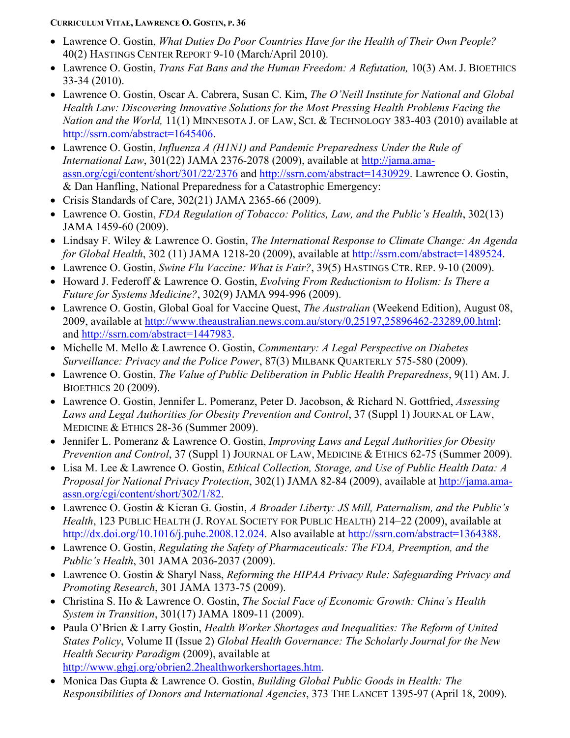- Lawrence O. Gostin, *What Duties Do Poor Countries Have for the Health of Their Own People?* 40(2) HASTINGS CENTER REPORT 9-10 (March/April 2010).
- Lawrence O. Gostin, *Trans Fat Bans and the Human Freedom: A Refutation,* 10(3) AM. J. BIOETHICS 33-34 (2010).
- Lawrence O. Gostin, Oscar A. Cabrera, Susan C. Kim, *The O'Neill Institute for National and Global Health Law: Discovering Innovative Solutions for the Most Pressing Health Problems Facing the Nation and the World,* 11(1) MINNESOTA J. OF LAW, SCI. & TECHNOLOGY 383-403 (2010) available at [http://ssrn.com/abstract=1645406.](http://ssrn.com/abstract=1645406)
- Lawrence O. Gostin, *Influenza A (H1N1) and Pandemic Preparedness Under the Rule of International Law*, 301(22) JAMA 2376-2078 (2009), available at [http://jama.ama](http://jama.ama-assn.org/cgi/content/short/301/22/2376)[assn.org/cgi/content/short/301/22/2376](http://jama.ama-assn.org/cgi/content/short/301/22/2376) and [http://ssrn.com/abstract=1430929.](http://ssrn.com/abstract=1430929) Lawrence O. Gostin, & Dan Hanfling, National Preparedness for a Catastrophic Emergency:
- Crisis Standards of Care, 302(21) JAMA 2365-66 (2009).
- Lawrence O. Gostin, *FDA Regulation of Tobacco: Politics, Law, and the Public's Health*, 302(13) JAMA 1459-60 (2009).
- Lindsay F. Wiley & Lawrence O. Gostin, *The International Response to Climate Change: An Agenda for Global Health*, 302 (11) JAMA 1218-20 (2009), available at [http://ssrn.com/abstract=1489524.](http://ssrn.com/abstract=1489524)
- Lawrence O. Gostin, *Swine Flu Vaccine: What is Fair?*, 39(5) HASTINGS CTR. REP. 9-10 (2009).
- Howard J. Federoff & Lawrence O. Gostin, *Evolving From Reductionism to Holism: Is There a Future for Systems Medicine?*, 302(9) JAMA 994-996 (2009).
- Lawrence O. Gostin, Global Goal for Vaccine Quest, *The Australian* (Weekend Edition), August 08, 2009, available at [http://www.theaustralian.news.com.au/story/0,25197,25896462-23289,00.html;](http://www.theaustralian.news.com.au/story/0,25197,25896462-23289,00.html) and [http://ssrn.com/abstract=1447983.](http://ssrn.com/abstract=1447983)
- Michelle M. Mello & Lawrence O. Gostin, *Commentary: A Legal Perspective on Diabetes Surveillance: Privacy and the Police Power*, 87(3) MILBANK QUARTERLY 575-580 (2009).
- Lawrence O. Gostin, *The Value of Public Deliberation in Public Health Preparedness*, 9(11) AM. J. BIOETHICS 20 (2009).
- Lawrence O. Gostin, Jennifer L. Pomeranz, Peter D. Jacobson, & Richard N. Gottfried, *Assessing*  Laws and Legal Authorities for Obesity Prevention and Control, 37 (Suppl 1) JOURNAL OF LAW, MEDICINE & ETHICS 28-36 (Summer 2009).
- Jennifer L. Pomeranz & Lawrence O. Gostin, *Improving Laws and Legal Authorities for Obesity Prevention and Control*, 37 (Suppl 1) JOURNAL OF LAW, MEDICINE & ETHICS 62-75 (Summer 2009).
- Lisa M. Lee & Lawrence O. Gostin, *Ethical Collection, Storage, and Use of Public Health Data: A Proposal for National Privacy Protection*, 302(1) JAMA 82-84 (2009), available at [http://jama.ama](http://jama.ama-assn.org/cgi/content/short/302/1/82)[assn.org/cgi/content/short/302/1/82.](http://jama.ama-assn.org/cgi/content/short/302/1/82)
- Lawrence O. Gostin & Kieran G. Gostin, *A Broader Liberty: JS Mill, Paternalism, and the Public's Health*, 123 PUBLIC HEALTH (J. ROYAL SOCIETY FOR PUBLIC HEALTH) 214–22 (2009), available at [http://dx.doi.org/10.1016/j.puhe.2008.12.024.](http://dx.doi.org/10.1016/j.puhe.2008.12.024) Also available at [http://ssrn.com/abstract=1364388.](http://ssrn.com/abstract=1364388)
- Lawrence O. Gostin, *Regulating the Safety of Pharmaceuticals: The FDA, Preemption, and the Public's Health*, 301 JAMA 2036-2037 (2009).
- Lawrence O. Gostin & Sharyl Nass, *Reforming the HIPAA Privacy Rule: Safeguarding Privacy and Promoting Research*, 301 JAMA 1373-75 (2009).
- Christina S. Ho & Lawrence O. Gostin, *The Social Face of Economic Growth: China's Health System in Transition*, 301(17) JAMA 1809-11 (2009).
- Paula O'Brien & Larry Gostin, *Health Worker Shortages and Inequalities: The Reform of United States Policy*, Volume II (Issue 2) *Global Health Governance: The Scholarly Journal for the New Health Security Paradigm* (2009), available at [http://www.ghgj.org/obrien2.2healthworkershortages.htm.](http://www.ghgj.org/obrien2.2healthworkershortages.htm)
- Monica Das Gupta & Lawrence O. Gostin, *Building Global Public Goods in Health: The Responsibilities of Donors and International Agencies*, 373 THE LANCET 1395-97 (April 18, 2009).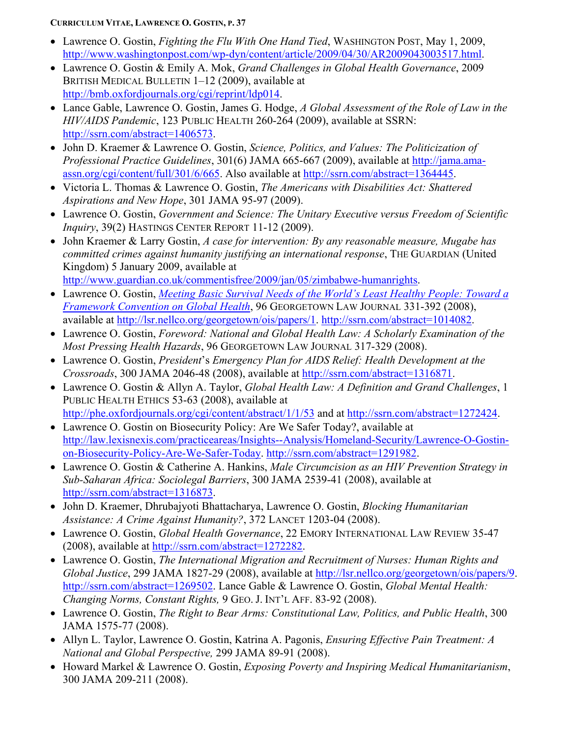- Lawrence O. Gostin, *Fighting the Flu With One Hand Tied*, WASHINGTON POST, May 1, 2009, [http://www.washingtonpost.com/wp-dyn/content/article/2009/04/30/AR2009043003517.html.](http://www.washingtonpost.com/wp-dyn/content/article/2009/04/30/AR2009043003517.html)
- Lawrence O. Gostin & Emily A. Mok, *Grand Challenges in Global Health Governance*, 2009 BRITISH MEDICAL BULLETIN 1–12 (2009), available at [http://bmb.oxfordjournals.org/cgi/reprint/ldp014.](http://bmb.oxfordjournals.org/cgi/reprint/ldp014)
- Lance Gable, Lawrence O. Gostin, James G. Hodge, *A Global Assessment of the Role of Law in the HIV/AIDS Pandemic*, 123 PUBLIC HEALTH 260-264 (2009), available at SSRN: [http://ssrn.com/abstract=1406573.](http://ssrn.com/abstract=1406573)
- John D. Kraemer & Lawrence O. Gostin, *Science, Politics, and Values: The Politicization of Professional Practice Guidelines*, 301(6) JAMA 665-667 (2009), available at [http://jama.ama](http://jama.ama-assn.org/cgi/content/full/301/6/665)[assn.org/cgi/content/full/301/6/665.](http://jama.ama-assn.org/cgi/content/full/301/6/665) Also available at [http://ssrn.com/abstract=1364445.](http://ssrn.com/abstract=1364445)
- Victoria L. Thomas & Lawrence O. Gostin, *The Americans with Disabilities Act: Shattered Aspirations and New Hope*, 301 JAMA 95-97 (2009).
- Lawrence O. Gostin, *Government and Science: The Unitary Executive versus Freedom of Scientific Inquiry*, 39(2) HASTINGS CENTER REPORT 11-12 (2009).
- John Kraemer & Larry Gostin, *A case for intervention: By any reasonable measure, Mugabe has committed crimes against humanity justifying an international response*, THE GUARDIAN (United Kingdom) 5 January 2009, available at [http://www.guardian.co.uk/commentisfree/2009/jan/05/zimbabwe-humanrights.](http://www.guardian.co.uk/commentisfree/2009/jan/05/zimbabwe-humanrights)
- Lawrence O. Gostin, *[Meeting Basic Survival Needs of the World's Least Healthy People: Toward a](http://georgetownlawjournal.org/articles/meeting-basic-survival-needs-of-the-world%C2%92s-least-healthy-people-toward-a-framework-convention-on-global-health/) [Framework Convention on Global Health](http://georgetownlawjournal.org/articles/meeting-basic-survival-needs-of-the-world%C2%92s-least-healthy-people-toward-a-framework-convention-on-global-health/)*, 96 GEORGETOWN LAW JOURNAL 331-392 (2008), available at [http://lsr.nellco.org/georgetown/ois/papers/1.](http://lsr.nellco.org/georgetown/ois/papers/1) [http://ssrn.com/abstract=1014082.](http://ssrn.com/abstract=1014082)
- Lawrence O. Gostin, *Foreword: National and Global Health Law: A Scholarly Examination of the Most Pressing Health Hazards*, 96 GEORGETOWN LAW JOURNAL 317-329 (2008).
- Lawrence O. Gostin, *President*'s *Emergency Plan for AIDS Relief: Health Development at the Crossroads*, 300 JAMA 2046-48 (2008), available at [http://ssrn.com/abstract=1316871.](http://ssrn.com/abstract=1316871)
- Lawrence O. Gostin & Allyn A. Taylor, *Global Health Law: A Definition and Grand Challenges*, 1 PUBLIC HEALTH ETHICS 53-63 (2008), available at <http://phe.oxfordjournals.org/cgi/content/abstract/1/1/53> and at [http://ssrn.com/abstract=1272424.](http://ssrn.com/abstract=1272424)
- Lawrence O. Gostin on Biosecurity Policy: Are We Safer Today?, available at [http://law.lexisnexis.com/practiceareas/Insights--Analysis/Homeland-Security/Lawrence-O-Gostin](http://law.lexisnexis.com/practiceareas/Insights--Analysis/Homeland-Security/Lawrence-O-Gostin-on-Biosecurity-Policy-Are-We-Safer-Today)[on-Biosecurity-Policy-Are-We-Safer-Today.](http://law.lexisnexis.com/practiceareas/Insights--Analysis/Homeland-Security/Lawrence-O-Gostin-on-Biosecurity-Policy-Are-We-Safer-Today) [http://ssrn.com/abstract=1291982.](http://ssrn.com/abstract=1291982)
- Lawrence O. Gostin & Catherine A. Hankins, *Male Circumcision as an HIV Prevention Strategy in Sub-Saharan Africa: Sociolegal Barriers*, 300 JAMA 2539-41 (2008), available at [http://ssrn.com/abstract=1316873.](http://ssrn.com/abstract=1316873)
- John D. Kraemer, Dhrubajyoti Bhattacharya, Lawrence O. Gostin, *Blocking Humanitarian Assistance: A Crime Against Humanity?*, 372 LANCET 1203-04 (2008).
- Lawrence O. Gostin, *Global Health Governance*, 22 EMORY INTERNATIONAL LAW REVIEW 35-47 (2008), available at [http://ssrn.com/abstract=1272282.](http://ssrn.com/abstract=1272282)
- Lawrence O. Gostin, *The International Migration and Recruitment of Nurses: Human Rights and Global Justice*, 299 JAMA 1827-29 (2008), available at [http://lsr.nellco.org/georgetown/ois/papers/9.](http://lsr.nellco.org/georgetown/ois/papers/9) [http://ssrn.com/abstract=1269502.](http://ssrn.com/abstract=1269502) Lance Gable & Lawrence O. Gostin, *Global Mental Health: Changing Norms, Constant Rights,* 9 GEO. J. INT'L AFF. 83-92 (2008).
- Lawrence O. Gostin, *The Right to Bear Arms: Constitutional Law, Politics, and Public Health*, 300 JAMA 1575-77 (2008).
- Allyn L. Taylor, Lawrence O. Gostin, Katrina A. Pagonis, *Ensuring Effective Pain Treatment: A National and Global Perspective,* 299 JAMA 89-91 (2008).
- Howard Markel & Lawrence O. Gostin, *Exposing Poverty and Inspiring Medical Humanitarianism*, 300 JAMA 209-211 (2008).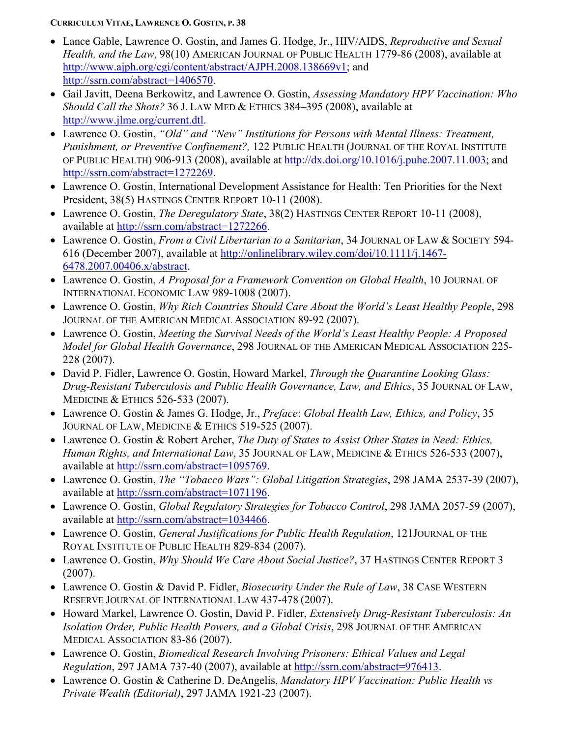- Lance Gable, Lawrence O. Gostin, and James G. Hodge, Jr., HIV/AIDS, *Reproductive and Sexual Health, and the Law*, 98(10) AMERICAN JOURNAL OF PUBLIC HEALTH 1779-86 (2008), available at [http://www.ajph.org/cgi/content/abstract/AJPH.2008.138669v1;](http://www.ajph.org/cgi/content/abstract/AJPH.2008.138669v1) and [http://ssrn.com/abstract=1406570.](http://ssrn.com/abstract=1406570)
- Gail Javitt, Deena Berkowitz, and Lawrence O. Gostin, *Assessing Mandatory HPV Vaccination: Who Should Call the Shots?* 36 J. LAW MED & ETHICS 384–395 (2008), available at [http://www.jlme.org/current.dtl.](http://www.jlme.org/current.dtl)
- Lawrence O. Gostin, *"Old" and "New" Institutions for Persons with Mental Illness: Treatment, Punishment, or Preventive Confinement?,* 122 PUBLIC HEALTH (JOURNAL OF THE ROYAL INSTITUTE OF PUBLIC HEALTH) 906-913 (2008), available at [http://dx.doi.org/10.1016/j.puhe.2007.11.003;](http://dx.doi.org/10.1016/j.puhe.2007.11.003) and [http://ssrn.com/abstract=1272269.](http://ssrn.com/abstract=1272269)
- Lawrence O. Gostin, International Development Assistance for Health: Ten Priorities for the Next President, 38(5) HASTINGS CENTER REPORT 10-11 (2008).
- Lawrence O. Gostin, *The Deregulatory State*, 38(2) HASTINGS CENTER REPORT 10-11 (2008), available at [http://ssrn.com/abstract=1272266.](http://ssrn.com/abstract=1272266)
- Lawrence O. Gostin, *From a Civil Libertarian to a Sanitarian*, 34 JOURNAL OF LAW & SOCIETY 594- 616 (December 2007), available at [http://onlinelibrary.wiley.com/doi/10.1111/j.1467-](http://onlinelibrary.wiley.com/doi/10.1111/j.1467-6478.2007.00406.x/abstract) [6478.2007.00406.x/abstract.](http://onlinelibrary.wiley.com/doi/10.1111/j.1467-6478.2007.00406.x/abstract)
- Lawrence O. Gostin, *A Proposal for a Framework Convention on Global Health*, 10 JOURNAL OF INTERNATIONAL ECONOMIC LAW 989-1008 (2007).
- Lawrence O. Gostin, *Why Rich Countries Should Care About the World's Least Healthy People*, 298 JOURNAL OF THE AMERICAN MEDICAL ASSOCIATION 89-92 (2007).
- Lawrence O. Gostin, *Meeting the Survival Needs of the World's Least Healthy People: A Proposed Model for Global Health Governance*, 298 JOURNAL OF THE AMERICAN MEDICAL ASSOCIATION 225- 228 (2007).
- David P. Fidler, Lawrence O. Gostin, Howard Markel, *Through the Quarantine Looking Glass: Drug-Resistant Tuberculosis and Public Health Governance, Law, and Ethics*, 35 JOURNAL OF LAW, MEDICINE & ETHICS 526-533 (2007).
- Lawrence O. Gostin & James G. Hodge, Jr., *Preface*: *Global Health Law, Ethics, and Policy*, 35 JOURNAL OF LAW, MEDICINE & ETHICS 519-525 (2007).
- Lawrence O. Gostin & Robert Archer, *The Duty of States to Assist Other States in Need: Ethics, Human Rights, and International Law*, 35 JOURNAL OF LAW, MEDICINE & ETHICS 526-533 (2007), available at [http://ssrn.com/abstract=1095769.](http://ssrn.com/abstract=1095769)
- Lawrence O. Gostin, *The "Tobacco Wars": Global Litigation Strategies*, 298 JAMA 2537-39 (2007), available at [http://ssrn.com/abstract=1071196.](http://ssrn.com/abstract=1071196)
- Lawrence O. Gostin, *Global Regulatory Strategies for Tobacco Control*, 298 JAMA 2057-59 (2007), available at [http://ssrn.com/abstract=1034466.](http://ssrn.com/abstract=1034466)
- Lawrence O. Gostin, *General Justifications for Public Health Regulation*, 121JOURNAL OF THE ROYAL INSTITUTE OF PUBLIC HEALTH 829-834 (2007).
- Lawrence O. Gostin, *Why Should We Care About Social Justice?*, 37 HASTINGS CENTER REPORT 3 (2007).
- Lawrence O. Gostin & David P. Fidler, *Biosecurity Under the Rule of Law*, 38 CASE WESTERN RESERVE JOURNAL OF INTERNATIONAL LAW 437-478 (2007).
- Howard Markel, Lawrence O. Gostin, David P. Fidler, *Extensively Drug-Resistant Tuberculosis: An Isolation Order, Public Health Powers, and a Global Crisis*, 298 JOURNAL OF THE AMERICAN MEDICAL ASSOCIATION 83-86 (2007).
- Lawrence O. Gostin, *Biomedical Research Involving Prisoners: Ethical Values and Legal Regulation*, 297 JAMA 737-40 (2007), available at [http://ssrn.com/abstract=976413.](http://ssrn.com/abstract=976413)
- Lawrence O. Gostin & Catherine D. DeAngelis, *Mandatory HPV Vaccination: Public Health vs Private Wealth (Editorial)*, 297 JAMA 1921-23 (2007).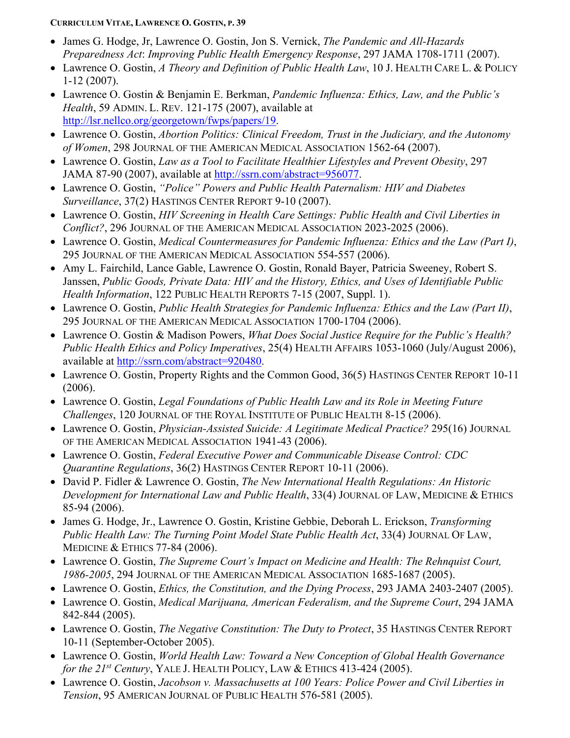- James G. Hodge, Jr, Lawrence O. Gostin, Jon S. Vernick, *The Pandemic and All-Hazards Preparedness Act*: *Improving Public Health Emergency Response*, 297 JAMA 1708-1711 (2007).
- Lawrence O. Gostin, *A Theory and Definition of Public Health Law*, 10 J. HEALTH CARE L. & POLICY 1-12 (2007).
- Lawrence O. Gostin & Benjamin E. Berkman, *Pandemic Influenza: Ethics, Law, and the Public's Health*, 59 ADMIN. L. REV. 121-175 (2007), available at [http://lsr.nellco.org/georgetown/fwps/papers/19.](http://lsr.nellco.org/georgetown/fwps/papers/19)
- Lawrence O. Gostin, *Abortion Politics: Clinical Freedom, Trust in the Judiciary, and the Autonomy of Women*, 298 JOURNAL OF THE AMERICAN MEDICAL ASSOCIATION 1562-64 (2007).
- Lawrence O. Gostin, *Law as a Tool to Facilitate Healthier Lifestyles and Prevent Obesity*, 297 JAMA 87-90 (2007), available at [http://ssrn.com/abstract=956077.](http://ssrn.com/abstract=956077)
- Lawrence O. Gostin, *"Police" Powers and Public Health Paternalism: HIV and Diabetes Surveillance*, 37(2) HASTINGS CENTER REPORT 9-10 (2007).
- Lawrence O. Gostin, *HIV Screening in Health Care Settings: Public Health and Civil Liberties in Conflict?*, 296 JOURNAL OF THE AMERICAN MEDICAL ASSOCIATION 2023-2025 (2006).
- Lawrence O. Gostin, *Medical Countermeasures for Pandemic Influenza: Ethics and the Law (Part I)*, 295 JOURNAL OF THE AMERICAN MEDICAL ASSOCIATION 554-557 (2006).
- Amy L. Fairchild, Lance Gable, Lawrence O. Gostin, Ronald Bayer, Patricia Sweeney, Robert S. Janssen, *Public Goods, Private Data: HIV and the History, Ethics, and Uses of Identifiable Public Health Information*, 122 PUBLIC HEALTH REPORTS 7-15 (2007, Suppl. 1).
- Lawrence O. Gostin, *Public Health Strategies for Pandemic Influenza: Ethics and the Law (Part II)*, 295 JOURNAL OF THE AMERICAN MEDICAL ASSOCIATION 1700-1704 (2006).
- Lawrence O. Gostin & Madison Powers, *What Does Social Justice Require for the Public's Health? Public Health Ethics and Policy Imperatives*, 25(4) HEALTH AFFAIRS 1053-1060 (July/August 2006), available at [http://ssrn.com/abstract=920480.](http://ssrn.com/abstract=920480)
- Lawrence O. Gostin, Property Rights and the Common Good, 36(5) HASTINGS CENTER REPORT 10-11 (2006).
- Lawrence O. Gostin, *Legal Foundations of Public Health Law and its Role in Meeting Future Challenges*, 120 JOURNAL OF THE ROYAL INSTITUTE OF PUBLIC HEALTH 8-15 (2006).
- Lawrence O. Gostin, *Physician-Assisted Suicide: A Legitimate Medical Practice?* 295(16) JOURNAL OF THE AMERICAN MEDICAL ASSOCIATION 1941-43 (2006).
- Lawrence O. Gostin, *Federal Executive Power and Communicable Disease Control: CDC Quarantine Regulations*, 36(2) HASTINGS CENTER REPORT 10-11 (2006).
- David P. Fidler & Lawrence O. Gostin, *The New International Health Regulations: An Historic Development for International Law and Public Health*, 33(4) JOURNAL OF LAW, MEDICINE & ETHICS 85-94 (2006).
- James G. Hodge, Jr., Lawrence O. Gostin, Kristine Gebbie, Deborah L. Erickson, *Transforming Public Health Law: The Turning Point Model State Public Health Act*, 33(4) JOURNAL OF LAW, MEDICINE & ETHICS 77-84 (2006).
- Lawrence O. Gostin, *The Supreme Court's Impact on Medicine and Health: The Rehnquist Court, 1986-2005*, 294 JOURNAL OF THE AMERICAN MEDICAL ASSOCIATION 1685-1687 (2005).
- Lawrence O. Gostin, *Ethics, the Constitution, and the Dying Process*, 293 JAMA 2403-2407 (2005).
- Lawrence O. Gostin, *Medical Marijuana, American Federalism, and the Supreme Court*, 294 JAMA 842-844 (2005).
- Lawrence O. Gostin, *The Negative Constitution: The Duty to Protect*, 35 HASTINGS CENTER REPORT 10-11 (September-October 2005).
- Lawrence O. Gostin, *World Health Law: Toward a New Conception of Global Health Governance for the 21st Century*, YALE J. HEALTH POLICY, LAW & ETHICS 413-424 (2005).
- Lawrence O. Gostin, *Jacobson v. Massachusetts at 100 Years: Police Power and Civil Liberties in Tension*, 95 AMERICAN JOURNAL OF PUBLIC HEALTH 576-581 (2005).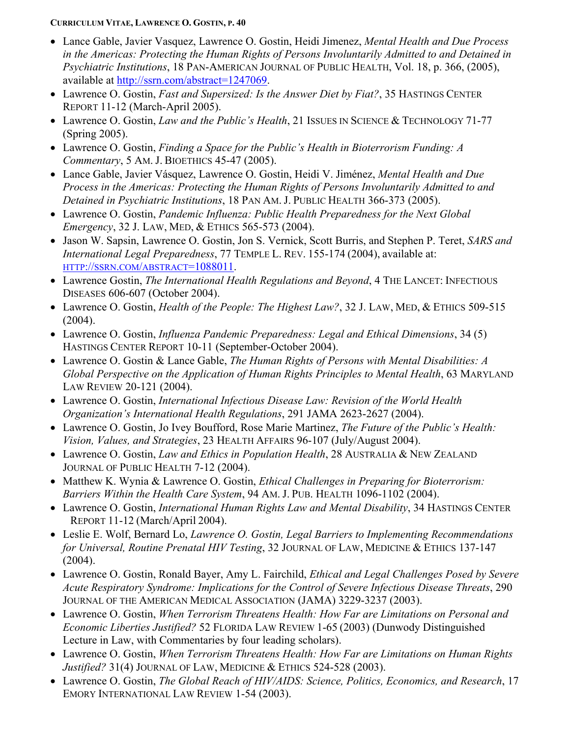- Lance Gable, Javier Vasquez, Lawrence O. Gostin, Heidi Jimenez, *Mental Health and Due Process in the Americas: Protecting the Human Rights of Persons Involuntarily Admitted to and Detained in Psychiatric Institutions*, 18 PAN-AMERICAN JOURNAL OF PUBLIC HEALTH, Vol. 18, p. 366, (2005), available at [http://ssrn.com/abstract=1247069.](http://ssrn.com/abstract=1247069)
- Lawrence O. Gostin, *Fast and Supersized: Is the Answer Diet by Fiat?*, 35 HASTINGS CENTER REPORT 11-12 (March-April 2005).
- Lawrence O. Gostin, *Law and the Public's Health*, 21 ISSUES IN SCIENCE & TECHNOLOGY 71-77 (Spring 2005).
- Lawrence O. Gostin, *Finding a Space for the Public's Health in Bioterrorism Funding: A Commentary*, 5 AM. J. BIOETHICS 45-47 (2005).
- Lance Gable, Javier Vásquez, Lawrence O. Gostin, Heidi V. Jiménez, *Mental Health and Due Process in the Americas: Protecting the Human Rights of Persons Involuntarily Admitted to and Detained in Psychiatric Institutions*, 18 PAN AM. J. PUBLIC HEALTH 366-373 (2005).
- Lawrence O. Gostin, *Pandemic Influenza: Public Health Preparedness for the Next Global Emergency*, 32 J. LAW, MED, & ETHICS 565-573 (2004).
- Jason W. Sapsin, Lawrence O. Gostin, Jon S. Vernick, Scott Burris, and Stephen P. Teret, *SARS and International Legal Preparedness*, 77 TEMPLE L. REV. 155-174 (2004), available at: [HTTP://SSRN.COM/ABSTRACT=1088011.](http://ssrn.com/abstract=1088011)
- Lawrence Gostin, *The International Health Regulations and Beyond*, 4 THE LANCET: INFECTIOUS DISEASES 606-607 (October 2004).
- Lawrence O. Gostin, *Health of the People: The Highest Law?*, 32 J. LAW, MED, & ETHICS 509-515 (2004).
- Lawrence O. Gostin, *Influenza Pandemic Preparedness: Legal and Ethical Dimensions*, 34 (5) HASTINGS CENTER REPORT 10-11 (September-October 2004).
- Lawrence O. Gostin & Lance Gable, *The Human Rights of Persons with Mental Disabilities: A Global Perspective on the Application of Human Rights Principles to Mental Health*, 63 MARYLAND LAW REVIEW 20-121 (2004).
- Lawrence O. Gostin, *International Infectious Disease Law: Revision of the World Health Organization's International Health Regulations*, 291 JAMA 2623-2627 (2004).
- Lawrence O. Gostin, Jo Ivey Boufford, Rose Marie Martinez, *The Future of the Public's Health: Vision, Values, and Strategies*, 23 HEALTH AFFAIRS 96-107 (July/August 2004).
- Lawrence O. Gostin, *Law and Ethics in Population Health*, 28 AUSTRALIA & NEW ZEALAND JOURNAL OF PUBLIC HEALTH 7-12 (2004).
- Matthew K. Wynia & Lawrence O. Gostin, *Ethical Challenges in Preparing for Bioterrorism: Barriers Within the Health Care System*, 94 AM. J. PUB. HEALTH 1096-1102 (2004).
- Lawrence O. Gostin, *International Human Rights Law and Mental Disability*, 34 HASTINGS CENTER REPORT 11-12 (March/April 2004).
- Leslie E. Wolf, Bernard Lo, *Lawrence O. Gostin, Legal Barriers to Implementing Recommendations for Universal, Routine Prenatal HIV Testing*, 32 JOURNAL OF LAW, MEDICINE & ETHICS 137-147 (2004).
- Lawrence O. Gostin, Ronald Bayer, Amy L. Fairchild, *Ethical and Legal Challenges Posed by Severe Acute Respiratory Syndrome: Implications for the Control of Severe Infectious Disease Threats*, 290 JOURNAL OF THE AMERICAN MEDICAL ASSOCIATION (JAMA) 3229-3237 (2003).
- Lawrence O. Gostin, *When Terrorism Threatens Health: How Far are Limitations on Personal and Economic Liberties Justified?* 52 FLORIDA LAW REVIEW 1-65 (2003) (Dunwody Distinguished Lecture in Law, with Commentaries by four leading scholars).
- Lawrence O. Gostin, *When Terrorism Threatens Health: How Far are Limitations on Human Rights Justified?* 31(4) JOURNAL OF LAW, MEDICINE & ETHICS 524-528 (2003).
- Lawrence O. Gostin, *The Global Reach of HIV/AIDS: Science, Politics, Economics, and Research*, 17 EMORY INTERNATIONAL LAW REVIEW 1-54 (2003).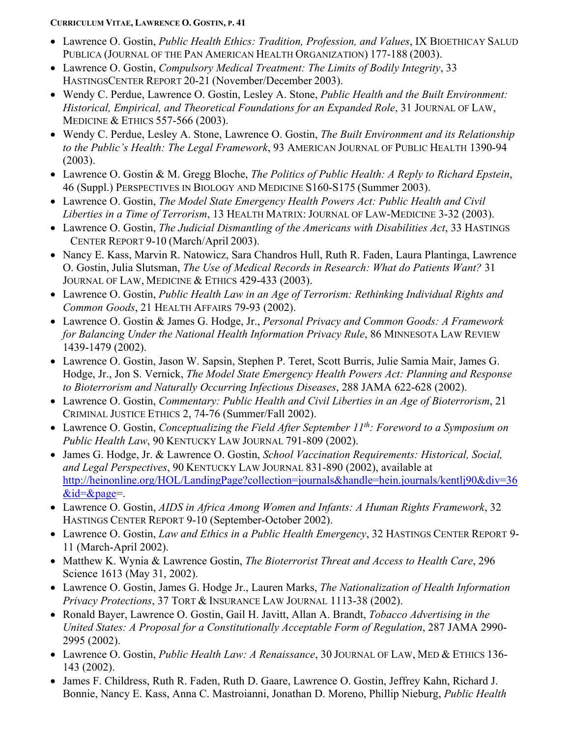- Lawrence O. Gostin, *Public Health Ethics: Tradition, Profession, and Values*, IX BIOETHICAY SALUD PUBLICA (JOURNAL OF THE PAN AMERICAN HEALTH ORGANIZATION) 177-188 (2003).
- Lawrence O. Gostin, *Compulsory Medical Treatment: The Limits of Bodily Integrity*, 33 HASTINGSCENTER REPORT 20-21 (November/December 2003).
- Wendy C. Perdue, Lawrence O. Gostin, Lesley A. Stone, *Public Health and the Built Environment: Historical, Empirical, and Theoretical Foundations for an Expanded Role*, 31 JOURNAL OF LAW, MEDICINE & ETHICS 557-566 (2003).
- Wendy C. Perdue, Lesley A. Stone, Lawrence O. Gostin, *The Built Environment and its Relationship to the Public's Health: The Legal Framework*, 93 AMERICAN JOURNAL OF PUBLIC HEALTH 1390-94 (2003).
- Lawrence O. Gostin & M. Gregg Bloche, *The Politics of Public Health: A Reply to Richard Epstein*, 46 (Suppl.) PERSPECTIVES IN BIOLOGY AND MEDICINE S160-S175 (Summer 2003).
- Lawrence O. Gostin, *The Model State Emergency Health Powers Act: Public Health and Civil Liberties in a Time of Terrorism*, 13 HEALTH MATRIX: JOURNAL OF LAW-MEDICINE 3-32 (2003).
- Lawrence O. Gostin, *The Judicial Dismantling of the Americans with Disabilities Act*, 33 HASTINGS CENTER REPORT 9-10 (March/April 2003).
- Nancy E. Kass, Marvin R. Natowicz, Sara Chandros Hull, Ruth R. Faden, Laura Plantinga, Lawrence O. Gostin, Julia Slutsman, *The Use of Medical Records in Research: What do Patients Want?* 31 JOURNAL OF LAW, MEDICINE & ETHICS 429-433 (2003).
- Lawrence O. Gostin, *Public Health Law in an Age of Terrorism: Rethinking Individual Rights and Common Goods*, 21 HEALTH AFFAIRS 79-93 (2002).
- Lawrence O. Gostin & James G. Hodge, Jr., *Personal Privacy and Common Goods: A Framework for Balancing Under the National Health Information Privacy Rule*, 86 MINNESOTA LAW REVIEW 1439-1479 (2002).
- Lawrence O. Gostin, Jason W. Sapsin, Stephen P. Teret, Scott Burris, Julie Samia Mair, James G. Hodge, Jr., Jon S. Vernick, *The Model State Emergency Health Powers Act: Planning and Response to Bioterrorism and Naturally Occurring Infectious Diseases*, 288 JAMA 622-628 (2002).
- Lawrence O. Gostin, *Commentary: Public Health and Civil Liberties in an Age of Bioterrorism*, 21 CRIMINAL JUSTICE ETHICS 2, 74-76 (Summer/Fall 2002).
- Lawrence O. Gostin, *Conceptualizing the Field After September 11th: Foreword to a Symposium on Public Health Law*, 90 KENTUCKY LAW JOURNAL 791-809 (2002).
- James G. Hodge, Jr. & Lawrence O. Gostin, *School Vaccination Requirements: Historical, Social, and Legal Perspectives*, 90 KENTUCKY LAW JOURNAL 831-890 (2002), available at [http://heinonline.org/HOL/LandingPage?collection=journals&handle=hein.journals/kentlj90&div=36](http://heinonline.org/HOL/LandingPage?collection=journals&handle=hein.journals/kentlj90&div=36&id=&page)  $\&$ id= $\&$ page=.
- Lawrence O. Gostin, *AIDS in Africa Among Women and Infants: A Human Rights Framework*, 32 HASTINGS CENTER REPORT 9-10 (September-October 2002).
- Lawrence O. Gostin, *Law and Ethics in a Public Health Emergency*, 32 HASTINGS CENTER REPORT 9- 11 (March-April 2002).
- Matthew K. Wynia & Lawrence Gostin, *The Bioterrorist Threat and Access to Health Care*, 296 Science 1613 (May 31, 2002).
- Lawrence O. Gostin, James G. Hodge Jr., Lauren Marks, *The Nationalization of Health Information Privacy Protections*, 37 TORT & INSURANCE LAW JOURNAL 1113-38 (2002).
- Ronald Bayer, Lawrence O. Gostin, Gail H. Javitt, Allan A. Brandt, *Tobacco Advertising in the United States: A Proposal for a Constitutionally Acceptable Form of Regulation*, 287 JAMA 2990- 2995 (2002).
- Lawrence O. Gostin, *Public Health Law: A Renaissance*, 30 JOURNAL OF LAW, MED & ETHICS 136- 143 (2002).
- James F. Childress, Ruth R. Faden, Ruth D. Gaare, Lawrence O. Gostin, Jeffrey Kahn, Richard J. Bonnie, Nancy E. Kass, Anna C. Mastroianni, Jonathan D. Moreno, Phillip Nieburg, *Public Health*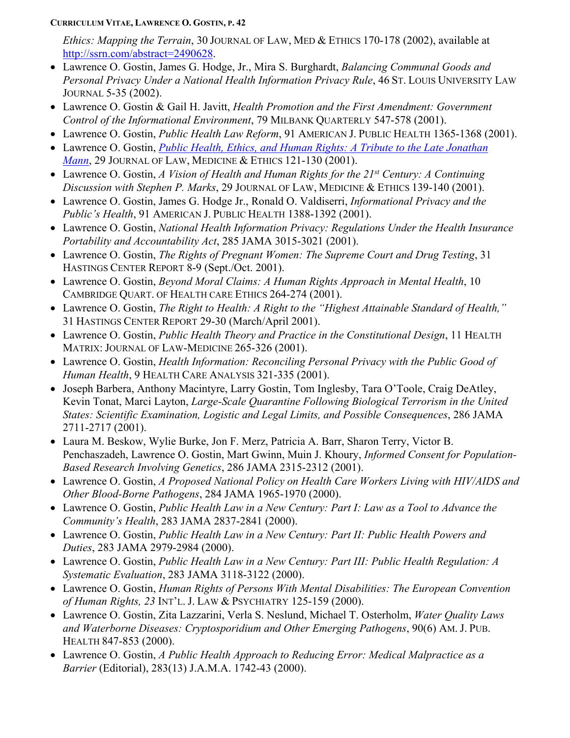*Ethics: Mapping the Terrain*, 30 JOURNAL OF LAW, MED & ETHICS 170-178 (2002), available at [http://ssrn.com/abstract=2490628.](http://ssrn.com/abstract=2490628)

- Lawrence O. Gostin, James G. Hodge, Jr., Mira S. Burghardt, *Balancing Communal Goods and Personal Privacy Under a National Health Information Privacy Rule*, 46 ST. LOUIS UNIVERSITY LAW JOURNAL 5-35 (2002).
- Lawrence O. Gostin & Gail H. Javitt, *Health Promotion and the First Amendment: Government Control of the Informational Environment*, 79 MILBANK QUARTERLY 547-578 (2001).
- Lawrence O. Gostin, *Public Health Law Reform*, 91 AMERICAN J. PUBLIC HEALTH 1365-1368 (2001).
- Lawrence O. Gostin, *[Public Health, Ethics, and Human Rights: A Tribute to the Late Jonathan](http://scholarship.law.georgetown.edu/facpub/747) [Mann](http://scholarship.law.georgetown.edu/facpub/747)*, 29 JOURNAL OF LAW, MEDICINE & ETHICS 121-130 (2001).
- Lawrence O. Gostin, *A Vision of Health and Human Rights for the 21st Century: A Continuing Discussion with Stephen P. Marks*, 29 JOURNAL OF LAW, MEDICINE & ETHICS 139-140 (2001).
- Lawrence O. Gostin, James G. Hodge Jr., Ronald O. Valdiserri, *Informational Privacy and the Public's Health*, 91 AMERICAN J. PUBLIC HEALTH 1388-1392 (2001).
- Lawrence O. Gostin, *National Health Information Privacy: Regulations Under the Health Insurance Portability and Accountability Act*, 285 JAMA 3015-3021 (2001).
- Lawrence O. Gostin, *The Rights of Pregnant Women: The Supreme Court and Drug Testing*, 31 HASTINGS CENTER REPORT 8-9 (Sept./Oct. 2001).
- Lawrence O. Gostin, *Beyond Moral Claims: A Human Rights Approach in Mental Health*, 10 CAMBRIDGE QUART. OF HEALTH CARE ETHICS 264-274 (2001).
- Lawrence O. Gostin, *The Right to Health: A Right to the "Highest Attainable Standard of Health,"* 31 HASTINGS CENTER REPORT 29-30 (March/April 2001).
- Lawrence O. Gostin, *Public Health Theory and Practice in the Constitutional Design*, 11 HEALTH MATRIX: JOURNAL OF LAW-MEDICINE 265-326 (2001).
- Lawrence O. Gostin, *Health Information: Reconciling Personal Privacy with the Public Good of Human Health*, 9 HEALTH CARE ANALYSIS 321-335 (2001).
- Joseph Barbera, Anthony Macintyre, Larry Gostin, Tom Inglesby, Tara O'Toole, Craig DeAtley, Kevin Tonat, Marci Layton, *Large-Scale Quarantine Following Biological Terrorism in the United States: Scientific Examination, Logistic and Legal Limits, and Possible Consequences*, 286 JAMA 2711-2717 (2001).
- Laura M. Beskow, Wylie Burke, Jon F. Merz, Patricia A. Barr, Sharon Terry, Victor B. Penchaszadeh, Lawrence O. Gostin, Mart Gwinn, Muin J. Khoury, *Informed Consent for Population-Based Research Involving Genetics*, 286 JAMA 2315-2312 (2001).
- Lawrence O. Gostin, *A Proposed National Policy on Health Care Workers Living with HIV/AIDS and Other Blood-Borne Pathogens*, 284 JAMA 1965-1970 (2000).
- Lawrence O. Gostin, *Public Health Law in a New Century: Part I: Law as a Tool to Advance the Community's Health*, 283 JAMA 2837-2841 (2000).
- Lawrence O. Gostin, *Public Health Law in a New Century: Part II: Public Health Powers and Duties*, 283 JAMA 2979-2984 (2000).
- Lawrence O. Gostin, *Public Health Law in a New Century: Part III: Public Health Regulation: A Systematic Evaluation*, 283 JAMA 3118-3122 (2000).
- Lawrence O. Gostin, *Human Rights of Persons With Mental Disabilities: The European Convention of Human Rights, 23* INT'L. J. LAW & PSYCHIATRY 125-159 (2000).
- Lawrence O. Gostin, Zita Lazzarini, Verla S. Neslund, Michael T. Osterholm, *Water Quality Laws and Waterborne Diseases: Cryptosporidium and Other Emerging Pathogens*, 90(6) AM. J. PUB. HEALTH 847-853 (2000).
- Lawrence O. Gostin, *A Public Health Approach to Reducing Error: Medical Malpractice as a Barrier* (Editorial), 283(13) J.A.M.A. 1742-43 (2000).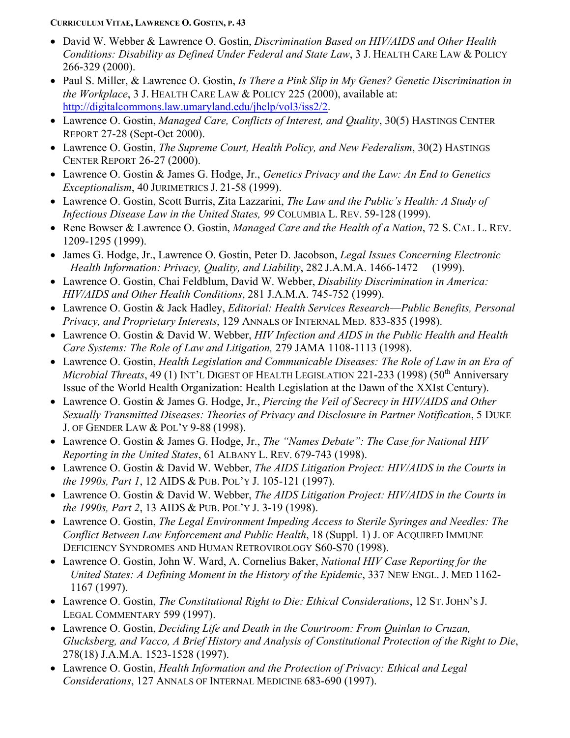- David W. Webber & Lawrence O. Gostin, *Discrimination Based on HIV/AIDS and Other Health Conditions: Disability as Defined Under Federal and State Law*, 3 J. HEALTH CARE LAW & POLICY 266-329 (2000).
- Paul S. Miller, & Lawrence O. Gostin, *Is There a Pink Slip in My Genes? Genetic Discrimination in the Workplace*, 3 J. HEALTH CARE LAW & POLICY 225 (2000), available at: [http://digitalcommons.law.umaryland.edu/jhclp/vol3/iss2/2.](http://digitalcommons.law.umaryland.edu/jhclp/vol3/iss2/2)
- Lawrence O. Gostin, *Managed Care, Conflicts of Interest, and Quality*, 30(5) HASTINGS CENTER REPORT 27-28 (Sept-Oct 2000).
- Lawrence O. Gostin, *The Supreme Court, Health Policy, and New Federalism*, 30(2) HASTINGS CENTER REPORT 26-27 (2000).
- Lawrence O. Gostin & James G. Hodge, Jr., *Genetics Privacy and the Law: An End to Genetics Exceptionalism*, 40 JURIMETRICS J. 21-58 (1999).
- Lawrence O. Gostin, Scott Burris, Zita Lazzarini, *The Law and the Public's Health: A Study of Infectious Disease Law in the United States, 99* COLUMBIA L. REV. 59-128 (1999).
- Rene Bowser & Lawrence O. Gostin, *Managed Care and the Health of a Nation*, 72 S. CAL. L. REV. 1209-1295 (1999).
- James G. Hodge, Jr., Lawrence O. Gostin, Peter D. Jacobson, *Legal Issues Concerning Electronic Health Information: Privacy, Quality, and Liability*, 282 J.A.M.A. 1466-1472 (1999).
- Lawrence O. Gostin, Chai Feldblum, David W. Webber, *Disability Discrimination in America: HIV/AIDS and Other Health Conditions*, 281 J.A.M.A. 745-752 (1999).
- Lawrence O. Gostin & Jack Hadley, *Editorial: Health Services Research*—*Public Benefits, Personal Privacy, and Proprietary Interests*, 129 ANNALS OF INTERNAL MED. 833-835 (1998).
- Lawrence O. Gostin & David W. Webber, *HIV Infection and AIDS in the Public Health and Health Care Systems: The Role of Law and Litigation,* 279 JAMA 1108-1113 (1998).
- Lawrence O. Gostin, *Health Legislation and Communicable Diseases: The Role of Law in an Era of Microbial Threats*, 49 (1) INT'L DIGEST OF HEALTH LEGISLATION 221-233 (1998) (50<sup>th</sup> Anniversary Issue of the World Health Organization: Health Legislation at the Dawn of the XXIst Century).
- Lawrence O. Gostin & James G. Hodge, Jr., *Piercing the Veil of Secrecy in HIV/AIDS and Other Sexually Transmitted Diseases: Theories of Privacy and Disclosure in Partner Notification*, 5 DUKE J. OF GENDER LAW & POL'Y 9-88 (1998).
- Lawrence O. Gostin & James G. Hodge, Jr., *The "Names Debate": The Case for National HIV Reporting in the United States*, 61 ALBANY L. REV. 679-743 (1998).
- Lawrence O. Gostin & David W. Webber, *The AIDS Litigation Project: HIV/AIDS in the Courts in the 1990s, Part 1*, 12 AIDS & PUB. POL'Y J. 105-121 (1997).
- Lawrence O. Gostin & David W. Webber, *The AIDS Litigation Project: HIV/AIDS in the Courts in the 1990s, Part 2*, 13 AIDS & PUB. POL'Y J. 3-19 (1998).
- Lawrence O. Gostin, *The Legal Environment Impeding Access to Sterile Syringes and Needles: The Conflict Between Law Enforcement and Public Health*, 18 (Suppl. 1) J. OF ACQUIRED IMMUNE DEFICIENCY SYNDROMES AND HUMAN RETROVIROLOGY S60-S70 (1998).
- Lawrence O. Gostin, John W. Ward, A. Cornelius Baker, *National HIV Case Reporting for the United States: A Defining Moment in the History of the Epidemic*, 337 NEW ENGL. J. MED 1162- 1167 (1997).
- Lawrence O. Gostin, *The Constitutional Right to Die: Ethical Considerations*, 12 ST. JOHN'S J. LEGAL COMMENTARY 599 (1997).
- Lawrence O. Gostin, *Deciding Life and Death in the Courtroom: From Quinlan to Cruzan, Glucksberg, and Vacco, A Brief History and Analysis of Constitutional Protection of the Right to Die*, 278(18) J.A.M.A. 1523-1528 (1997).
- Lawrence O. Gostin, *Health Information and the Protection of Privacy: Ethical and Legal Considerations*, 127 ANNALS OF INTERNAL MEDICINE 683-690 (1997).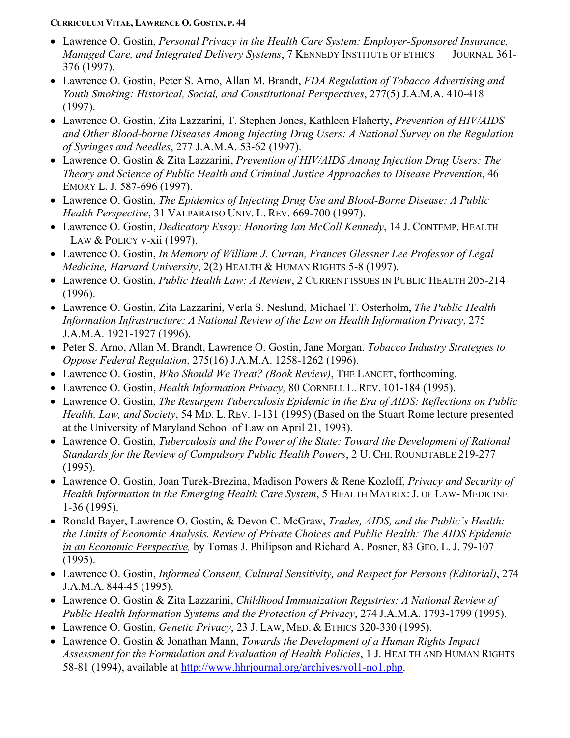- Lawrence O. Gostin, *Personal Privacy in the Health Care System: Employer-Sponsored Insurance, Managed Care, and Integrated Delivery Systems*, 7 KENNEDY INSTITUTE OF ETHICS JOURNAL 361- 376 (1997).
- Lawrence O. Gostin, Peter S. Arno, Allan M. Brandt, *FDA Regulation of Tobacco Advertising and Youth Smoking: Historical, Social, and Constitutional Perspectives*, 277(5) J.A.M.A. 410-418 (1997).
- Lawrence O. Gostin, Zita Lazzarini, T. Stephen Jones, Kathleen Flaherty, *Prevention of HIV/AIDS and Other Blood-borne Diseases Among Injecting Drug Users: A National Survey on the Regulation of Syringes and Needles*, 277 J.A.M.A. 53-62 (1997).
- Lawrence O. Gostin & Zita Lazzarini, *Prevention of HIV/AIDS Among Injection Drug Users: The Theory and Science of Public Health and Criminal Justice Approaches to Disease Prevention*, 46 EMORY L. J. 587-696 (1997).
- Lawrence O. Gostin, *The Epidemics of Injecting Drug Use and Blood-Borne Disease: A Public Health Perspective*, 31 VALPARAISO UNIV. L. REV. 669-700 (1997).
- Lawrence O. Gostin, *Dedicatory Essay: Honoring Ian McColl Kennedy*, 14 J. CONTEMP. HEALTH LAW & POLICY v-xii (1997).
- Lawrence O. Gostin, *In Memory of William J. Curran, Frances Glessner Lee Professor of Legal Medicine, Harvard University*, 2(2) HEALTH & HUMAN RIGHTS 5-8 (1997).
- Lawrence O. Gostin, *Public Health Law: A Review*, 2 CURRENT ISSUES IN PUBLIC HEALTH 205-214 (1996).
- Lawrence O. Gostin, Zita Lazzarini, Verla S. Neslund, Michael T. Osterholm, *The Public Health Information Infrastructure: A National Review of the Law on Health Information Privacy*, 275 J.A.M.A. 1921-1927 (1996).
- Peter S. Arno, Allan M. Brandt, Lawrence O. Gostin, Jane Morgan. *Tobacco Industry Strategies to Oppose Federal Regulation*, 275(16) J.A.M.A. 1258-1262 (1996).
- Lawrence O. Gostin, *Who Should We Treat? (Book Review)*, THE LANCET, forthcoming.
- Lawrence O. Gostin, *Health Information Privacy,* 80 CORNELL L. REV. 101-184 (1995).
- Lawrence O. Gostin, *The Resurgent Tuberculosis Epidemic in the Era of AIDS: Reflections on Public Health, Law, and Society*, 54 MD. L. REV. 1-131 (1995) (Based on the Stuart Rome lecture presented at the University of Maryland School of Law on April 21, 1993).
- Lawrence O. Gostin, *Tuberculosis and the Power of the State: Toward the Development of Rational Standards for the Review of Compulsory Public Health Powers*, 2 U. CHI. ROUNDTABLE 219-277 (1995).
- Lawrence O. Gostin, Joan Turek-Brezina, Madison Powers & Rene Kozloff, *Privacy and Security of Health Information in the Emerging Health Care System*, 5 HEALTH MATRIX: J. OF LAW- MEDICINE 1-36 (1995).
- Ronald Bayer, Lawrence O. Gostin, & Devon C. McGraw, *Trades, AIDS, and the Public's Health: the Limits of Economic Analysis. Review of Private Choices and Public Health: The AIDS Epidemic in an Economic Perspective,* by Tomas J. Philipson and Richard A. Posner, 83 GEO. L. J. 79-107 (1995).
- Lawrence O. Gostin, *Informed Consent, Cultural Sensitivity, and Respect for Persons (Editorial)*, 274 J.A.M.A. 844-45 (1995).
- Lawrence O. Gostin & Zita Lazzarini, *Childhood Immunization Registries: A National Review of Public Health Information Systems and the Protection of Privacy*, 274 J.A.M.A. 1793-1799 (1995).
- Lawrence O. Gostin, *Genetic Privacy*, 23 J. LAW, MED. & ETHICS 320-330 (1995).
- Lawrence O. Gostin & Jonathan Mann, *Towards the Development of a Human Rights Impact Assessment for the Formulation and Evaluation of Health Policies*, 1 J. HEALTH AND HUMAN RIGHTS 58-81 (1994), available at [http://www.hhrjournal.org/archives/vol1-no1.php.](http://www.hhrjournal.org/archives/vol1-no1.php)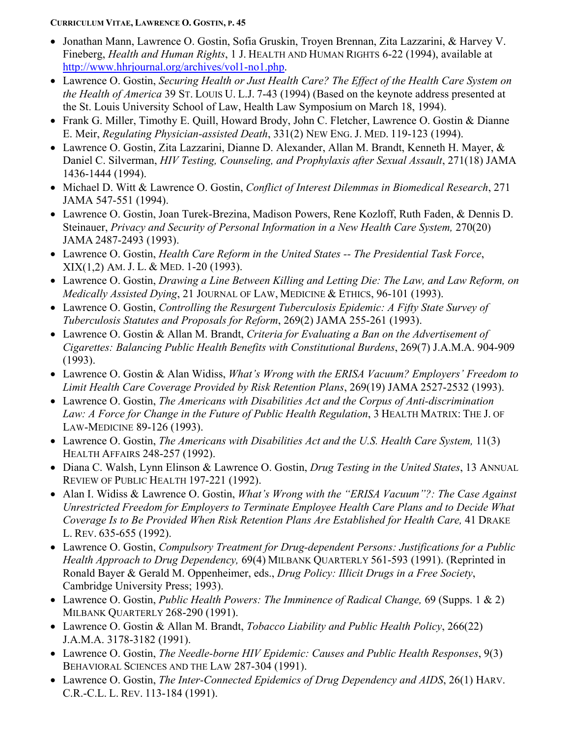- Jonathan Mann, Lawrence O. Gostin, Sofia Gruskin, Troyen Brennan, Zita Lazzarini, & Harvey V. Fineberg, *Health and Human Rights*, 1 J. HEALTH AND HUMAN RIGHTS 6-22 (1994), available at [http://www.hhrjournal.org/archives/vol1-no1.php.](http://www.hhrjournal.org/archives/vol1-no1.php)
- Lawrence O. Gostin, *Securing Health or Just Health Care? The Effect of the Health Care System on the Health of America* 39 ST. LOUIS U. L.J. 7-43 (1994) (Based on the keynote address presented at the St. Louis University School of Law, Health Law Symposium on March 18, 1994).
- Frank G. Miller, Timothy E. Quill, Howard Brody, John C. Fletcher, Lawrence O. Gostin & Dianne E. Meir, *Regulating Physician-assisted Death*, 331(2) NEW ENG. J. MED. 119-123 (1994).
- Lawrence O. Gostin, Zita Lazzarini, Dianne D. Alexander, Allan M. Brandt, Kenneth H. Mayer, & Daniel C. Silverman, *HIV Testing, Counseling, and Prophylaxis after Sexual Assault*, 271(18) JAMA 1436-1444 (1994).
- Michael D. Witt & Lawrence O. Gostin, *Conflict of Interest Dilemmas in Biomedical Research*, 271 JAMA 547-551 (1994).
- Lawrence O. Gostin, Joan Turek-Brezina, Madison Powers, Rene Kozloff, Ruth Faden, & Dennis D. Steinauer, *Privacy and Security of Personal Information in a New Health Care System,* 270(20) JAMA 2487-2493 (1993).
- Lawrence O. Gostin, *Health Care Reform in the United States -- The Presidential Task Force*, XIX(1,2) AM. J. L. & MED. 1-20 (1993).
- Lawrence O. Gostin, *Drawing a Line Between Killing and Letting Die: The Law, and Law Reform, on Medically Assisted Dying*, 21 JOURNAL OF LAW, MEDICINE & ETHICS, 96-101 (1993).
- Lawrence O. Gostin, *Controlling the Resurgent Tuberculosis Epidemic: A Fifty State Survey of Tuberculosis Statutes and Proposals for Reform*, 269(2) JAMA 255-261 (1993).
- Lawrence O. Gostin & Allan M. Brandt, *Criteria for Evaluating a Ban on the Advertisement of Cigarettes: Balancing Public Health Benefits with Constitutional Burdens*, 269(7) J.A.M.A. 904-909 (1993).
- Lawrence O. Gostin & Alan Widiss, *What's Wrong with the ERISA Vacuum? Employers' Freedom to Limit Health Care Coverage Provided by Risk Retention Plans*, 269(19) JAMA 2527-2532 (1993).
- Lawrence O. Gostin, *The Americans with Disabilities Act and the Corpus of Anti-discrimination Law: A Force for Change in the Future of Public Health Regulation*, 3 HEALTH MATRIX: THE J. OF LAW-MEDICINE 89-126 (1993).
- Lawrence O. Gostin, *The Americans with Disabilities Act and the U.S. Health Care System,* 11(3) HEALTH AFFAIRS 248-257 (1992).
- Diana C. Walsh, Lynn Elinson & Lawrence O. Gostin, *Drug Testing in the United States*, 13 ANNUAL REVIEW OF PUBLIC HEALTH 197-221 (1992).
- Alan I. Widiss & Lawrence O. Gostin, *What's Wrong with the "ERISA Vacuum"?: The Case Against Unrestricted Freedom for Employers to Terminate Employee Health Care Plans and to Decide What Coverage Is to Be Provided When Risk Retention Plans Are Established for Health Care,* 41 DRAKE L. REV. 635-655 (1992).
- Lawrence O. Gostin, *Compulsory Treatment for Drug-dependent Persons: Justifications for a Public Health Approach to Drug Dependency,* 69(4) MILBANK QUARTERLY 561-593 (1991). (Reprinted in Ronald Bayer & Gerald M. Oppenheimer, eds., *Drug Policy: Illicit Drugs in a Free Society*, Cambridge University Press; 1993).
- Lawrence O. Gostin, *Public Health Powers: The Imminence of Radical Change,* 69 (Supps. 1 & 2) MILBANK QUARTERLY 268-290 (1991).
- Lawrence O. Gostin & Allan M. Brandt, *Tobacco Liability and Public Health Policy*, 266(22) J.A.M.A. 3178-3182 (1991).
- Lawrence O. Gostin, *The Needle-borne HIV Epidemic: Causes and Public Health Responses*, 9(3) BEHAVIORAL SCIENCES AND THE LAW 287-304 (1991).
- Lawrence O. Gostin, *The Inter-Connected Epidemics of Drug Dependency and AIDS*, 26(1) HARV. C.R.-C.L. L. REV. 113-184 (1991).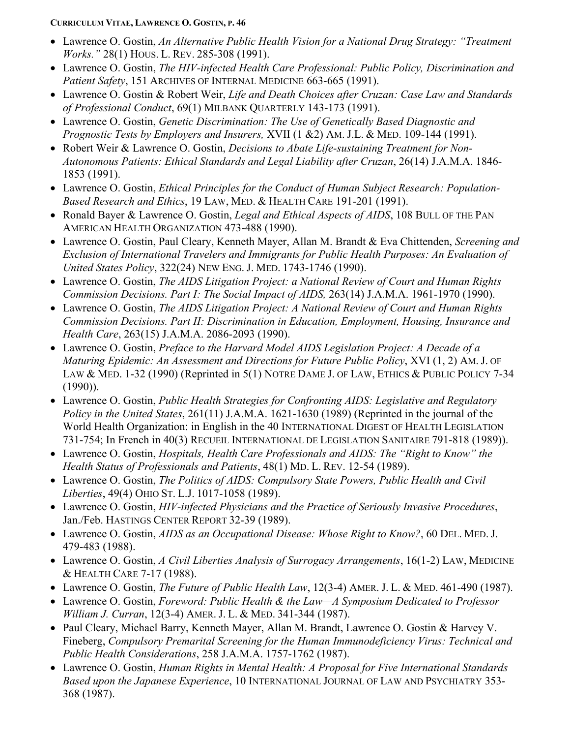- Lawrence O. Gostin, *An Alternative Public Health Vision for a National Drug Strategy: "Treatment Works."* 28(1) HOUS. L. REV. 285-308 (1991).
- Lawrence O. Gostin, *The HIV-infected Health Care Professional: Public Policy, Discrimination and Patient Safety*, 151 ARCHIVES OF INTERNAL MEDICINE 663-665 (1991).
- Lawrence O. Gostin & Robert Weir, *Life and Death Choices after Cruzan: Case Law and Standards of Professional Conduct*, 69(1) MILBANK QUARTERLY 143-173 (1991).
- Lawrence O. Gostin, *Genetic Discrimination: The Use of Genetically Based Diagnostic and Prognostic Tests by Employers and Insurers,* XVII (1 &2) AM. J.L. & MED. 109-144 (1991).
- Robert Weir & Lawrence O. Gostin, *Decisions to Abate Life-sustaining Treatment for Non-Autonomous Patients: Ethical Standards and Legal Liability after Cruzan*, 26(14) J.A.M.A. 1846- 1853 (1991).
- Lawrence O. Gostin, *Ethical Principles for the Conduct of Human Subject Research: Population-Based Research and Ethics*, 19 LAW, MED. & HEALTH CARE 191-201 (1991).
- Ronald Bayer & Lawrence O. Gostin, *Legal and Ethical Aspects of AIDS*, 108 BULL OF THE PAN AMERICAN HEALTH ORGANIZATION 473-488 (1990).
- Lawrence O. Gostin, Paul Cleary, Kenneth Mayer, Allan M. Brandt & Eva Chittenden, *Screening and Exclusion of International Travelers and Immigrants for Public Health Purposes: An Evaluation of United States Policy*, 322(24) NEW ENG. J. MED. 1743-1746 (1990).
- Lawrence O. Gostin, *The AIDS Litigation Project: a National Review of Court and Human Rights Commission Decisions. Part I: The Social Impact of AIDS,* 263(14) J.A.M.A. 1961-1970 (1990).
- Lawrence O. Gostin, *The AIDS Litigation Project: A National Review of Court and Human Rights Commission Decisions. Part II: Discrimination in Education, Employment, Housing, Insurance and Health Care*, 263(15) J.A.M.A. 2086-2093 (1990).
- Lawrence O. Gostin, *Preface to the Harvard Model AIDS Legislation Project: A Decade of a Maturing Epidemic: An Assessment and Directions for Future Public Policy*, XVI (1, 2) AM. J. OF LAW & MED. 1-32 (1990) (Reprinted in 5(1) NOTRE DAME J. OF LAW, ETHICS & PUBLIC POLICY 7-34 (1990)).
- Lawrence O. Gostin, *Public Health Strategies for Confronting AIDS: Legislative and Regulatory Policy in the United States*, 261(11) J.A.M.A. 1621-1630 (1989) (Reprinted in the journal of the World Health Organization: in English in the 40 INTERNATIONAL DIGEST OF HEALTH LEGISLATION 731-754; In French in 40(3) RECUEIL INTERNATIONAL DE LEGISLATION SANITAIRE 791-818 (1989)).
- Lawrence O. Gostin, *Hospitals, Health Care Professionals and AIDS: The "Right to Know" the Health Status of Professionals and Patients*, 48(1) MD. L. REV. 12-54 (1989).
- Lawrence O. Gostin, *The Politics of AIDS: Compulsory State Powers, Public Health and Civil Liberties*, 49(4) OHIO ST. L.J. 1017-1058 (1989).
- Lawrence O. Gostin, *HIV-infected Physicians and the Practice of Seriously Invasive Procedures*, Jan./Feb. HASTINGS CENTER REPORT 32-39 (1989).
- Lawrence O. Gostin, *AIDS as an Occupational Disease: Whose Right to Know?*, 60 DEL. MED. J. 479-483 (1988).
- Lawrence O. Gostin, *A Civil Liberties Analysis of Surrogacy Arrangements*, 16(1-2) LAW, MEDICINE & HEALTH CARE 7-17 (1988).
- Lawrence O. Gostin, *The Future of Public Health Law*, 12(3-4) AMER. J. L. & MED. 461-490 (1987).
- Lawrence O. Gostin, *Foreword: Public Health & the Law—A Symposium Dedicated to Professor William J. Curran*, 12(3-4) AMER. J. L. & MED. 341-344 (1987).
- Paul Cleary, Michael Barry, Kenneth Mayer, Allan M. Brandt, Lawrence O. Gostin & Harvey V. Fineberg, *Compulsory Premarital Screening for the Human Immunodeficiency Virus: Technical and Public Health Considerations*, 258 J.A.M.A. 1757-1762 (1987).
- Lawrence O. Gostin, *Human Rights in Mental Health: A Proposal for Five International Standards Based upon the Japanese Experience*, 10 INTERNATIONAL JOURNAL OF LAW AND PSYCHIATRY 353- 368 (1987).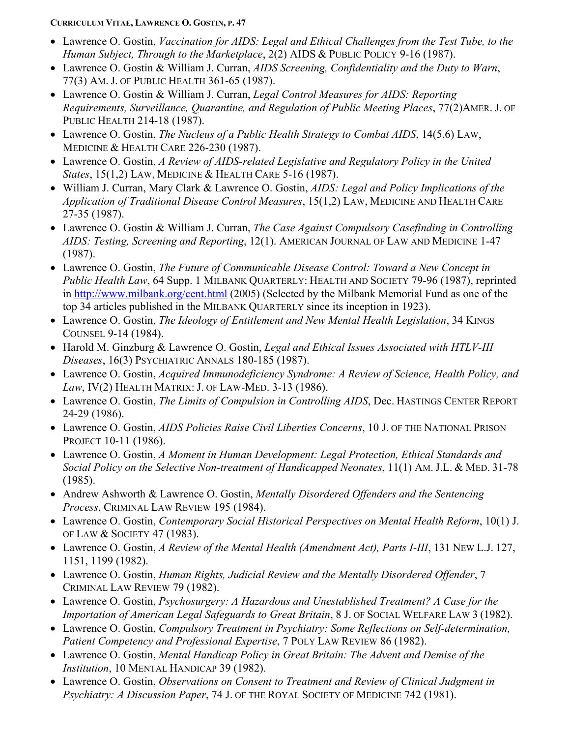- Lawrence O. Gostin, *Vaccination for AIDS: Legal and Ethical Challenges from the Test Tube, to the Human Subject, Through to the Marketplace*, 2(2) AIDS & PUBLIC POLICY 9-16 (1987).
- Lawrence O. Gostin & William J. Curran, *AIDS Screening, Confidentiality and the Duty to Warn*, 77(3) AM. J. OF PUBLIC HEALTH 361-65 (1987).
- Lawrence O. Gostin & William J. Curran, *Legal Control Measures for AIDS: Reporting Requirements, Surveillance, Quarantine, and Regulation of Public Meeting Places*, 77(2)AMER. J. OF PUBLIC HEALTH 214-18 (1987).
- Lawrence O. Gostin, *The Nucleus of a Public Health Strategy to Combat AIDS*, 14(5,6) LAW, MEDICINE & HEALTH CARE 226-230 (1987).
- Lawrence O. Gostin, *A Review of AIDS-related Legislative and Regulatory Policy in the United States*, 15(1,2) LAW, MEDICINE & HEALTH CARE 5-16 (1987).
- William J. Curran, Mary Clark & Lawrence O. Gostin, *AIDS: Legal and Policy Implications of the Application of Traditional Disease Control Measures*, 15(1,2) LAW, MEDICINE AND HEALTH CARE 27-35 (1987).
- Lawrence O. Gostin & William J. Curran, *The Case Against Compulsory Casefinding in Controlling AIDS: Testing, Screening and Reporting*, 12(1). AMERICAN JOURNAL OF LAW AND MEDICINE 1-47 (1987).
- Lawrence O. Gostin, *The Future of Communicable Disease Control: Toward a New Concept in Public Health Law*, 64 Supp. 1 MILBANK QUARTERLY: HEALTH AND SOCIETY 79-96 (1987), reprinted in<http://www.milbank.org/cent.html> (2005) (Selected by the Milbank Memorial Fund as one of the top 34 articles published in the MILBANK QUARTERLY since its inception in 1923).
- Lawrence O. Gostin, *The Ideology of Entitlement and New Mental Health Legislation*, 34 KINGS COUNSEL 9-14 (1984).
- Harold M. Ginzburg & Lawrence O. Gostin, *Legal and Ethical Issues Associated with HTLV-III Diseases*, 16(3) PSYCHIATRIC ANNALS 180-185 (1987).
- Lawrence O. Gostin, *Acquired Immunodeficiency Syndrome: A Review of Science, Health Policy, and Law*, IV(2) HEALTH MATRIX: J. OF LAW-MED. 3-13 (1986).
- Lawrence O. Gostin, *The Limits of Compulsion in Controlling AIDS*, Dec. HASTINGS CENTER REPORT 24-29 (1986).
- Lawrence O. Gostin, *AIDS Policies Raise Civil Liberties Concerns*, 10 J. OF THE NATIONAL PRISON PROJECT 10-11 (1986).
- Lawrence O. Gostin, *A Moment in Human Development: Legal Protection, Ethical Standards and Social Policy on the Selective Non-treatment of Handicapped Neonates*, 11(1) AM. J.L. & MED. 31-78 (1985).
- Andrew Ashworth & Lawrence O. Gostin, *Mentally Disordered Offenders and the Sentencing Process*, CRIMINAL LAW REVIEW 195 (1984).
- Lawrence O. Gostin, *Contemporary Social Historical Perspectives on Mental Health Reform*, 10(1) J. OF LAW & SOCIETY 47 (1983).
- Lawrence O. Gostin, *A Review of the Mental Health (Amendment Act), Parts I-III*, 131 NEW L.J. 127, 1151, 1199 (1982).
- Lawrence O. Gostin, *Human Rights, Judicial Review and the Mentally Disordered Offender*, 7 CRIMINAL LAW REVIEW 79 (1982).
- Lawrence O. Gostin, *Psychosurgery: A Hazardous and Unestablished Treatment? A Case for the Importation of American Legal Safeguards to Great Britain*, 8 J. OF SOCIAL WELFARE LAW 3 (1982).
- Lawrence O. Gostin, *Compulsory Treatment in Psychiatry: Some Reflections on Self-determination, Patient Competency and Professional Expertise*, 7 POLY LAW REVIEW 86 (1982).
- Lawrence O. Gostin, *Mental Handicap Policy in Great Britain: The Advent and Demise of the Institution*, 10 MENTAL HANDICAP 39 (1982).
- Lawrence O. Gostin, *Observations on Consent to Treatment and Review of Clinical Judgment in Psychiatry: A Discussion Paper*, 74 J. OF THE ROYAL SOCIETY OF MEDICINE 742 (1981).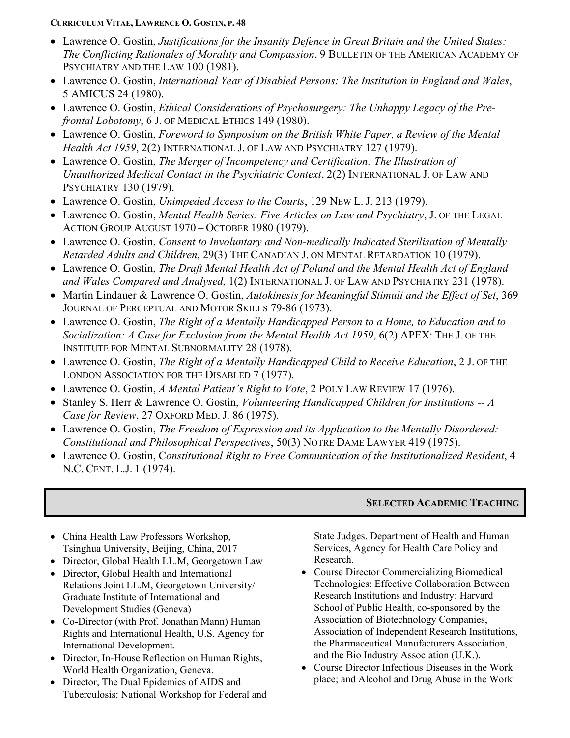- Lawrence O. Gostin, *Justifications for the Insanity Defence in Great Britain and the United States: The Conflicting Rationales of Morality and Compassion*, 9 BULLETIN OF THE AMERICAN ACADEMY OF PSYCHIATRY AND THE LAW 100 (1981).
- Lawrence O. Gostin, *International Year of Disabled Persons: The Institution in England and Wales*, 5 AMICUS 24 (1980).
- Lawrence O. Gostin, *Ethical Considerations of Psychosurgery: The Unhappy Legacy of the Prefrontal Lobotomy*, 6 J. OF MEDICAL ETHICS 149 (1980).
- Lawrence O. Gostin, *Foreword to Symposium on the British White Paper, a Review of the Mental Health Act 1959*, 2(2) INTERNATIONAL J. OF LAW AND PSYCHIATRY 127 (1979).
- Lawrence O. Gostin, *The Merger of Incompetency and Certification: The Illustration of Unauthorized Medical Contact in the Psychiatric Context*, 2(2) INTERNATIONAL J. OF LAW AND PSYCHIATRY 130 (1979).
- Lawrence O. Gostin, *Unimpeded Access to the Courts*, 129 NEW L. J. 213 (1979).
- Lawrence O. Gostin, *Mental Health Series: Five Articles on Law and Psychiatry*, J. OF THE LEGAL ACTION GROUP AUGUST 1970 – OCTOBER 1980 (1979).
- Lawrence O. Gostin, *Consent to Involuntary and Non-medically Indicated Sterilisation of Mentally Retarded Adults and Children*, 29(3) THE CANADIAN J. ON MENTAL RETARDATION 10 (1979).
- Lawrence O. Gostin, *The Draft Mental Health Act of Poland and the Mental Health Act of England and Wales Compared and Analysed*, 1(2) INTERNATIONAL J. OF LAW AND PSYCHIATRY 231 (1978).
- Martin Lindauer & Lawrence O. Gostin, *Autokinesis for Meaningful Stimuli and the Effect of Set*, 369 JOURNAL OF PERCEPTUAL AND MOTOR SKILLS 79-86 (1973).
- Lawrence O. Gostin, *The Right of a Mentally Handicapped Person to a Home, to Education and to Socialization: A Case for Exclusion from the Mental Health Act 1959*, 6(2) APEX: THE J. OF THE INSTITUTE FOR MENTAL SUBNORMALITY 28 (1978).
- Lawrence O. Gostin, *The Right of a Mentally Handicapped Child to Receive Education*, 2 J. OF THE LONDON ASSOCIATION FOR THE DISABLED 7 (1977).
- Lawrence O. Gostin, *A Mental Patient's Right to Vote*, 2 POLY LAW REVIEW 17 (1976).
- Stanley S. Herr & Lawrence O. Gostin, *Volunteering Handicapped Children for Institutions -- A Case for Review*, 27 OXFORD MED. J. 86 (1975).
- Lawrence O. Gostin, *The Freedom of Expression and its Application to the Mentally Disordered: Constitutional and Philosophical Perspectives*, 50(3) NOTRE DAME LAWYER 419 (1975).
- Lawrence O. Gostin, C*onstitutional Right to Free Communication of the Institutionalized Resident*, 4 N.C. CENT. L.J. 1 (1974).

## **SELECTED ACADEMIC TEACHING**

- China Health Law Professors Workshop, Tsinghua University, Beijing, China, 2017
- Director, Global Health LL.M, Georgetown Law
- Director, Global Health and International Relations Joint LL.M, Georgetown University/ Graduate Institute of International and Development Studies (Geneva)
- Co-Director (with Prof. Jonathan Mann) Human Rights and International Health, U.S. Agency for International Development.
- Director, In-House Reflection on Human Rights, World Health Organization, Geneva.
- Director, The Dual Epidemics of AIDS and Tuberculosis: National Workshop for Federal and

State Judges. Department of Health and Human Services, Agency for Health Care Policy and Research.

- Course Director Commercializing Biomedical Technologies: Effective Collaboration Between Research Institutions and Industry: Harvard School of Public Health, co-sponsored by the Association of Biotechnology Companies, Association of Independent Research Institutions, the Pharmaceutical Manufacturers Association, and the Bio Industry Association (U.K.).
- Course Director Infectious Diseases in the Work place; and Alcohol and Drug Abuse in the Work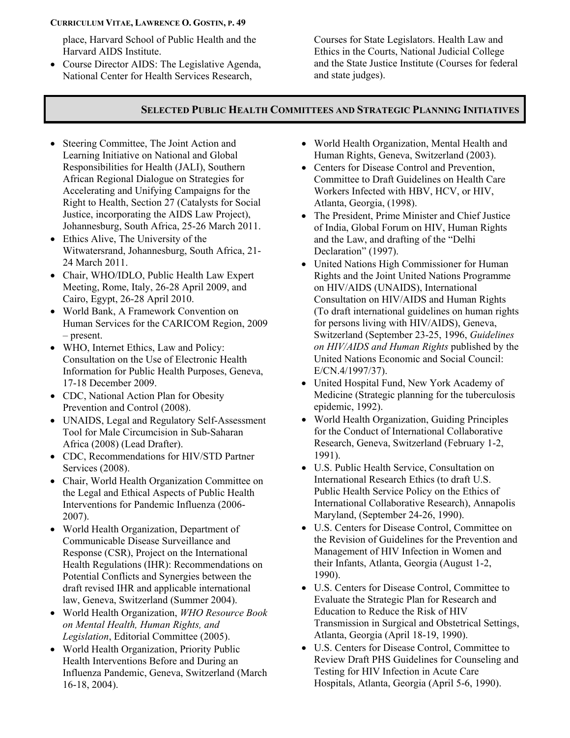place, Harvard School of Public Health and the Harvard AIDS Institute.

• Course Director AIDS: The Legislative Agenda, National Center for Health Services Research,

Courses for State Legislators. Health Law and Ethics in the Courts, National Judicial College and the State Justice Institute (Courses for federal and state judges).

# **SELECTED PUBLIC HEALTH COMMITTEES AND STRATEGIC PLANNING INITIATIVES**

- Steering Committee, The Joint Action and Learning Initiative on National and Global Responsibilities for Health (JALI), Southern African Regional Dialogue on Strategies for Accelerating and Unifying Campaigns for the Right to Health, Section 27 (Catalysts for Social Justice, incorporating the AIDS Law Project), Johannesburg, South Africa, 25-26 March 2011.
- Ethics Alive, The University of the Witwatersrand, Johannesburg, South Africa, 21- 24 March 2011.
- Chair, WHO/IDLO, Public Health Law Expert Meeting, Rome, Italy, 26-28 April 2009, and Cairo, Egypt, 26-28 April 2010.
- World Bank, A Framework Convention on Human Services for the CARICOM Region, 2009 – present.
- WHO, Internet Ethics, Law and Policy: Consultation on the Use of Electronic Health Information for Public Health Purposes, Geneva, 17-18 December 2009.
- CDC, National Action Plan for Obesity Prevention and Control (2008).
- UNAIDS, Legal and Regulatory Self-Assessment Tool for Male Circumcision in Sub-Saharan Africa (2008) (Lead Drafter).
- CDC, Recommendations for HIV/STD Partner Services (2008).
- Chair, World Health Organization Committee on the Legal and Ethical Aspects of Public Health Interventions for Pandemic Influenza (2006- 2007).
- World Health Organization, Department of Communicable Disease Surveillance and Response (CSR), Project on the International Health Regulations (IHR): Recommendations on Potential Conflicts and Synergies between the draft revised IHR and applicable international law, Geneva, Switzerland (Summer 2004).
- World Health Organization, *WHO Resource Book on Mental Health, Human Rights, and Legislation*, Editorial Committee (2005).
- World Health Organization, Priority Public Health Interventions Before and During an Influenza Pandemic, Geneva, Switzerland (March 16-18, 2004).
- World Health Organization, Mental Health and Human Rights, Geneva, Switzerland (2003).
- Centers for Disease Control and Prevention, Committee to Draft Guidelines on Health Care Workers Infected with HBV, HCV, or HIV, Atlanta, Georgia, (1998).
- The President, Prime Minister and Chief Justice of India, Global Forum on HIV, Human Rights and the Law, and drafting of the "Delhi Declaration" (1997).
- United Nations High Commissioner for Human Rights and the Joint United Nations Programme on HIV/AIDS (UNAIDS), International Consultation on HIV/AIDS and Human Rights (To draft international guidelines on human rights for persons living with HIV/AIDS), Geneva, Switzerland (September 23-25, 1996, *Guidelines on HIV/AIDS and Human Rights* published by the United Nations Economic and Social Council: E/CN.4/1997/37).
- United Hospital Fund, New York Academy of Medicine (Strategic planning for the tuberculosis epidemic, 1992).
- World Health Organization, Guiding Principles for the Conduct of International Collaborative Research, Geneva, Switzerland (February 1-2, 1991).
- U.S. Public Health Service, Consultation on International Research Ethics (to draft U.S. Public Health Service Policy on the Ethics of International Collaborative Research), Annapolis Maryland, (September 24-26, 1990).
- U.S. Centers for Disease Control, Committee on the Revision of Guidelines for the Prevention and Management of HIV Infection in Women and their Infants, Atlanta, Georgia (August 1-2, 1990).
- U.S. Centers for Disease Control, Committee to Evaluate the Strategic Plan for Research and Education to Reduce the Risk of HIV Transmission in Surgical and Obstetrical Settings, Atlanta, Georgia (April 18-19, 1990).
- U.S. Centers for Disease Control, Committee to Review Draft PHS Guidelines for Counseling and Testing for HIV Infection in Acute Care Hospitals, Atlanta, Georgia (April 5-6, 1990).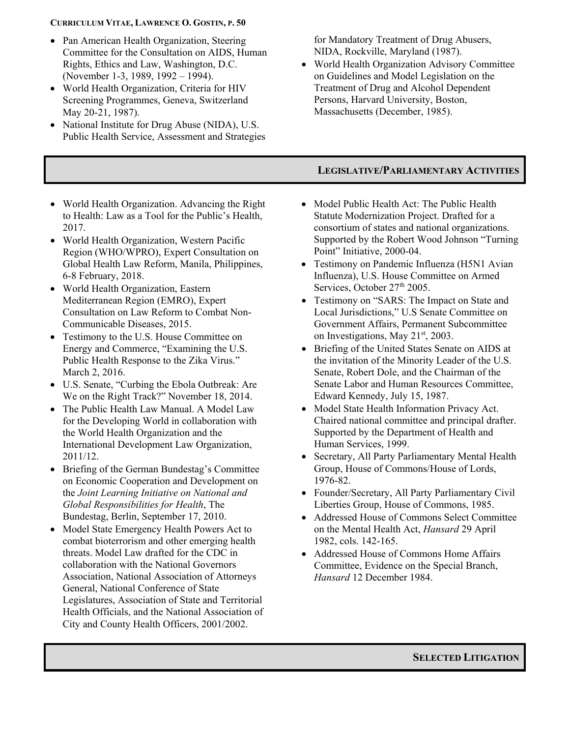- Pan American Health Organization, Steering Committee for the Consultation on AIDS, Human Rights, Ethics and Law, Washington, D.C. (November 1-3, 1989, 1992 – 1994).
- World Health Organization, Criteria for HIV Screening Programmes, Geneva, Switzerland May 20-21, 1987).
- National Institute for Drug Abuse (NIDA), U.S. Public Health Service, Assessment and Strategies

for Mandatory Treatment of Drug Abusers, NIDA, Rockville, Maryland (1987).

• World Health Organization Advisory Committee on Guidelines and Model Legislation on the Treatment of Drug and Alcohol Dependent Persons, Harvard University, Boston, Massachusetts (December, 1985).

# **LEGISLATIVE/PARLIAMENTARY ACTIVITIES**

- World Health Organization. Advancing the Right to Health: Law as a Tool for the Public's Health, 2017.
- World Health Organization, Western Pacific Region (WHO/WPRO), Expert Consultation on Global Health Law Reform, Manila, Philippines, 6-8 February, 2018.
- World Health Organization, Eastern Mediterranean Region (EMRO), Expert Consultation on Law Reform to Combat Non-Communicable Diseases, 2015.
- Testimony to the U.S. House Committee on Energy and Commerce, "Examining the U.S. Public Health Response to the Zika Virus." March 2, 2016.
- U.S. Senate, "Curbing the Ebola Outbreak: Are We on the Right Track?" November 18, 2014.
- The Public Health Law Manual. A Model Law for the Developing World in collaboration with the World Health Organization and the International Development Law Organization, 2011/12.
- Briefing of the German Bundestag's Committee on Economic Cooperation and Development on the *Joint Learning Initiative on National and Global Responsibilities for Health*, The Bundestag, Berlin, September 17, 2010.
- Model State Emergency Health Powers Act to combat bioterrorism and other emerging health threats. Model Law drafted for the CDC in collaboration with the National Governors Association, National Association of Attorneys General, National Conference of State Legislatures, Association of State and Territorial Health Officials, and the National Association of City and County Health Officers, 2001/2002.
- Model Public Health Act: The Public Health Statute Modernization Project. Drafted for a consortium of states and national organizations. Supported by the Robert Wood Johnson "Turning Point" Initiative, 2000-04.
- Testimony on Pandemic Influenza (H5N1 Avian Influenza), U.S. House Committee on Armed Services, October 27<sup>th</sup> 2005.
- Testimony on "SARS: The Impact on State and Local Jurisdictions," U.S Senate Committee on Government Affairs, Permanent Subcommittee on Investigations, May 21<sup>st</sup>, 2003.
- Briefing of the United States Senate on AIDS at the invitation of the Minority Leader of the U.S. Senate, Robert Dole, and the Chairman of the Senate Labor and Human Resources Committee, Edward Kennedy, July 15, 1987.
- Model State Health Information Privacy Act. Chaired national committee and principal drafter. Supported by the Department of Health and Human Services, 1999.
- Secretary, All Party Parliamentary Mental Health Group, House of Commons/House of Lords, 1976-82.
- Founder/Secretary, All Party Parliamentary Civil Liberties Group, House of Commons, 1985.
- Addressed House of Commons Select Committee on the Mental Health Act, *Hansard* 29 April 1982, cols. 142-165.
- Addressed House of Commons Home Affairs Committee, Evidence on the Special Branch, *Hansard* 12 December 1984.

**SELECTED LITIGATION**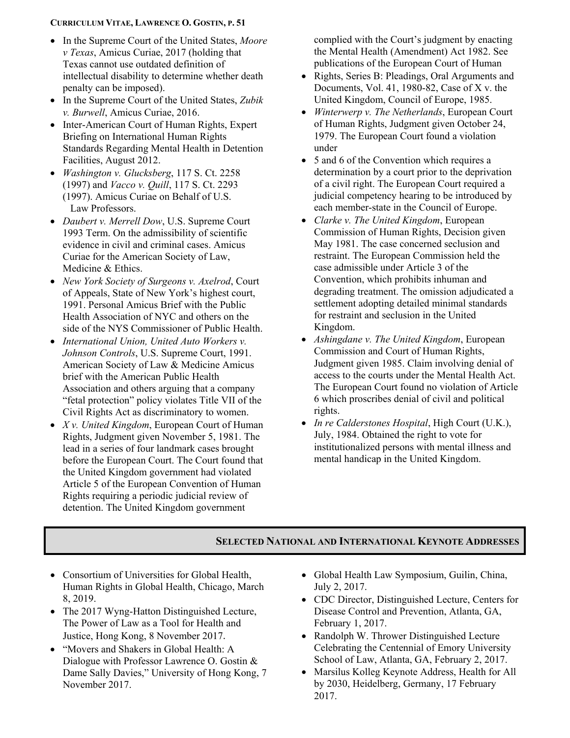- In the Supreme Court of the United States, *Moore v Texas*, Amicus Curiae, 2017 (holding that Texas cannot use outdated definition of intellectual disability to determine whether death penalty can be imposed).
- In the Supreme Court of the United States, *Zubik v. Burwell*, Amicus Curiae, 2016.
- Inter-American Court of Human Rights, Expert Briefing on International Human Rights Standards Regarding Mental Health in Detention Facilities, August 2012.
- *Washington v. Glucksberg*, 117 S. Ct. 2258 (1997) and *Vacco v. Quill*, 117 S. Ct. 2293 (1997). Amicus Curiae on Behalf of U.S. Law Professors.
- *Daubert v. Merrell Dow*, U.S. Supreme Court 1993 Term. On the admissibility of scientific evidence in civil and criminal cases. Amicus Curiae for the American Society of Law, Medicine & Ethics.
- *New York Society of Surgeons v. Axelrod*, Court of Appeals, State of New York's highest court, 1991. Personal Amicus Brief with the Public Health Association of NYC and others on the side of the NYS Commissioner of Public Health.
- *International Union, United Auto Workers v. Johnson Controls*, U.S. Supreme Court, 1991. American Society of Law & Medicine Amicus brief with the American Public Health Association and others arguing that a company "fetal protection" policy violates Title VII of the Civil Rights Act as discriminatory to women.
- *X v. United Kingdom*, European Court of Human Rights, Judgment given November 5, 1981. The lead in a series of four landmark cases brought before the European Court. The Court found that the United Kingdom government had violated Article 5 of the European Convention of Human Rights requiring a periodic judicial review of detention. The United Kingdom government

complied with the Court's judgment by enacting the Mental Health (Amendment) Act 1982. See publications of the European Court of Human

- Rights, Series B: Pleadings, Oral Arguments and Documents, Vol. 41, 1980-82, Case of X v. the United Kingdom, Council of Europe, 1985.
- *Winterwerp v. The Netherlands*, European Court of Human Rights, Judgment given October 24, 1979. The European Court found a violation under
- 5 and 6 of the Convention which requires a determination by a court prior to the deprivation of a civil right. The European Court required a judicial competency hearing to be introduced by each member-state in the Council of Europe.
- *Clarke v. The United Kingdom*, European Commission of Human Rights, Decision given May 1981. The case concerned seclusion and restraint. The European Commission held the case admissible under Article 3 of the Convention, which prohibits inhuman and degrading treatment. The omission adjudicated a settlement adopting detailed minimal standards for restraint and seclusion in the United Kingdom.
- *Ashingdane v. The United Kingdom*, European Commission and Court of Human Rights, Judgment given 1985. Claim involving denial of access to the courts under the Mental Health Act. The European Court found no violation of Article 6 which proscribes denial of civil and political rights.
- *In re Calderstones Hospital*, High Court (U.K.), July, 1984. Obtained the right to vote for institutionalized persons with mental illness and mental handicap in the United Kingdom.

## **SELECTED NATIONAL AND INTERNATIONAL KEYNOTE ADDRESSES**

- Consortium of Universities for Global Health, Human Rights in Global Health, Chicago, March 8, 2019.
- The 2017 Wyng-Hatton Distinguished Lecture, The Power of Law as a Tool for Health and Justice, Hong Kong, 8 November 2017.
- "Movers and Shakers in Global Health: A Dialogue with Professor Lawrence O. Gostin & Dame Sally Davies," University of Hong Kong, 7 November 2017.
- Global Health Law Symposium, Guilin, China, July 2, 2017.
- CDC Director, Distinguished Lecture, Centers for Disease Control and Prevention, Atlanta, GA, February 1, 2017.
- Randolph W. Thrower Distinguished Lecture Celebrating the Centennial of Emory University School of Law, Atlanta, GA, February 2, 2017.
- Marsilus Kolleg Keynote Address, Health for All by 2030, Heidelberg, Germany, 17 February 2017.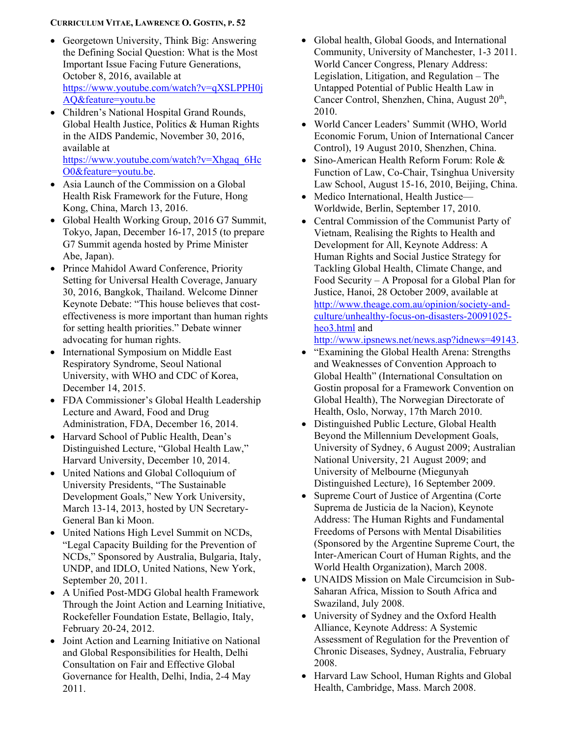- Georgetown University, Think Big: Answering the Defining Social Question: What is the Most Important Issue Facing Future Generations, October 8, 2016, available at [https://www.youtube.com/watch?v=qXSLPPH0j](https://www.youtube.com/watch?v=qXSLPPH0jAQ&feature=youtu.be) [AQ&feature=youtu.be](https://www.youtube.com/watch?v=qXSLPPH0jAQ&feature=youtu.be)
- Children's National Hospital Grand Rounds, Global Health Justice, Politics & Human Rights in the AIDS Pandemic, November 30, 2016, available at [https://www.youtube.com/watch?v=Xhgaq\\_6Hc](https://www.youtube.com/watch?v=Xhgaq_6HcO0&feature=youtu.be) [O0&feature=youtu.be.](https://www.youtube.com/watch?v=Xhgaq_6HcO0&feature=youtu.be)
- Asia Launch of the Commission on a Global Health Risk Framework for the Future, Hong Kong, China, March 13, 2016.
- Global Health Working Group, 2016 G7 Summit, Tokyo, Japan, December 16-17, 2015 (to prepare G7 Summit agenda hosted by Prime Minister Abe, Japan).
- Prince Mahidol Award Conference, Priority Setting for Universal Health Coverage, January 30, 2016, Bangkok, Thailand. Welcome Dinner Keynote Debate: "This house believes that costeffectiveness is more important than human rights for setting health priorities." Debate winner advocating for human rights.
- International Symposium on Middle East Respiratory Syndrome, Seoul National University, with WHO and CDC of Korea, December 14, 2015.
- FDA Commissioner's Global Health Leadership Lecture and Award, Food and Drug Administration, FDA, December 16, 2014.
- Harvard School of Public Health, Dean's Distinguished Lecture, "Global Health Law," Harvard University, December 10, 2014.
- United Nations and Global Colloquium of University Presidents, "The Sustainable Development Goals," New York University, March 13-14, 2013, hosted by UN Secretary-General Ban ki Moon.
- United Nations High Level Summit on NCDs, "Legal Capacity Building for the Prevention of NCDs," Sponsored by Australia, Bulgaria, Italy, UNDP, and IDLO, United Nations, New York, September 20, 2011.
- A Unified Post-MDG Global health Framework Through the Joint Action and Learning Initiative, Rockefeller Foundation Estate, Bellagio, Italy, February 20-24, 2012.
- Joint Action and Learning Initiative on National and Global Responsibilities for Health, Delhi Consultation on Fair and Effective Global Governance for Health, Delhi, India, 2-4 May 2011.
- Global health, Global Goods, and International Community, University of Manchester, 1-3 2011. World Cancer Congress, Plenary Address: Legislation, Litigation, and Regulation – The Untapped Potential of Public Health Law in Cancer Control, Shenzhen, China, August  $20<sup>th</sup>$ , 2010.
- World Cancer Leaders' Summit (WHO, World Economic Forum, Union of International Cancer Control), 19 August 2010, Shenzhen, China.
- Sino-American Health Reform Forum: Role & Function of Law, Co-Chair, Tsinghua University Law School, August 15-16, 2010, Beijing, China.
- Medico International, Health Justice— Worldwide, Berlin, September 17, 2010.
- Central Commission of the Communist Party of Vietnam, Realising the Rights to Health and Development for All, Keynote Address: A Human Rights and Social Justice Strategy for Tackling Global Health, Climate Change, and Food Security – A Proposal for a Global Plan for Justice, Hanoi, 28 October 2009, available at [http://www.theage.com.au/opinion/society-and](http://www.theage.com.au/opinion/society-and-culture/unhealthy-focus-on-disasters-20091025-heo3.html)[culture/unhealthy-focus-on-disasters-20091025](http://www.theage.com.au/opinion/society-and-culture/unhealthy-focus-on-disasters-20091025-heo3.html) [heo3.html](http://www.theage.com.au/opinion/society-and-culture/unhealthy-focus-on-disasters-20091025-heo3.html) and

[http://www.ipsnews.net/news.asp?idnews=49143.](http://www.ipsnews.net/news.asp?idnews=49143)

- "Examining the Global Health Arena: Strengths and Weaknesses of Convention Approach to Global Health" (International Consultation on Gostin proposal for a Framework Convention on Global Health), The Norwegian Directorate of Health, Oslo, Norway, 17th March 2010.
- Distinguished Public Lecture, Global Health Beyond the Millennium Development Goals, University of Sydney, 6 August 2009; Australian National University, 21 August 2009; and University of Melbourne (Miegunyah Distinguished Lecture), 16 September 2009.
- Supreme Court of Justice of Argentina (Corte Suprema de Justicia de la Nacion), Keynote Address: The Human Rights and Fundamental Freedoms of Persons with Mental Disabilities (Sponsored by the Argentine Supreme Court, the Inter-American Court of Human Rights, and the World Health Organization), March 2008.
- UNAIDS Mission on Male Circumcision in Sub-Saharan Africa, Mission to South Africa and Swaziland, July 2008.
- University of Sydney and the Oxford Health Alliance, Keynote Address: A Systemic Assessment of Regulation for the Prevention of Chronic Diseases, Sydney, Australia, February 2008.
- Harvard Law School, Human Rights and Global Health, Cambridge, Mass. March 2008.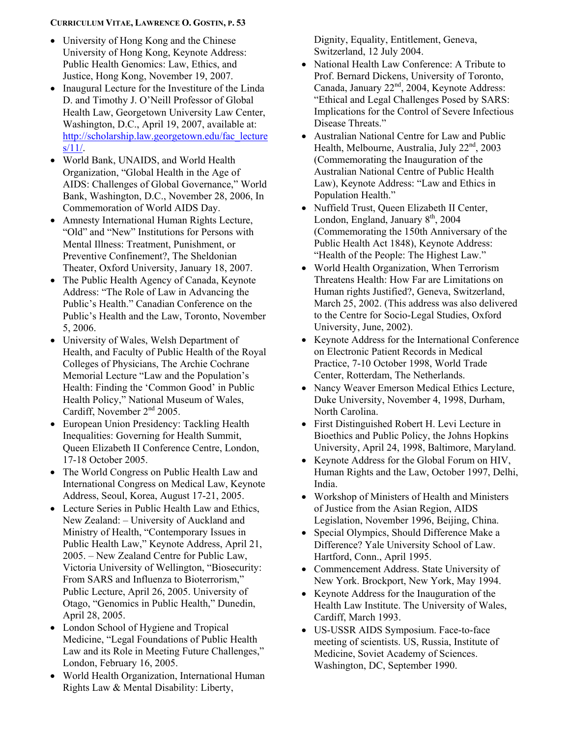- University of Hong Kong and the Chinese University of Hong Kong, Keynote Address: Public Health Genomics: Law, Ethics, and Justice, Hong Kong, November 19, 2007.
- Inaugural Lecture for the Investiture of the Linda D. and Timothy J. O'Neill Professor of Global Health Law, Georgetown University Law Center, Washington, D.C., April 19, 2007, available at: [http://scholarship.law.georgetown.edu/fac\\_lecture](http://scholarship.law.georgetown.edu/fac_lectures/11/)  $s/11/$ .
- World Bank, UNAIDS, and World Health Organization, "Global Health in the Age of AIDS: Challenges of Global Governance," World Bank, Washington, D.C., November 28, 2006, In Commemoration of World AIDS Day.
- Amnesty International Human Rights Lecture, "Old" and "New" Institutions for Persons with Mental Illness: Treatment, Punishment, or Preventive Confinement?, The Sheldonian Theater, Oxford University, January 18, 2007.
- The Public Health Agency of Canada, Keynote Address: "The Role of Law in Advancing the Public's Health." Canadian Conference on the Public's Health and the Law, Toronto, November 5, 2006.
- University of Wales, Welsh Department of Health, and Faculty of Public Health of the Royal Colleges of Physicians, The Archie Cochrane Memorial Lecture "Law and the Population's Health: Finding the 'Common Good' in Public Health Policy," National Museum of Wales, Cardiff, November 2<sup>nd</sup> 2005.
- European Union Presidency: Tackling Health Inequalities: Governing for Health Summit, Queen Elizabeth II Conference Centre, London, 17-18 October 2005.
- The World Congress on Public Health Law and International Congress on Medical Law, Keynote Address, Seoul, Korea, August 17-21, 2005.
- Lecture Series in Public Health Law and Ethics, New Zealand: – University of Auckland and Ministry of Health, "Contemporary Issues in Public Health Law," Keynote Address, April 21, 2005. – New Zealand Centre for Public Law, Victoria University of Wellington, "Biosecurity: From SARS and Influenza to Bioterrorism," Public Lecture, April 26, 2005. University of Otago, "Genomics in Public Health," Dunedin, April 28, 2005.
- London School of Hygiene and Tropical Medicine, "Legal Foundations of Public Health Law and its Role in Meeting Future Challenges," London, February 16, 2005.
- World Health Organization, International Human Rights Law & Mental Disability: Liberty,

Dignity, Equality, Entitlement, Geneva, Switzerland, 12 July 2004.

- National Health Law Conference: A Tribute to Prof. Bernard Dickens, University of Toronto, Canada, January 22<sup>nd</sup>, 2004, Keynote Address: "Ethical and Legal Challenges Posed by SARS: Implications for the Control of Severe Infectious Disease Threats."
- Australian National Centre for Law and Public Health, Melbourne, Australia, July 22<sup>nd</sup>, 2003 (Commemorating the Inauguration of the Australian National Centre of Public Health Law), Keynote Address: "Law and Ethics in Population Health."
- Nuffield Trust, Queen Elizabeth II Center, London, England, January 8<sup>th</sup>, 2004 (Commemorating the 150th Anniversary of the Public Health Act 1848), Keynote Address: "Health of the People: The Highest Law."
- World Health Organization, When Terrorism Threatens Health: How Far are Limitations on Human rights Justified?, Geneva, Switzerland, March 25, 2002. (This address was also delivered to the Centre for Socio-Legal Studies, Oxford University, June, 2002).
- Keynote Address for the International Conference on Electronic Patient Records in Medical Practice, 7-10 October 1998, World Trade Center, Rotterdam, The Netherlands.
- Nancy Weaver Emerson Medical Ethics Lecture, Duke University, November 4, 1998, Durham, North Carolina.
- First Distinguished Robert H. Levi Lecture in Bioethics and Public Policy, the Johns Hopkins University, April 24, 1998, Baltimore, Maryland.
- Keynote Address for the Global Forum on HIV, Human Rights and the Law, October 1997, Delhi, India.
- Workshop of Ministers of Health and Ministers of Justice from the Asian Region, AIDS Legislation, November 1996, Beijing, China.
- Special Olympics, Should Difference Make a Difference? Yale University School of Law. Hartford, Conn., April 1995.
- Commencement Address. State University of New York. Brockport, New York, May 1994.
- Keynote Address for the Inauguration of the Health Law Institute. The University of Wales, Cardiff, March 1993.
- US-USSR AIDS Symposium. Face-to-face meeting of scientists. US, Russia, Institute of Medicine, Soviet Academy of Sciences. Washington, DC, September 1990.